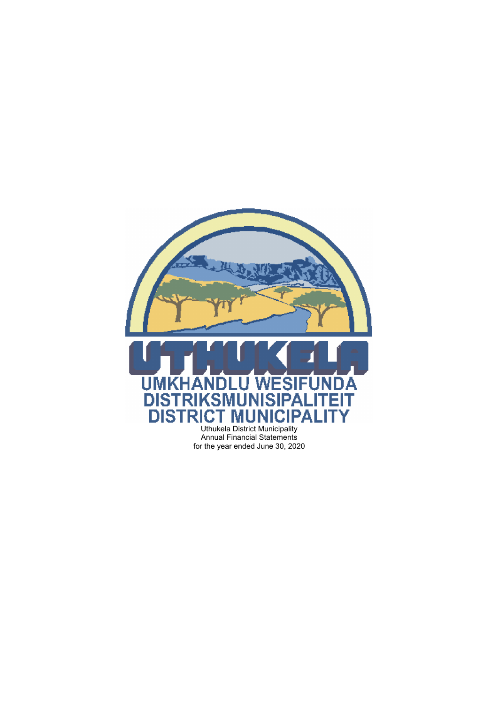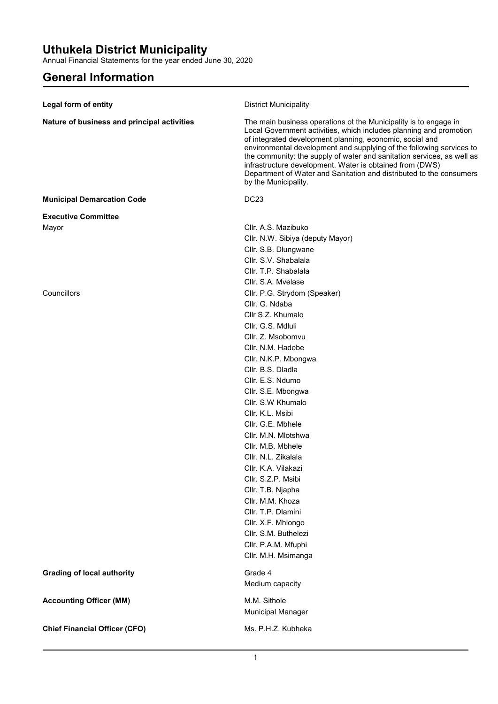Annual Financial Statements for the year ended June 30, 2020

## **General Information**

| Legal form of entity                        | <b>District Municipality</b>                                                                                                                                                                                                                                                                                                                                                                                                                                                                                    |
|---------------------------------------------|-----------------------------------------------------------------------------------------------------------------------------------------------------------------------------------------------------------------------------------------------------------------------------------------------------------------------------------------------------------------------------------------------------------------------------------------------------------------------------------------------------------------|
|                                             |                                                                                                                                                                                                                                                                                                                                                                                                                                                                                                                 |
| Nature of business and principal activities | The main business operations ot the Municipality is to engage in<br>Local Government activities, which includes planning and promotion<br>of integrated development planning, economic, social and<br>environmental development and supplying of the following services to<br>the community: the supply of water and sanitation services, as well as<br>infrastructure development. Water is obtained from (DWS)<br>Department of Water and Sanitation and distributed to the consumers<br>by the Municipality. |
| <b>Municipal Demarcation Code</b>           | <b>DC23</b>                                                                                                                                                                                                                                                                                                                                                                                                                                                                                                     |
| <b>Executive Committee</b>                  |                                                                                                                                                                                                                                                                                                                                                                                                                                                                                                                 |
| Mayor                                       | Cllr. A.S. Mazibuko                                                                                                                                                                                                                                                                                                                                                                                                                                                                                             |
|                                             | Cllr. N.W. Sibiya (deputy Mayor)                                                                                                                                                                                                                                                                                                                                                                                                                                                                                |
|                                             | Cllr. S.B. Dlungwane                                                                                                                                                                                                                                                                                                                                                                                                                                                                                            |
|                                             | Cllr. S.V. Shabalala                                                                                                                                                                                                                                                                                                                                                                                                                                                                                            |
|                                             | Cllr. T.P. Shabalala                                                                                                                                                                                                                                                                                                                                                                                                                                                                                            |
|                                             | Cllr. S.A. Myelase                                                                                                                                                                                                                                                                                                                                                                                                                                                                                              |
| Councillors                                 | Cllr. P.G. Strydom (Speaker)                                                                                                                                                                                                                                                                                                                                                                                                                                                                                    |
|                                             | Cllr. G. Ndaba                                                                                                                                                                                                                                                                                                                                                                                                                                                                                                  |
|                                             | Cllr S.Z. Khumalo                                                                                                                                                                                                                                                                                                                                                                                                                                                                                               |
|                                             | Cllr. G.S. Mdluli                                                                                                                                                                                                                                                                                                                                                                                                                                                                                               |
|                                             | Cllr. Z. Msobomvu                                                                                                                                                                                                                                                                                                                                                                                                                                                                                               |
|                                             | Cllr. N.M. Hadebe                                                                                                                                                                                                                                                                                                                                                                                                                                                                                               |
|                                             | Cllr. N.K.P. Mbongwa                                                                                                                                                                                                                                                                                                                                                                                                                                                                                            |
|                                             | Cllr. B.S. Dladla                                                                                                                                                                                                                                                                                                                                                                                                                                                                                               |
|                                             | Cllr. E.S. Ndumo                                                                                                                                                                                                                                                                                                                                                                                                                                                                                                |
|                                             | Cllr. S.E. Mbongwa                                                                                                                                                                                                                                                                                                                                                                                                                                                                                              |
|                                             | Cllr. S.W Khumalo                                                                                                                                                                                                                                                                                                                                                                                                                                                                                               |
|                                             | Cllr. K.L. Msibi                                                                                                                                                                                                                                                                                                                                                                                                                                                                                                |
|                                             | Cllr. G.E. Mbhele                                                                                                                                                                                                                                                                                                                                                                                                                                                                                               |
|                                             | Cllr. M.N. Mlotshwa                                                                                                                                                                                                                                                                                                                                                                                                                                                                                             |
|                                             | Cllr. M.B. Mbhele                                                                                                                                                                                                                                                                                                                                                                                                                                                                                               |
|                                             | Cllr. N.L. Zikalala                                                                                                                                                                                                                                                                                                                                                                                                                                                                                             |
|                                             | Cllr. K.A. Vilakazi                                                                                                                                                                                                                                                                                                                                                                                                                                                                                             |
|                                             | Cllr. S.Z.P. Msibi                                                                                                                                                                                                                                                                                                                                                                                                                                                                                              |
|                                             | Cllr. T.B. Njapha                                                                                                                                                                                                                                                                                                                                                                                                                                                                                               |
|                                             | Cllr. M.M. Khoza                                                                                                                                                                                                                                                                                                                                                                                                                                                                                                |
|                                             | Cllr. T.P. Dlamini                                                                                                                                                                                                                                                                                                                                                                                                                                                                                              |
|                                             | Cllr. X.F. Mhlongo                                                                                                                                                                                                                                                                                                                                                                                                                                                                                              |
|                                             | Cllr. S.M. Buthelezi                                                                                                                                                                                                                                                                                                                                                                                                                                                                                            |
|                                             | Cllr. P.A.M. Mfuphi                                                                                                                                                                                                                                                                                                                                                                                                                                                                                             |
|                                             | Cllr. M.H. Msimanga                                                                                                                                                                                                                                                                                                                                                                                                                                                                                             |
| <b>Grading of local authority</b>           | Grade 4                                                                                                                                                                                                                                                                                                                                                                                                                                                                                                         |
|                                             | Medium capacity                                                                                                                                                                                                                                                                                                                                                                                                                                                                                                 |
| <b>Accounting Officer (MM)</b>              | M.M. Sithole                                                                                                                                                                                                                                                                                                                                                                                                                                                                                                    |
|                                             | Municipal Manager                                                                                                                                                                                                                                                                                                                                                                                                                                                                                               |
| <b>Chief Financial Officer (CFO)</b>        | Ms. P.H.Z. Kubheka                                                                                                                                                                                                                                                                                                                                                                                                                                                                                              |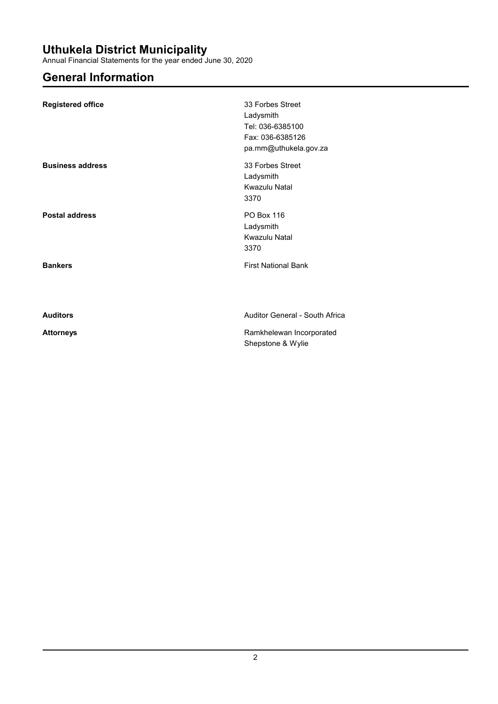Annual Financial Statements for the year ended June 30, 2020

## **General Information**

| <b>Registered office</b> | 33 Forbes Street<br>Ladysmith<br>Tel: 036-6385100<br>Fax: 036-6385126<br>pa.mm@uthukela.gov.za |
|--------------------------|------------------------------------------------------------------------------------------------|
| <b>Business address</b>  | 33 Forbes Street<br>Ladysmith<br>Kwazulu Natal<br>3370                                         |
| <b>Postal address</b>    | <b>PO Box 116</b><br>Ladysmith<br>Kwazulu Natal<br>3370                                        |
| <b>Bankers</b>           | <b>First National Bank</b>                                                                     |
| <b>Auditors</b>          | Auditor General - South Africa                                                                 |
| <b>Attorneys</b>         | Ramkhelewan Incorporated<br>Shepstone & Wylie                                                  |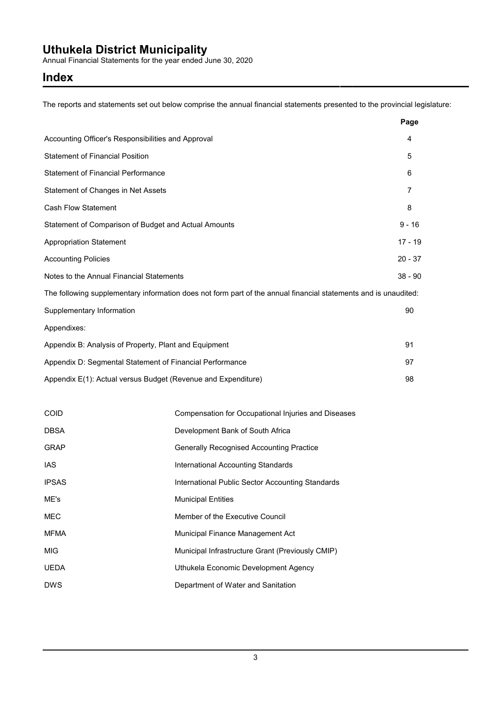Annual Financial Statements for the year ended June 30, 2020

### **Index**

The reports and statements set out below comprise the annual financial statements presented to the provincial legislature:

|                                                                                                                 | Page           |
|-----------------------------------------------------------------------------------------------------------------|----------------|
| Accounting Officer's Responsibilities and Approval                                                              | 4              |
| <b>Statement of Financial Position</b>                                                                          | 5              |
| <b>Statement of Financial Performance</b>                                                                       | 6              |
| Statement of Changes in Net Assets                                                                              | $\overline{7}$ |
| <b>Cash Flow Statement</b>                                                                                      | 8              |
| Statement of Comparison of Budget and Actual Amounts                                                            | $9 - 16$       |
| <b>Appropriation Statement</b>                                                                                  | $17 - 19$      |
| <b>Accounting Policies</b>                                                                                      | $20 - 37$      |
| Notes to the Annual Financial Statements                                                                        | $38 - 90$      |
| The following supplementary information does not form part of the annual financial statements and is unaudited: |                |
| Supplementary Information                                                                                       | 90             |
| Appendixes:                                                                                                     |                |
| Appendix B: Analysis of Property, Plant and Equipment                                                           | 91             |
| Appendix D: Segmental Statement of Financial Performance                                                        | 97             |
| Appendix E(1): Actual versus Budget (Revenue and Expenditure)                                                   | 98             |

| <b>COID</b>  | Compensation for Occupational Injuries and Diseases |
|--------------|-----------------------------------------------------|
| <b>DBSA</b>  | Development Bank of South Africa                    |
| <b>GRAP</b>  | <b>Generally Recognised Accounting Practice</b>     |
| IAS          | International Accounting Standards                  |
| <b>IPSAS</b> | International Public Sector Accounting Standards    |
| ME's         | <b>Municipal Entities</b>                           |
| <b>MEC</b>   | Member of the Executive Council                     |
| <b>MFMA</b>  | Municipal Finance Management Act                    |
| <b>MIG</b>   | Municipal Infrastructure Grant (Previously CMIP)    |
| <b>UEDA</b>  | Uthukela Economic Development Agency                |
| <b>DWS</b>   | Department of Water and Sanitation                  |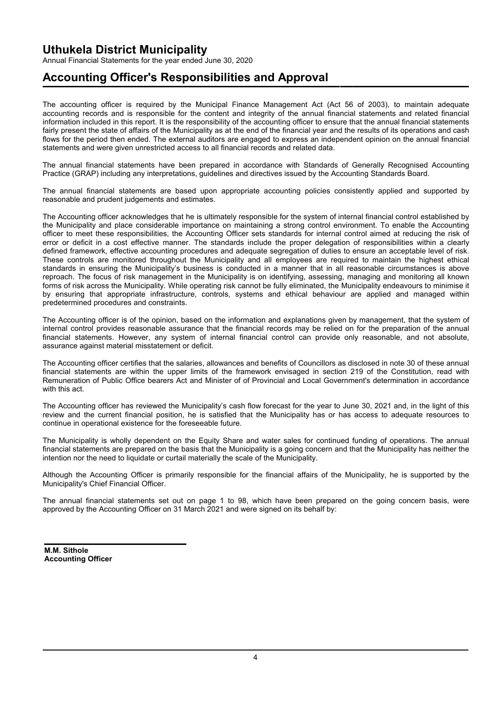Annual Financial Statements for the year ended June 30, 2020

## **Accounting Officer's Responsibilities and Approval**

The accounting officer is required by the Municipal Finance Management Act (Act 56 of 2003), to maintain adequate accounting records and is responsible for the content and integrity of the annual financial statements and related financial information included in this report. It is the responsibility of the accounting officer to ensure that the annual financial statements fairly present the state of affairs of the Municipality as at the end of the financial year and the results of its operations and cash flows for the period then ended. The external auditors are engaged to express an independent opinion on the annual financial statements and were given unrestricted access to all financial records and related data.

The annual financial statements have been prepared in accordance with Standards of Generally Recognised Accounting Practice (GRAP) including any interpretations, guidelines and directives issued by the Accounting Standards Board.

The annual financial statements are based upon appropriate accounting policies consistently applied and supported by reasonable and prudent judgements and estimates.

The Accounting officer acknowledges that he is ultimately responsible for the system of internal financial control established by the Municipality and place considerable importance on maintaining a strong control environment. To enable the Accounting officer to meet these responsibilities, the Accounting Officer sets standards for internal control aimed at reducing the risk of error or deficit in a cost effective manner. The standards include the proper delegation of responsibilities within a clearly defined framework, effective accounting procedures and adequate segregation of duties to ensure an acceptable level of risk. These controls are monitored throughout the Municipality and all employees are required to maintain the highest ethical standards in ensuring the Municipality's business is conducted in a manner that in all reasonable circumstances is above reproach. The focus of risk management in the Municipality is on identifying, assessing, managing and monitoring all known forms of risk across the Municipality. While operating risk cannot be fully eliminated, the Municipality endeavours to minimise it by ensuring that appropriate infrastructure, controls, systems and ethical behaviour are applied and managed within predetermined procedures and constraints.

The Accounting officer is of the opinion, based on the information and explanations given by management, that the system of internal control provides reasonable assurance that the financial records may be relied on for the preparation of the annual financial statements. However, any system of internal financial control can provide only reasonable, and not absolute, assurance against material misstatement or deficit.

The Accounting officer certifies that the salaries, allowances and benefits of Councillors as disclosed in note 30 of these annual financial statements are within the upper limits of the framework envisaged in section 219 of the Constitution, read with Remuneration of Public Office bearers Act and Minister of of Provincial and Local Government's determination in accordance with this act.

The Accounting officer has reviewed the Municipality's cash flow forecast for the year to June 30, 2021 and, in the light of this review and the current financial position, he is satisfied that the Municipality has or has access to adequate resources to continue in operational existence for the foreseeable future.

The Municipality is wholly dependent on the Equity Share and water sales for continued funding of operations. The annual financial statements are prepared on the basis that the Municipality is a going concern and that the Municipality has neither the intention nor the need to liquidate or curtail materially the scale of the Municipality.

Although the Accounting Officer is primarily responsible for the financial affairs of the Municipality, he is supported by the Municipality's Chief Financial Officer.

The annual financial statements set out on page 1 to 98, which have been prepared on the going concern basis, were approved by the Accounting Officer on 31 March 2021 and were signed on its behalf by:

**M.M. Sithole Accounting Officer**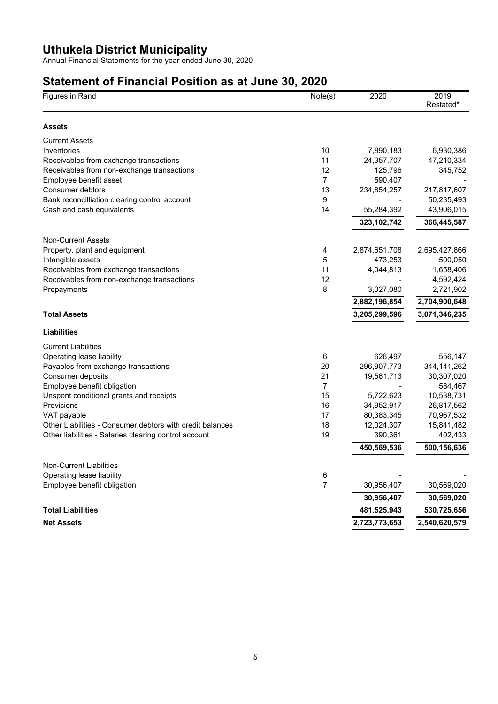Annual Financial Statements for the year ended June 30, 2020

# **Statement of Financial Position as at June 30, 2020**

| Figures in Rand                                           | Note(s)        | 2020          | 2019<br>Restated* |
|-----------------------------------------------------------|----------------|---------------|-------------------|
| <b>Assets</b>                                             |                |               |                   |
| <b>Current Assets</b>                                     |                |               |                   |
| Inventories                                               | 10             | 7,890,183     | 6,930,386         |
| Receivables from exchange transactions                    | 11             | 24,357,707    | 47,210,334        |
| Receivables from non-exchange transactions                | 12             | 125,796       | 345,752           |
| Employee benefit asset                                    | $\overline{7}$ | 590,407       |                   |
| Consumer debtors                                          | 13             | 234,854,257   | 217,817,607       |
| Bank reconcilliation clearing control account             | 9              |               | 50,235,493        |
| Cash and cash equivalents                                 | 14             | 55,284,392    | 43,906,015        |
|                                                           |                | 323, 102, 742 | 366,445,587       |
| <b>Non-Current Assets</b>                                 |                |               |                   |
| Property, plant and equipment                             | 4              | 2,874,651,708 | 2,695,427,866     |
| Intangible assets                                         | 5              | 473,253       | 500,050           |
| Receivables from exchange transactions                    | 11             | 4,044,813     | 1,658,406         |
| Receivables from non-exchange transactions                | 12             |               | 4,592,424         |
| Prepayments                                               | 8              | 3,027,080     | 2,721,902         |
|                                                           |                | 2,882,196,854 | 2,704,900,648     |
| <b>Total Assets</b>                                       |                | 3,205,299,596 | 3,071,346,235     |
| <b>Liabilities</b>                                        |                |               |                   |
| <b>Current Liabilities</b>                                |                |               |                   |
| Operating lease liability                                 | 6              | 626,497       | 556,147           |
| Payables from exchange transactions                       | 20             | 296,907,773   | 344, 141, 262     |
| Consumer deposits                                         | 21             | 19,561,713    | 30,307,020        |
| Employee benefit obligation                               | $\overline{7}$ |               | 584,467           |
| Unspent conditional grants and receipts                   | 15             | 5,722,623     | 10,538,731        |
| Provisions                                                | 16             | 34,952,917    | 26,817,562        |
| VAT payable                                               | 17             | 80,383,345    | 70,967,532        |
| Other Liabilities - Consumer debtors with credit balances | 18             | 12,024,307    | 15,841,482        |
| Other liabilities - Salaries clearing control account     | 19             | 390,361       | 402,433           |
|                                                           |                | 450,569,536   | 500,156,636       |
| Non-Current Liabilities                                   |                |               |                   |
| Operating lease liability                                 | 6              |               |                   |
| Employee benefit obligation                               | $\overline{7}$ | 30,956,407    | 30,569,020        |
|                                                           |                | 30,956,407    | 30,569,020        |
| <b>Total Liabilities</b>                                  |                | 481,525,943   | 530,725,656       |
| <b>Net Assets</b>                                         |                | 2,723,773,653 | 2,540,620,579     |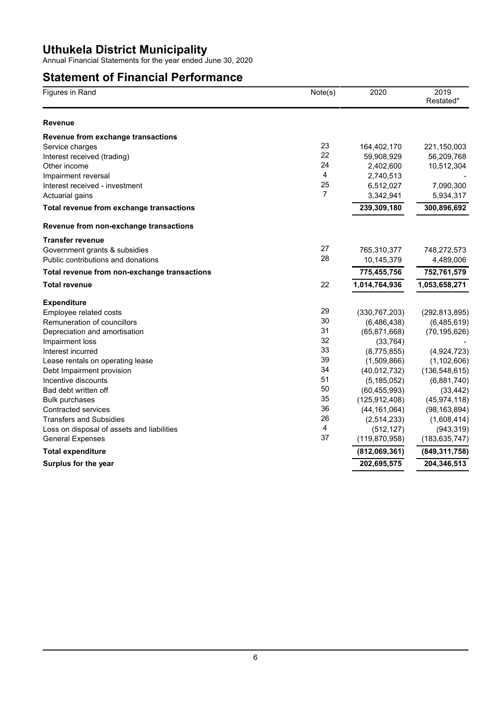Annual Financial Statements for the year ended June 30, 2020

## **Statement of Financial Performance**

| Figures in Rand                              | Note(s)        | 2020            | 2019<br>Restated* |
|----------------------------------------------|----------------|-----------------|-------------------|
| <b>Revenue</b>                               |                |                 |                   |
| Revenue from exchange transactions           |                |                 |                   |
| Service charges                              | 23             | 164,402,170     | 221,150,003       |
| Interest received (trading)                  | 22             | 59,908,929      | 56,209,768        |
| Other income                                 | 24             | 2,402,600       | 10,512,304        |
| Impairment reversal                          | 4              | 2,740,513       |                   |
| Interest received - investment               | 25             | 6,512,027       | 7,090,300         |
| Actuarial gains                              | 7              | 3,342,941       | 5,934,317         |
| Total revenue from exchange transactions     |                | 239,309,180     | 300,896,692       |
| Revenue from non-exchange transactions       |                |                 |                   |
| <b>Transfer revenue</b>                      |                |                 |                   |
| Government grants & subsidies                | 27             | 765,310,377     | 748,272,573       |
| Public contributions and donations           | 28             | 10,145,379      | 4,489,006         |
| Total revenue from non-exchange transactions |                | 775,455,756     | 752,761,579       |
| <b>Total revenue</b>                         | 22             | 1,014,764,936   | 1,053,658,271     |
| <b>Expenditure</b>                           |                |                 |                   |
| Employee related costs                       | 29             | (330, 767, 203) | (292, 813, 895)   |
| Remuneration of councillors                  | 30             | (6,486,438)     | (6,485,619)       |
| Depreciation and amortisation                | 31             | (65, 871, 668)  | (70, 195, 626)    |
| Impairment loss                              | 32             | (33, 764)       |                   |
| Interest incurred                            | 33             | (8,775,855)     | (4,924,723)       |
| Lease rentals on operating lease             | 39             | (1,509,866)     | (1, 102, 606)     |
| Debt Impairment provision                    | 34             | (40,012,732)    | (136, 548, 615)   |
| Incentive discounts                          | 51             | (5, 185, 052)   | (6,881,740)       |
| Bad debt written off                         | 50             | (60, 455, 993)  | (33, 442)         |
| <b>Bulk purchases</b>                        | 35             | (125, 912, 408) | (45, 974, 118)    |
| Contracted services                          | 36             | (44, 161, 064)  | (98, 163, 894)    |
| <b>Transfers and Subsidies</b>               | 26             | (2,514,233)     | (1,608,414)       |
| Loss on disposal of assets and liabilities   | $\overline{4}$ | (512, 127)      | (943, 319)        |
| <b>General Expenses</b>                      | 37             | (119, 870, 958) | (183, 635, 747)   |
| <b>Total expenditure</b>                     |                | (812,069,361)   | (849, 311, 758)   |
| Surplus for the year                         |                | 202,695,575     | 204,346,513       |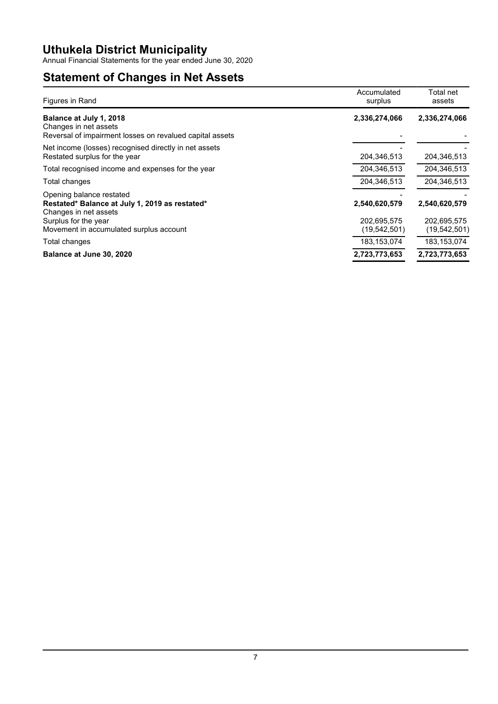Annual Financial Statements for the year ended June 30, 2020

# **Statement of Changes in Net Assets**

| Figures in Rand                                                                                                                                                        | Accumulated<br>surplus                         | Total net<br>assets                            |
|------------------------------------------------------------------------------------------------------------------------------------------------------------------------|------------------------------------------------|------------------------------------------------|
| Balance at July 1, 2018<br>Changes in net assets<br>Reversal of impairment losses on revalued capital assets                                                           | 2,336,274,066                                  | 2,336,274,066                                  |
| Net income (losses) recognised directly in net assets<br>Restated surplus for the year                                                                                 | 204,346,513                                    | 204,346,513                                    |
| Total recognised income and expenses for the year                                                                                                                      | 204,346,513                                    | 204,346,513                                    |
| Total changes                                                                                                                                                          | 204.346.513                                    | 204.346.513                                    |
| Opening balance restated<br>Restated* Balance at July 1, 2019 as restated*<br>Changes in net assets<br>Surplus for the year<br>Movement in accumulated surplus account | 2,540,620,579<br>202,695,575<br>(19, 542, 501) | 2,540,620,579<br>202.695.575<br>(19, 542, 501) |
| Total changes                                                                                                                                                          | 183,153,074                                    | 183, 153, 074                                  |
| Balance at June 30, 2020                                                                                                                                               | 2,723,773,653                                  | 2,723,773,653                                  |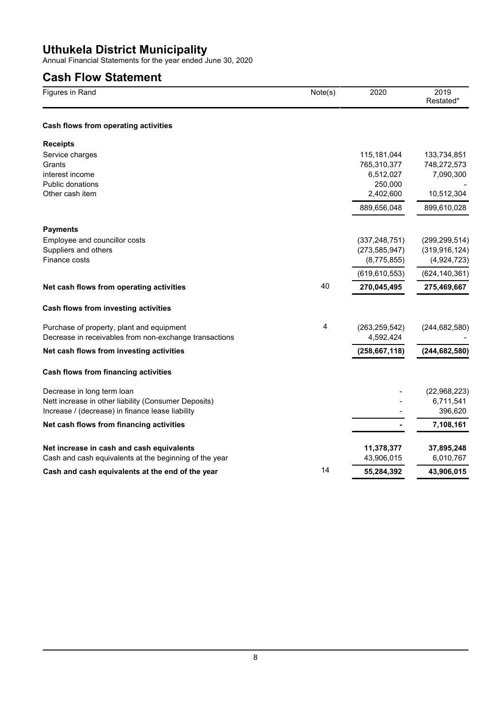Annual Financial Statements for the year ended June 30, 2020

## **Cash Flow Statement**

| Figures in Rand                                        | Note(s) | 2020            | 2019<br>Restated* |
|--------------------------------------------------------|---------|-----------------|-------------------|
| Cash flows from operating activities                   |         |                 |                   |
| <b>Receipts</b>                                        |         |                 |                   |
| Service charges                                        |         | 115,181,044     | 133,734,851       |
| Grants                                                 |         | 765,310,377     | 748,272,573       |
| interest income                                        |         | 6,512,027       | 7,090,300         |
| Public donations                                       |         | 250,000         |                   |
| Other cash item                                        |         | 2,402,600       | 10,512,304        |
|                                                        |         | 889,656,048     | 899,610,028       |
| <b>Payments</b>                                        |         |                 |                   |
| Employee and councillor costs                          |         | (337, 248, 751) | (299, 299, 514)   |
| Suppliers and others                                   |         | (273, 585, 947) | (319, 916, 124)   |
| Finance costs                                          |         | (8,775,855)     | (4,924,723)       |
|                                                        |         | (619, 610, 553) | (624, 140, 361)   |
| Net cash flows from operating activities               | 40      | 270,045,495     | 275,469,667       |
| Cash flows from investing activities                   |         |                 |                   |
| Purchase of property, plant and equipment              | 4       | (263, 259, 542) | (244, 682, 580)   |
| Decrease in receivables from non-exchange transactions |         | 4,592,424       |                   |
| Net cash flows from investing activities               |         | (258, 667, 118) | (244, 682, 580)   |
| Cash flows from financing activities                   |         |                 |                   |
| Decrease in long term loan                             |         |                 | (22,968,223)      |
| Nett increase in other liability (Consumer Deposits)   |         |                 | 6,711,541         |
| Increase / (decrease) in finance lease liability       |         |                 | 396,620           |
| Net cash flows from financing activities               |         |                 | 7,108,161         |
| Net increase in cash and cash equivalents              |         | 11,378,377      | 37,895,248        |
| Cash and cash equivalents at the beginning of the year |         | 43,906,015      | 6,010,767         |
| Cash and cash equivalents at the end of the year       | 14      | 55,284,392      | 43,906,015        |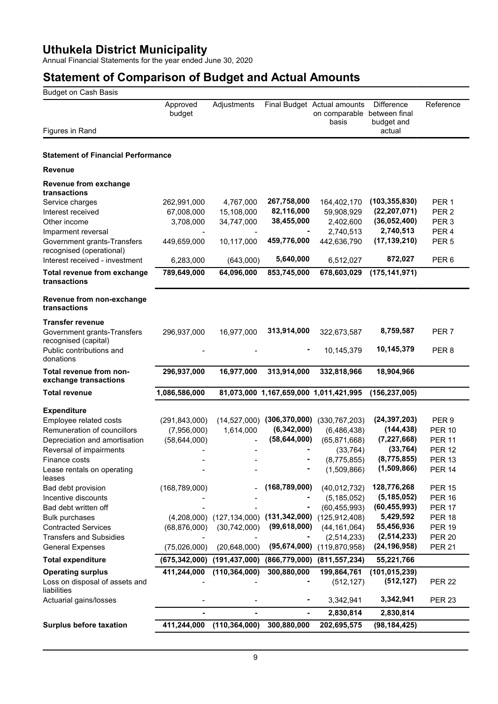Annual Financial Statements for the year ended June 30, 2020

| <b>Budget on Cash Basis</b>                             |                    |                               |                 |                                                                     |                                           |                  |
|---------------------------------------------------------|--------------------|-------------------------------|-----------------|---------------------------------------------------------------------|-------------------------------------------|------------------|
| Figures in Rand                                         | Approved<br>budget | Adjustments                   |                 | Final Budget Actual amounts<br>on comparable between final<br>basis | <b>Difference</b><br>budget and<br>actual | Reference        |
|                                                         |                    |                               |                 |                                                                     |                                           |                  |
| <b>Statement of Financial Performance</b>               |                    |                               |                 |                                                                     |                                           |                  |
| <b>Revenue</b>                                          |                    |                               |                 |                                                                     |                                           |                  |
| Revenue from exchange<br>transactions                   |                    |                               |                 |                                                                     |                                           |                  |
| Service charges                                         | 262,991,000        | 4,767,000                     | 267,758,000     | 164,402,170                                                         | (103, 355, 830)                           | PER <sub>1</sub> |
| Interest received                                       | 67,008,000         | 15,108,000                    | 82,116,000      | 59,908,929                                                          | (22, 207, 071)                            | PER <sub>2</sub> |
| Other income                                            | 3,708,000          | 34,747,000                    | 38,455,000      | 2,402,600                                                           | (36,052,400)                              | PER <sub>3</sub> |
| Imparment reversal                                      |                    |                               |                 | 2,740,513                                                           | 2,740,513                                 | PER <sub>4</sub> |
| Government grants-Transfers<br>recognised (operational) | 449,659,000        | 10,117,000                    | 459,776,000     | 442,636,790                                                         | (17, 139, 210)                            | PER <sub>5</sub> |
| Interest received - investment                          | 6,283,000          | (643,000)                     | 5,640,000       | 6,512,027                                                           | 872,027                                   | PER <sub>6</sub> |
| Total revenue from exchange<br>transactions             | 789,649,000        | 64,096,000                    | 853,745,000     | 678,603,029                                                         | (175, 141, 971)                           |                  |
| Revenue from non-exchange<br>transactions               |                    |                               |                 |                                                                     |                                           |                  |
| <b>Transfer revenue</b>                                 |                    |                               |                 |                                                                     |                                           |                  |
| Government grants-Transfers<br>recognised (capital)     | 296,937,000        | 16,977,000                    | 313,914,000     | 322,673,587                                                         | 8,759,587                                 | PER <sub>7</sub> |
| Public contributions and<br>donations                   |                    |                               | ۰               | 10,145,379                                                          | 10,145,379                                | PER <sub>8</sub> |
| Total revenue from non-<br>exchange transactions        | 296,937,000        | 16,977,000                    | 313,914,000     | 332,818,966                                                         | 18,904,966                                |                  |
| <b>Total revenue</b>                                    | 1,086,586,000      |                               |                 | 81,073,000 1,167,659,000 1,011,421,995                              | (156, 237, 005)                           |                  |
|                                                         |                    |                               |                 |                                                                     |                                           |                  |
| <b>Expenditure</b><br>Employee related costs            | (291, 843, 000)    | (14, 527, 000)                |                 | $(306, 370, 000)$ $(330, 767, 203)$                                 | (24, 397, 203)                            | PER <sub>9</sub> |
| Remuneration of councillors                             | (7,956,000)        | 1,614,000                     | (6, 342, 000)   | (6, 486, 438)                                                       | (144, 438)                                | <b>PER 10</b>    |
| Depreciation and amortisation                           | (58, 644, 000)     |                               | (58, 644, 000)  | (65, 871, 668)                                                      | (7, 227, 668)                             | <b>PER 11</b>    |
| Reversal of impairments                                 |                    |                               |                 | (33, 764)                                                           | (33, 764)                                 | <b>PER 12</b>    |
| Finance costs                                           |                    |                               |                 | (8,775,855)                                                         | (8,775,855)                               | <b>PER 13</b>    |
| Lease rentals on operating<br>leases                    |                    |                               |                 | (1,509,866)                                                         | (1,509,866)                               | <b>PER 14</b>    |
| Bad debt provision                                      | (168, 789, 000)    |                               | (168, 789, 000) | (40, 012, 732)                                                      | 128,776,268                               | <b>PER 15</b>    |
| Incentive discounts                                     |                    |                               |                 | (5, 185, 052)                                                       | (5, 185, 052)                             | <b>PER 16</b>    |
| Bad debt written off                                    |                    |                               |                 | (60, 455, 993)                                                      | (60, 455, 993)                            | <b>PER 17</b>    |
| <b>Bulk purchases</b>                                   |                    | $(4,208,000)$ $(127,134,000)$ | (131, 342, 000) | (125, 912, 408)                                                     | 5,429,592                                 | <b>PER 18</b>    |
| <b>Contracted Services</b>                              | (68, 876, 000)     | (30, 742, 000)                | (99, 618, 000)  | (44, 161, 064)                                                      | 55,456,936                                | <b>PER 19</b>    |
| <b>Transfers and Subsidies</b>                          |                    |                               |                 | (2, 514, 233)                                                       | (2, 514, 233)                             | <b>PER 20</b>    |
| <b>General Expenses</b>                                 | (75,026,000)       | (20, 648, 000)                | (95,674,000)    | (119, 870, 958)                                                     | (24, 196, 958)                            | <b>PER 21</b>    |
| <b>Total expenditure</b>                                | (675,342,000)      | (191, 437, 000)               | (866, 779, 000) | (811, 557, 234)                                                     | 55,221,766                                |                  |
| <b>Operating surplus</b>                                | 411,244,000        | (110, 364, 000)               | 300,880,000     | 199,864,761                                                         | (101, 015, 239)                           |                  |
| Loss on disposal of assets and<br>liabilities           |                    |                               |                 | (512, 127)                                                          | (512, 127)                                | <b>PER 22</b>    |
| Actuarial gains/losses                                  |                    |                               |                 | 3,342,941                                                           | 3,342,941                                 | <b>PER 23</b>    |
|                                                         |                    |                               |                 | 2,830,814                                                           | 2,830,814                                 |                  |
| <b>Surplus before taxation</b>                          | 411,244,000        | (110, 364, 000)               | 300,880,000     | 202,695,575                                                         | (98, 184, 425)                            |                  |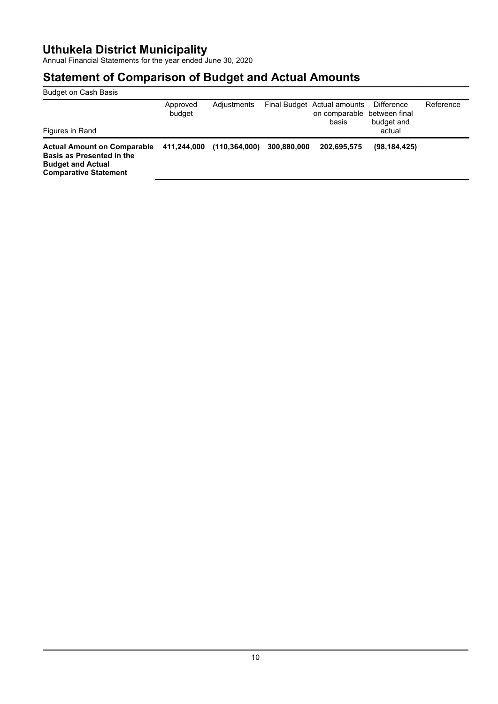Annual Financial Statements for the year ended June 30, 2020

| <b>Budget on Cash Basis</b>                                                                                                        |                    |                 |             |                                                                     |                                           |           |
|------------------------------------------------------------------------------------------------------------------------------------|--------------------|-----------------|-------------|---------------------------------------------------------------------|-------------------------------------------|-----------|
| Figures in Rand                                                                                                                    | Approved<br>budget | Adjustments     |             | Final Budget Actual amounts<br>on comparable between final<br>basis | <b>Difference</b><br>budget and<br>actual | Reference |
| <b>Actual Amount on Comparable</b><br><b>Basis as Presented in the</b><br><b>Budget and Actual</b><br><b>Comparative Statement</b> | 411.244.000        | (110, 364, 000) | 300,880,000 | 202.695.575                                                         | (98, 184, 425)                            |           |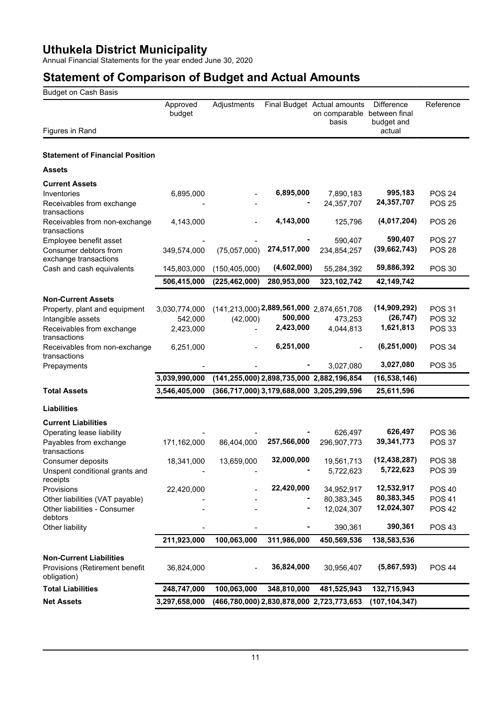Annual Financial Statements for the year ended June 30, 2020

| <b>Budget on Cash Basis</b>                     |                    |                 |             |                                                                     |                                           |                                |
|-------------------------------------------------|--------------------|-----------------|-------------|---------------------------------------------------------------------|-------------------------------------------|--------------------------------|
| Figures in Rand                                 | Approved<br>budget | Adjustments     |             | Final Budget Actual amounts<br>on comparable between final<br>basis | <b>Difference</b><br>budget and<br>actual | Reference                      |
|                                                 |                    |                 |             |                                                                     |                                           |                                |
| <b>Statement of Financial Position</b>          |                    |                 |             |                                                                     |                                           |                                |
| <b>Assets</b>                                   |                    |                 |             |                                                                     |                                           |                                |
| <b>Current Assets</b>                           |                    |                 |             |                                                                     |                                           |                                |
| Inventories                                     | 6,895,000          |                 | 6,895,000   | 7,890,183                                                           | 995,183                                   | <b>POS 24</b>                  |
| Receivables from exchange                       |                    |                 |             | 24,357,707                                                          | 24,357,707                                | <b>POS 25</b>                  |
| transactions                                    |                    |                 |             |                                                                     |                                           |                                |
| Receivables from non-exchange<br>transactions   | 4,143,000          |                 | 4,143,000   | 125,796                                                             | (4,017,204)<br>590,407                    | <b>POS 26</b>                  |
| Employee benefit asset<br>Consumer debtors from | 349,574,000        | (75,057,000)    | 274,517,000 | 590,407<br>234,854,257                                              | (39, 662, 743)                            | <b>POS 27</b><br><b>POS 28</b> |
| exchange transactions                           |                    |                 |             |                                                                     |                                           |                                |
| Cash and cash equivalents                       | 145,803,000        | (150, 405, 000) | (4,602,000) | 55,284,392                                                          | 59,886,392                                | <b>POS 30</b>                  |
|                                                 | 506,415,000        | (225, 462, 000) | 280,953,000 | 323,102,742                                                         | 42,149,742                                |                                |
| <b>Non-Current Assets</b>                       |                    |                 |             |                                                                     |                                           |                                |
| Property, plant and equipment                   | 3,030,774,000      |                 |             | $(141, 213, 000)$ 2,889,561,000 2,874,651,708                       | (14,909,292)                              | <b>POS 31</b>                  |
| Intangible assets                               | 542,000            | (42,000)        | 500,000     | 473,253                                                             | (26, 747)                                 | <b>POS 32</b>                  |
| Receivables from exchange<br>transactions       | 2,423,000          |                 | 2,423,000   | 4,044,813                                                           | 1,621,813                                 | <b>POS 33</b>                  |
| Receivables from non-exchange<br>transactions   | 6,251,000          |                 | 6,251,000   |                                                                     | (6, 251, 000)                             | <b>POS 34</b>                  |
| Prepayments                                     |                    |                 |             | 3,027,080                                                           | 3,027,080                                 | <b>POS 35</b>                  |
|                                                 | 3,039,990,000      |                 |             | (141,255,000) 2,898,735,000 2,882,196,854                           | (16, 538, 146)                            |                                |
| <b>Total Assets</b>                             | 3,546,405,000      |                 |             | (366,717,000) 3,179,688,000 3,205,299,596                           | 25,611,596                                |                                |
| <b>Liabilities</b>                              |                    |                 |             |                                                                     |                                           |                                |
| <b>Current Liabilities</b>                      |                    |                 |             |                                                                     |                                           |                                |
| Operating lease liability                       |                    |                 |             | 626,497                                                             | 626,497                                   | <b>POS 36</b>                  |
| Payables from exchange<br>transactions          | 171,162,000        | 86,404,000      | 257,566,000 | 296,907,773                                                         | 39,341,773                                | <b>POS 37</b>                  |
| Consumer deposits                               | 18,341,000         | 13,659,000      | 32,000,000  | 19,561,713                                                          | (12, 438, 287)                            | <b>POS 38</b>                  |
| Unspent conditional grants and<br>receipts      |                    |                 |             | 5,722,623                                                           | 5,722,623                                 | <b>POS 39</b>                  |
| Provisions                                      | 22,420,000         |                 | 22,420,000  | 34,952,917                                                          | 12,532,917                                | <b>POS 40</b>                  |
| Other liabilities (VAT payable)                 |                    |                 |             | 80,383,345                                                          | 80,383,345<br>12,024,307                  | <b>POS 41</b>                  |
| Other liabilities - Consumer<br>debtors         |                    |                 |             | 12,024,307                                                          |                                           | <b>POS 42</b>                  |
| Other liability                                 |                    |                 |             | 390,361                                                             | 390,361                                   | <b>POS 43</b>                  |
|                                                 | 211,923,000        | 100,063,000     | 311,986,000 | 450,569,536                                                         | 138,583,536                               |                                |
| <b>Non-Current Liabilities</b>                  |                    |                 |             |                                                                     |                                           |                                |
| Provisions (Retirement benefit<br>obligation)   | 36,824,000         |                 | 36,824,000  | 30,956,407                                                          | (5,867,593)                               | <b>POS 44</b>                  |
| <b>Total Liabilities</b>                        | 248,747,000        | 100,063,000     | 348,810,000 | 481,525,943                                                         | 132,715,943                               |                                |
| <b>Net Assets</b>                               | 3,297,658,000      |                 |             | (466,780,000) 2,830,878,000 2,723,773,653                           | (107, 104, 347)                           |                                |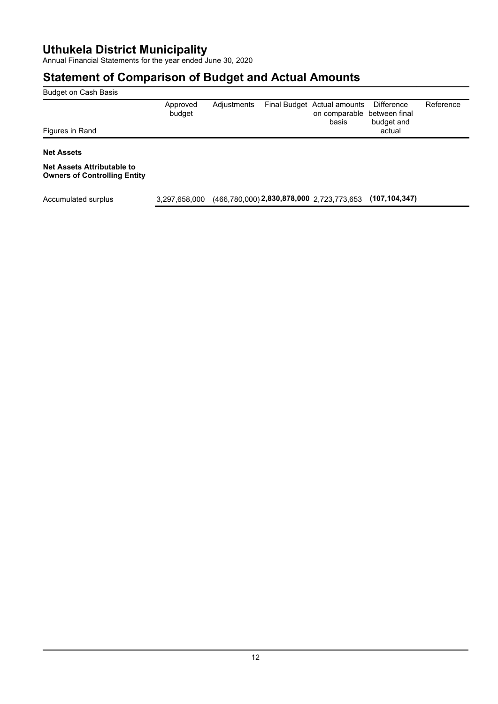Annual Financial Statements for the year ended June 30, 2020

## **Statement of Comparison of Budget and Actual Amounts**

| Budget on Cash Basis                                                     |                    |             |                                                                     |                                           |           |
|--------------------------------------------------------------------------|--------------------|-------------|---------------------------------------------------------------------|-------------------------------------------|-----------|
| Figures in Rand                                                          | Approved<br>budget | Adjustments | Final Budget Actual amounts<br>on comparable between final<br>basis | <b>Difference</b><br>budget and<br>actual | Reference |
|                                                                          |                    |             |                                                                     |                                           |           |
| <b>Net Assets</b>                                                        |                    |             |                                                                     |                                           |           |
| <b>Net Assets Attributable to</b><br><b>Owners of Controlling Entity</b> |                    |             |                                                                     |                                           |           |

Accumulated surplus 3,297,658,000 (466,780,000) **2,830,878,000** 2,723,773,653 **(107,104,347)**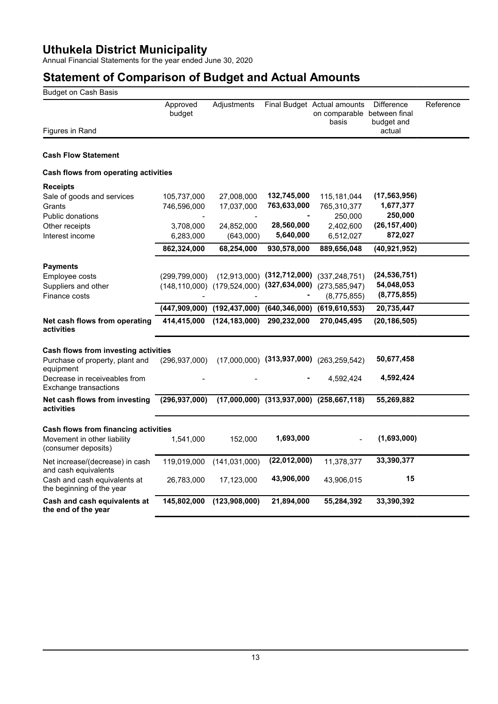Annual Financial Statements for the year ended June 30, 2020

| Approved<br>Adjustments<br>Final Budget Actual amounts<br>budget<br>on comparable between final<br>basis<br>Figures in Rand<br><b>Cash Flow Statement</b><br>Cash flows from operating activities | <b>Difference</b><br>Reference<br>budget and<br>actual |
|---------------------------------------------------------------------------------------------------------------------------------------------------------------------------------------------------|--------------------------------------------------------|
|                                                                                                                                                                                                   |                                                        |
|                                                                                                                                                                                                   |                                                        |
|                                                                                                                                                                                                   |                                                        |
|                                                                                                                                                                                                   |                                                        |
| <b>Receipts</b>                                                                                                                                                                                   |                                                        |
| 132,745,000<br>27,008,000<br>115,181,044<br>Sale of goods and services<br>105,737,000                                                                                                             | (17, 563, 956)                                         |
| 763,633,000<br>17,037,000<br>765,310,377<br>Grants<br>746,596,000                                                                                                                                 | 1,677,377                                              |
| <b>Public donations</b><br>250,000                                                                                                                                                                | 250,000                                                |
| 28,560,000<br>2,402,600<br>3,708,000<br>24,852,000<br>Other receipts                                                                                                                              | (26, 157, 400)                                         |
| 5,640,000<br>6,512,027<br>Interest income<br>6,283,000<br>(643,000)                                                                                                                               | 872,027                                                |
| 862,324,000<br>68,254,000<br>930,578,000<br>889,656,048                                                                                                                                           | (40, 921, 952)                                         |
| <b>Payments</b>                                                                                                                                                                                   |                                                        |
| $(12,913,000)$ $(312,712,000)$<br>(337, 248, 751)<br>Employee costs<br>(299, 799, 000)                                                                                                            | (24, 536, 751)                                         |
| $(148, 110, 000)$ $(179, 524, 000)$ $(327, 634, 000)$<br>(273, 585, 947)<br>Suppliers and other                                                                                                   | 54,048,053                                             |
| Finance costs<br>(8,775,855)                                                                                                                                                                      | (8,775,855)                                            |
| (447,909,000) (192,437,000) (640,346,000) (619,610,553)                                                                                                                                           | 20,735,447                                             |
|                                                                                                                                                                                                   |                                                        |
| (124, 183, 000)<br>290,232,000<br>270,045,495<br>Net cash flows from operating<br>414,415,000<br>activities                                                                                       | (20, 186, 505)                                         |
| Cash flows from investing activities                                                                                                                                                              |                                                        |
| $(17,000,000)$ $(313,937,000)$ $(263,259,542)$<br>Purchase of property, plant and<br>(296, 937, 000)<br>equipment                                                                                 | 50,677,458                                             |
| Decrease in receiveables from<br>4,592,424<br>Exchange transactions                                                                                                                               | 4,592,424                                              |
| $(17,000,000)$ $(313,937,000)$ $(258,667,118)$<br>Net cash flows from investing<br>(296, 937, 000)<br>activities                                                                                  | 55,269,882                                             |
|                                                                                                                                                                                                   |                                                        |
| Cash flows from financing activities<br>1,693,000<br>Movement in other liability<br>1,541,000<br>152,000<br>(consumer deposits)                                                                   | (1,693,000)                                            |
| (22,012,000)<br>Net increase/(decrease) in cash<br>119,019,000<br>(141, 031, 000)<br>11,378,377<br>and cash equivalents                                                                           | 33,390,377                                             |
| 43,906,000<br>Cash and cash equivalents at<br>17,123,000<br>43,906,015<br>26,783,000<br>the beginning of the year                                                                                 | 15                                                     |
| Cash and cash equivalents at<br>145,802,000<br>(123,908,000)<br>21,894,000<br>55,284,392<br>the end of the year                                                                                   | 33,390,392                                             |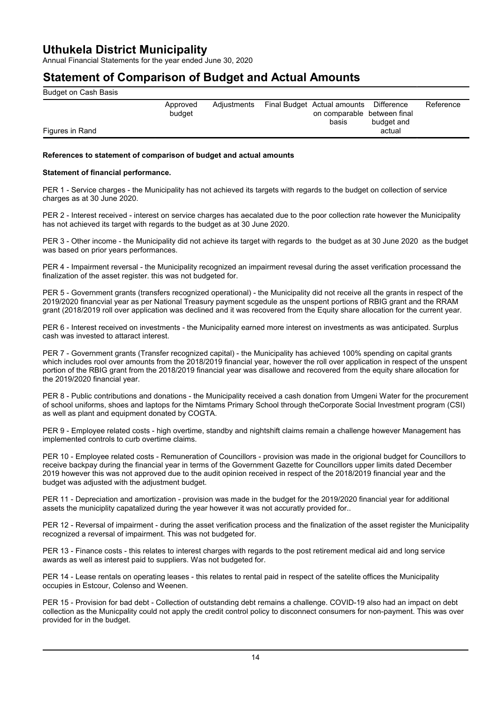Annual Financial Statements for the year ended June 30, 2020

## **Statement of Comparison of Budget and Actual Amounts**

| Budget on Cash Basis |                    |             |                                                                                                           |
|----------------------|--------------------|-------------|-----------------------------------------------------------------------------------------------------------|
|                      | Approved<br>budget | Adjustments | Final Budget Actual amounts Difference<br>Reference<br>on comparable between final<br>budget and<br>basis |
| Figures in Rand      |                    |             | actual                                                                                                    |
|                      |                    |             |                                                                                                           |

### **References to statement of comparison of budget and actual amounts**

### **Statement of financial performance.**

PER 1 - Service charges - the Municipality has not achieved its targets with regards to the budget on collection of service charges as at 30 June 2020.

PER 2 - Interest received - interest on service charges has aecalated due to the poor collection rate however the Municipality has not achieved its target with regards to the budget as at 30 June 2020.

PER 3 - Other income - the Municipality did not achieve its target with regards to the budget as at 30 June 2020 as the budget was based on prior years performances.

PER 4 - Impairment reversal - the Municipality recognized an impairment revesal during the asset verification processand the finalization of the asset register. this was not budgeted for.

PER 5 - Government grants (transfers recognized operational) - the Municipality did not receive all the grants in respect of the 2019/2020 financvial year as per National Treasury payment scgedule as the unspent portions of RBIG grant and the RRAM grant (2018/2019 roll over application was declined and it was recovered from the Equity share allocation for the current year.

PER 6 - Interest received on investments - the Municipality earned more interest on investments as was anticipated. Surplus cash was invested to attaract interest.

PER 7 - Government grants (Transfer recognized capital) - the Municipality has achieved 100% spending on capital grants which includes rool over amounts from the 2018/2019 financial year, however the roll over application in respect of the unspent portion of the RBIG grant from the 2018/2019 financial year was disallowe and recovered from the equity share allocation for the 2019/2020 financial year.

PER 8 - Public contributions and donations - the Municipality received a cash donation from Umgeni Water for the procurement of school uniforms, shoes and laptops for the Nimtams Primary School through theCorporate Social Investment program (CSI) as well as plant and equipment donated by COGTA.

PER 9 - Employee related costs - high overtime, standby and nightshift claims remain a challenge however Management has implemented controls to curb overtime claims.

PER 10 - Employee related costs - Remuneration of Councillors - provision was made in the origional budget for Councillors to receive backpay during the financial year in terms of the Government Gazette for Councillors upper limits dated December 2019 however this was not approved due to the audit opinion received in respect of the 2018/2019 financial year and the budget was adjusted with the adjustment budget.

PER 11 - Depreciation and amortization - provision was made in the budget for the 2019/2020 financial year for additional assets the municiplity capatalized during the year however it was not accuratly provided for..

PER 12 - Reversal of impairment - during the asset verification process and the finalization of the asset register the Municipality recognized a reversal of impairment. This was not budgeted for.

PER 13 - Finance costs - this relates to interest charges with regards to the post retirement medical aid and long service awards as well as interest paid to suppliers. Was not budgeted for.

PER 14 - Lease rentals on operating leases - this relates to rental paid in respect of the satelite offices the Municipality occupies in Estcour, Colenso and Weenen.

PER 15 - Provision for bad debt - Collection of outstanding debt remains a challenge. COVID-19 also had an impact on debt collection as the Municpality could not apply the credit control policy to disconnect consumers for non-payment. This was over provided for in the budget.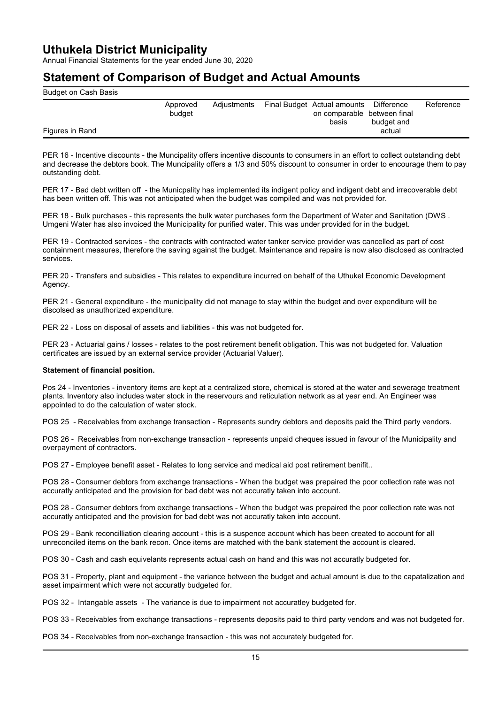Annual Financial Statements for the year ended June 30, 2020

### **Statement of Comparison of Budget and Actual Amounts**

| Budget on Cash Basis |                    |             |                                                                     |                          |           |
|----------------------|--------------------|-------------|---------------------------------------------------------------------|--------------------------|-----------|
|                      | Approved<br>budget | Adjustments | Final Budget Actual amounts<br>on comparable between final<br>basis | Difference<br>budget and | Reference |
| Figures in Rand      |                    |             |                                                                     | actual                   |           |

PER 16 - Incentive discounts - the Muncipality offers incentive discounts to consumers in an effort to collect outstanding debt and decrease the debtors book. The Muncipality offers a 1/3 and 50% discount to consumer in order to encourage them to pay outstanding debt.

PER 17 - Bad debt written off - the Municpality has implemented its indigent policy and indigent debt and irrecoverable debt has been written off. This was not anticipated when the budget was compiled and was not provided for.

PER 18 - Bulk purchases - this represents the bulk water purchases form the Department of Water and Sanitation (DWS . Umgeni Water has also invoiced the Municipality for purified water. This was under provided for in the budget.

PER 19 - Contracted services - the contracts with contracted water tanker service provider was cancelled as part of cost containment measures, therefore the saving against the budget. Maintenance and repairs is now also disclosed as contracted services.

PER 20 - Transfers and subsidies - This relates to expenditure incurred on behalf of the Uthukel Economic Development Agency.

PER 21 - General expenditure - the municipality did not manage to stay within the budget and over expenditure will be discolsed as unauthorized expenditure.

PER 22 - Loss on disposal of assets and liabilities - this was not budgeted for.

PER 23 - Actuarial gains / losses - relates to the post retirement benefit obligation. This was not budgeted for. Valuation certificates are issued by an external service provider (Actuarial Valuer).

### **Statement of financial position.**

Pos 24 - Inventories - inventory items are kept at a centralized store, chemical is stored at the water and sewerage treatment plants. Inventory also includes water stock in the reservours and reticulation network as at year end. An Engineer was appointed to do the calculation of water stock.

POS 25 - Receivables from exchange transaction - Represents sundry debtors and deposits paid the Third party vendors.

POS 26 - Receivables from non-exchange transaction - represents unpaid cheques issued in favour of the Municipality and overpayment of contractors.

POS 27 - Employee benefit asset - Relates to long service and medical aid post retirement benifit..

POS 28 - Consumer debtors from exchange transactions - When the budget was prepaired the poor collection rate was not accuratly anticipated and the provision for bad debt was not accuratly taken into account.

POS 28 - Consumer debtors from exchange transactions - When the budget was prepaired the poor collection rate was not accuratly anticipated and the provision for bad debt was not accuratly taken into account.

POS 29 - Bank reconcilliation clearing account - this is a suspence account which has been created to account for all unreconciled items on the bank recon. Once items are matched with the bank statement the account is cleared.

POS 30 - Cash and cash equivelants represents actual cash on hand and this was not accuratly budgeted for.

POS 31 - Property, plant and equipment - the variance between the budget and actual amount is due to the capatalization and asset impairment which were not accuratly budgeted for.

POS 32 - Intangable assets - The variance is due to impairment not accuratley budgeted for.

POS 33 - Receivables from exchange transactions - represents deposits paid to third party vendors and was not budgeted for.

POS 34 - Receivables from non-exchange transaction - this was not accurately budgeted for.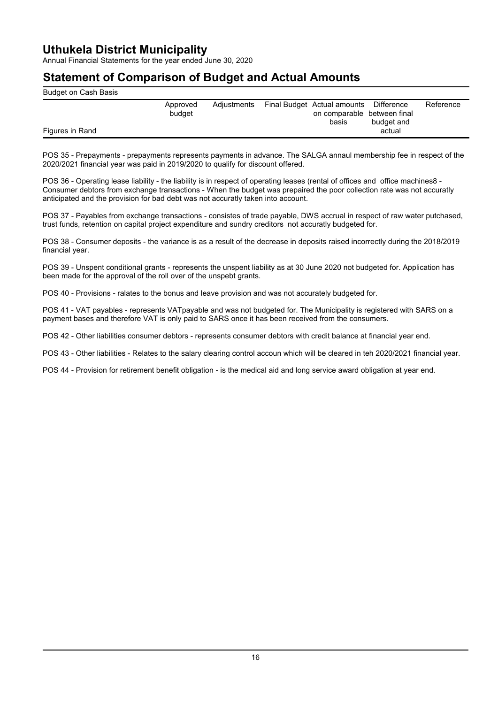Annual Financial Statements for the year ended June 30, 2020

## **Statement of Comparison of Budget and Actual Amounts**

| Budget on Cash Basis |                    |             |                                                                                |            |           |
|----------------------|--------------------|-------------|--------------------------------------------------------------------------------|------------|-----------|
|                      | Approved<br>budget | Adjustments | Final Budget Actual amounts Difference<br>on comparable between final<br>basis | budget and | Reference |
| Figures in Rand      |                    |             |                                                                                | actual     |           |

POS 35 - Prepayments - prepayments represents payments in advance. The SALGA annaul membership fee in respect of the 2020/2021 financial year was paid in 2019/2020 to qualify for discount offered.

POS 36 - Operating lease liability - the liability is in respect of operating leases (rental of offices and office machines8 - Consumer debtors from exchange transactions - When the budget was prepaired the poor collection rate was not accuratly anticipated and the provision for bad debt was not accuratly taken into account.

POS 37 - Payables from exchange transactions - consistes of trade payable, DWS accrual in respect of raw water putchased, trust funds, retention on capital project expenditure and sundry creditors not accuratly budgeted for.

POS 38 - Consumer deposits - the variance is as a result of the decrease in deposits raised incorrectly during the 2018/2019 financial year.

POS 39 - Unspent conditional grants - represents the unspent liability as at 30 June 2020 not budgeted for. Application has been made for the approval of the roll over of the unspebt grants.

POS 40 - Provisions - ralates to the bonus and leave provision and was not accurately budgeted for.

POS 41 - VAT payables - represents VATpayable and was not budgeted for. The Municipality is registered with SARS on a payment bases and therefore VAT is only paid to SARS once it has been received from the consumers.

POS 42 - Other liabilities consumer debtors - represents consumer debtors with credit balance at financial year end.

POS 43 - Other liabilities - Relates to the salary clearing control accoun which will be cleared in teh 2020/2021 financial year.

POS 44 - Provision for retirement benefit obligation - is the medical aid and long service award obligation at year end.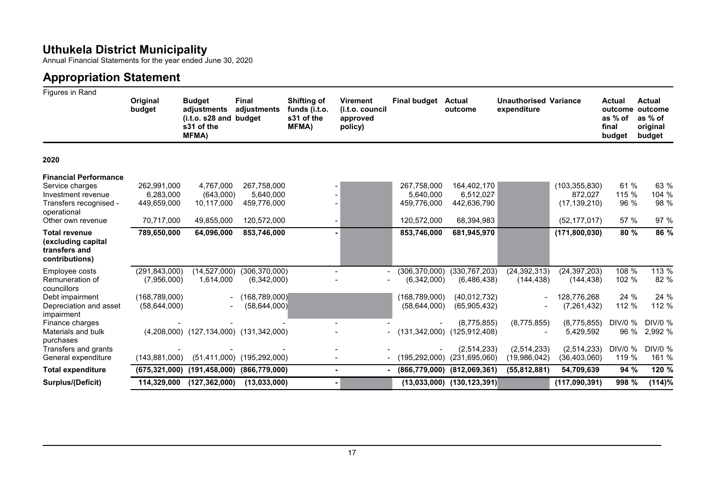Annual Financial Statements for the year ended June 30, 2020

# **Appropriation Statement**

| Figures in Rand                                                                                                                     |                                                                     |                                                                                      |                                                                     |                                                                    |                                                           |                                                                     |                                                                |                                             |                                                                |                                                        |                                                           |
|-------------------------------------------------------------------------------------------------------------------------------------|---------------------------------------------------------------------|--------------------------------------------------------------------------------------|---------------------------------------------------------------------|--------------------------------------------------------------------|-----------------------------------------------------------|---------------------------------------------------------------------|----------------------------------------------------------------|---------------------------------------------|----------------------------------------------------------------|--------------------------------------------------------|-----------------------------------------------------------|
|                                                                                                                                     | Original<br>budget                                                  | <b>Budget</b><br>adjustments<br>(i.t.o. s28 and budget<br>s31 of the<br><b>MFMA)</b> | <b>Final</b><br>adjustments                                         | <b>Shifting of</b><br>funds (i.t.o.<br>s31 of the<br><b>MFMA</b> ) | <b>Virement</b><br>(i.t.o. council<br>approved<br>policy) | <b>Final budget</b>                                                 | <b>Actual</b><br>outcome                                       | <b>Unauthorised Variance</b><br>expenditure |                                                                | <b>Actual</b><br>outcome<br>as % of<br>final<br>budget | <b>Actual</b><br>outcome<br>as % of<br>original<br>budget |
| 2020                                                                                                                                |                                                                     |                                                                                      |                                                                     |                                                                    |                                                           |                                                                     |                                                                |                                             |                                                                |                                                        |                                                           |
| <b>Financial Performance</b><br>Service charges<br>Investment revenue<br>Transfers recognised -<br>operational<br>Other own revenue | 262,991,000<br>6,283,000<br>449,659,000<br>70,717,000               | 4.767.000<br>(643,000)<br>10,117,000<br>49,855,000                                   | 267.758.000<br>5,640,000<br>459,776,000<br>120,572,000              |                                                                    |                                                           | 267,758,000<br>5.640.000<br>459.776.000<br>120,572,000              | 164,402,170<br>6,512,027<br>442,636,790<br>68,394,983          |                                             | (103, 355, 830)<br>872.027<br>(17, 139, 210)<br>(52, 177, 017) | 61 %<br>115 %<br>96 %<br>57 %                          | 63 %<br>104 %<br>98 %<br>97 %                             |
| <b>Total revenue</b><br>(excluding capital<br>transfers and<br>contributions)                                                       | 789,650,000                                                         | 64,096,000                                                                           | 853,746,000                                                         |                                                                    |                                                           | 853,746,000                                                         | 681,945,970                                                    |                                             | (171, 800, 030)                                                | 80 %                                                   | 86 %                                                      |
| Employee costs<br>Remuneration of<br>councillors<br>Debt impairment<br>Depreciation and asset                                       | (291, 843, 000)<br>(7,956,000)<br>(168, 789, 000)<br>(58, 644, 000) | (14, 527, 000)<br>1,614,000                                                          | (306, 370, 000)<br>(6,342,000)<br>(168, 789, 000)<br>(58, 644, 000) |                                                                    |                                                           | (306, 370, 000)<br>(6,342,000)<br>(168, 789, 000)<br>(58, 644, 000) | (330, 767, 203)<br>(6,486,438)<br>(40,012,732)<br>(65,905,432) | (24, 392, 313)<br>(144, 438)                | (24, 397, 203)<br>(144, 438)<br>128,776,268<br>(7, 261, 432)   | 108 %<br>102 %<br>24 %<br>112 %                        | 113 %<br>82 %<br>24 %<br>112 %                            |
| impairment<br>Finance charges<br>Materials and bulk<br>purchases                                                                    |                                                                     | (4,208,000) (127,134,000) (131,342,000)                                              |                                                                     |                                                                    |                                                           |                                                                     | (8,775,855)<br>$(131,342,000)$ $(125,912,408)$                 | (8,775,855)                                 | (8,775,855)<br>5,429,592                                       | DIV/0 %<br>96 %                                        | DIV/0 %<br>2,992 %                                        |
| Transfers and grants<br>General expenditure                                                                                         | (143, 881, 000)                                                     |                                                                                      | $(51,411,000)$ $(195,292,000)$                                      |                                                                    |                                                           |                                                                     | (2,514,233)<br>$(195, 292, 000)$ $(231, 695, 060)$             | (2,514,233)<br>(19,986,042)                 | (2,514,233)<br>(36, 403, 060)                                  | DIV/0 %<br>119 %                                       | DIV/0 %<br>161 %                                          |
| <b>Total expenditure</b>                                                                                                            | (675, 321, 000)                                                     | (191, 458, 000)                                                                      | (866, 779, 000)                                                     |                                                                    |                                                           |                                                                     | $(866,779,000)$ $(812,069,361)$                                | (55, 812, 881)                              | 54,709,639                                                     | 94 %                                                   | 120 %                                                     |
| Surplus/(Deficit)                                                                                                                   |                                                                     | 114,329,000 (127,362,000)                                                            | (13,033,000)                                                        |                                                                    |                                                           |                                                                     | $(13,033,000)$ $(130,123,391)$                                 |                                             | (117,090,391)                                                  | 998 %                                                  | (114)%                                                    |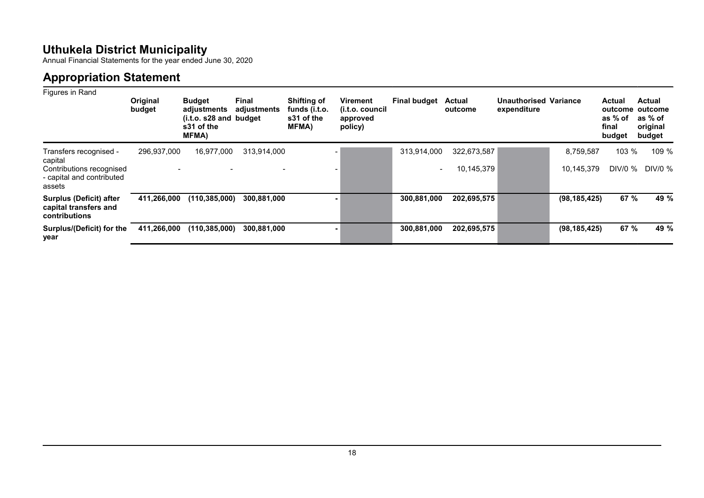Annual Financial Statements for the year ended June 30, 2020

# **Appropriation Statement**

| Figures in Rand                                                                                      | Original<br>budget | <b>Budget</b><br>adjustments<br>(i.t.o. s28 and budget)<br>s31 of the<br><b>MFMA)</b> | <b>Final</b><br>adjustments | <b>Shifting of</b><br>funds (i.t.o.<br>s31 of the<br>MFMA) | <b>Virement</b><br>(i.t.o. council<br>approved<br>policy) | <b>Final budget</b>                     | <b>Actual</b><br>outcome  | <b>Unauthorised Variance</b><br>expenditure |                         | <b>Actual</b><br>outcome<br>as % of<br>final<br>budget | <b>Actual</b><br>outcome<br>as % of<br>original<br>budget |
|------------------------------------------------------------------------------------------------------|--------------------|---------------------------------------------------------------------------------------|-----------------------------|------------------------------------------------------------|-----------------------------------------------------------|-----------------------------------------|---------------------------|---------------------------------------------|-------------------------|--------------------------------------------------------|-----------------------------------------------------------|
| Transfers recognised -<br>capital<br>Contributions recognised<br>- capital and contributed<br>assets | 296,937,000        | 16.977.000                                                                            | 313,914,000                 |                                                            |                                                           | 313.914.000<br>$\overline{\phantom{a}}$ | 322,673,587<br>10,145,379 |                                             | 8,759,587<br>10.145.379 | 103 %<br>DIV/0 %                                       | 109 %<br>DIV/0 %                                          |
| <b>Surplus (Deficit) after</b><br>capital transfers and<br>contributions                             | 411,266,000        | (110, 385, 000)                                                                       | 300,881,000                 |                                                            |                                                           | 300,881,000                             | 202,695,575               |                                             | (98, 185, 425)          | 67 %                                                   | 49 %                                                      |
| <b>Surplus/(Deficit) for the</b><br>year                                                             | 411,266,000        | (110, 385, 000)                                                                       | 300,881,000                 |                                                            |                                                           | 300,881,000                             | 202,695,575               |                                             | (98, 185, 425)          | 67 %                                                   | 49 %                                                      |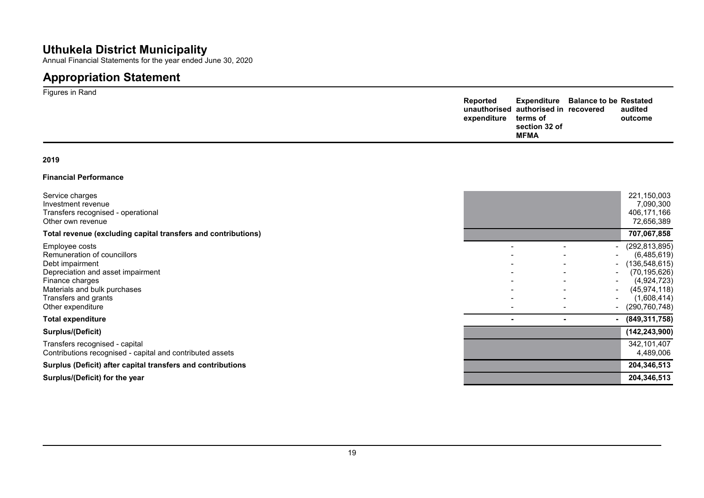Annual Financial Statements for the year ended June 30, 2020

# **Appropriation Statement**

| Figures in Rand | Reported<br>expenditure | unauthorised authorised in recovered<br>terms of | <b>Expenditure</b> Balance to be Restated | audited<br>outcome |
|-----------------|-------------------------|--------------------------------------------------|-------------------------------------------|--------------------|
|                 |                         | section 32 of<br><b>MFMA</b>                     |                                           |                    |

### **2019**

### **Financial Performance**

| Service charges<br>Investment revenue<br>Transfers recognised - operational<br>Other own revenue                                                                                                      |  | 221,150,003<br>7,090,300<br>406,171,166<br>72,656,389                                                                                    |
|-------------------------------------------------------------------------------------------------------------------------------------------------------------------------------------------------------|--|------------------------------------------------------------------------------------------------------------------------------------------|
| Total revenue (excluding capital transfers and contributions)                                                                                                                                         |  | 707,067,858                                                                                                                              |
| Employee costs<br>Remuneration of councillors<br>Debt impairment<br>Depreciation and asset impairment<br>Finance charges<br>Materials and bulk purchases<br>Transfers and grants<br>Other expenditure |  | (292, 813, 895)<br>(6,485,619)<br>(136, 548, 615)<br>(70, 195, 626)<br>(4,924,723)<br>(45, 974, 118)<br>(1,608,414)<br>$-$ (290,760,748) |
| <b>Total expenditure</b>                                                                                                                                                                              |  | $-$ (849,311,758)                                                                                                                        |
| Surplus/(Deficit)                                                                                                                                                                                     |  | (142, 243, 900)                                                                                                                          |
| Transfers recognised - capital<br>Contributions recognised - capital and contributed assets                                                                                                           |  | 342,101,407<br>4,489,006                                                                                                                 |
| Surplus (Deficit) after capital transfers and contributions                                                                                                                                           |  | 204,346,513                                                                                                                              |
| Surplus/(Deficit) for the year                                                                                                                                                                        |  | 204,346,513                                                                                                                              |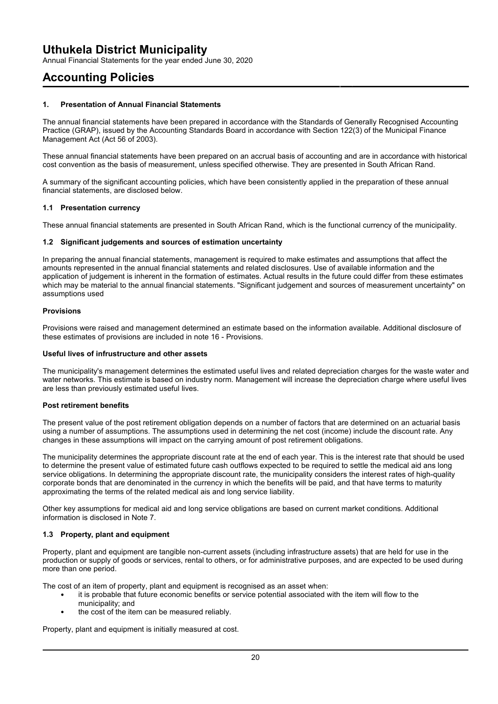Annual Financial Statements for the year ended June 30, 2020

## **Accounting Policies**

### **1. Presentation of Annual Financial Statements**

The annual financial statements have been prepared in accordance with the Standards of Generally Recognised Accounting Practice (GRAP), issued by the Accounting Standards Board in accordance with Section 122(3) of the Municipal Finance Management Act (Act 56 of 2003).

These annual financial statements have been prepared on an accrual basis of accounting and are in accordance with historical cost convention as the basis of measurement, unless specified otherwise. They are presented in South African Rand.

A summary of the significant accounting policies, which have been consistently applied in the preparation of these annual financial statements, are disclosed below.

### **1.1 Presentation currency**

These annual financial statements are presented in South African Rand, which is the functional currency of the municipality.

### **1.2 Significant judgements and sources of estimation uncertainty**

In preparing the annual financial statements, management is required to make estimates and assumptions that affect the amounts represented in the annual financial statements and related disclosures. Use of available information and the application of judgement is inherent in the formation of estimates. Actual results in the future could differ from these estimates which may be material to the annual financial statements. "Significant judgement and sources of measurement uncertainty" on assumptions used

### **Provisions**

Provisions were raised and management determined an estimate based on the information available. Additional disclosure of these estimates of provisions are included in note 16 - Provisions.

### **Useful lives of infrustructure and other assets**

The municipality's management determines the estimated useful lives and related depreciation charges for the waste water and water networks. This estimate is based on industry norm. Management will increase the depreciation charge where useful lives are less than previously estimated useful lives.

### **Post retirement benefits**

The present value of the post retirement obligation depends on a number of factors that are determined on an actuarial basis using a number of assumptions. The assumptions used in determining the net cost (income) include the discount rate. Any changes in these assumptions will impact on the carrying amount of post retirement obligations.

The municipality determines the appropriate discount rate at the end of each year. This is the interest rate that should be used to determine the present value of estimated future cash outflows expected to be required to settle the medical aid ans long service obligations. In determining the appropriate discount rate, the municipality considers the interest rates of high-quality corporate bonds that are denominated in the currency in which the benefits will be paid, and that have terms to maturity approximating the terms of the related medical ais and long service liability.

Other key assumptions for medical aid and long service obligations are based on current market conditions. Additional information is disclosed in Note 7.

### **1.3 Property, plant and equipment**

Property, plant and equipment are tangible non-current assets (including infrastructure assets) that are held for use in the production or supply of goods or services, rental to others, or for administrative purposes, and are expected to be used during more than one period.

The cost of an item of property, plant and equipment is recognised as an asset when:

- it is probable that future economic benefits or service potential associated with the item will flow to the municipality; and
	- the cost of the item can be measured reliably.

Property, plant and equipment is initially measured at cost.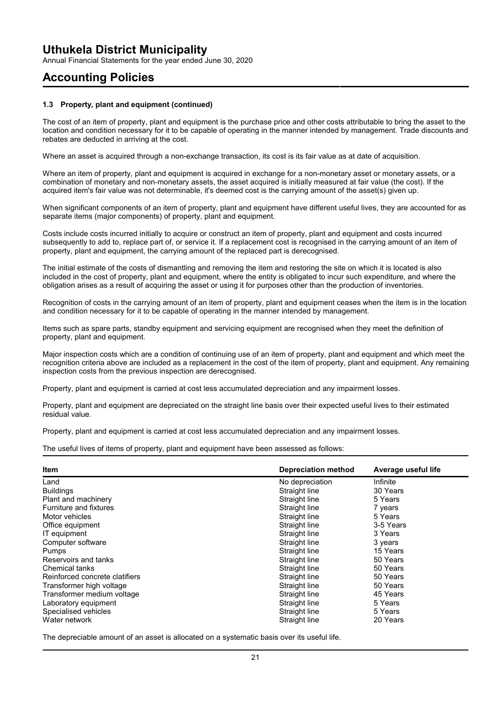Annual Financial Statements for the year ended June 30, 2020

## **Accounting Policies**

### **1.3 Property, plant and equipment (continued)**

The cost of an item of property, plant and equipment is the purchase price and other costs attributable to bring the asset to the location and condition necessary for it to be capable of operating in the manner intended by management. Trade discounts and rebates are deducted in arriving at the cost.

Where an asset is acquired through a non-exchange transaction, its cost is its fair value as at date of acquisition.

Where an item of property, plant and equipment is acquired in exchange for a non-monetary asset or monetary assets, or a combination of monetary and non-monetary assets, the asset acquired is initially measured at fair value (the cost). If the acquired item's fair value was not determinable, it's deemed cost is the carrying amount of the asset(s) given up.

When significant components of an item of property, plant and equipment have different useful lives, they are accounted for as separate items (major components) of property, plant and equipment.

Costs include costs incurred initially to acquire or construct an item of property, plant and equipment and costs incurred subsequently to add to, replace part of, or service it. If a replacement cost is recognised in the carrying amount of an item of property, plant and equipment, the carrying amount of the replaced part is derecognised.

The initial estimate of the costs of dismantling and removing the item and restoring the site on which it is located is also included in the cost of property, plant and equipment, where the entity is obligated to incur such expenditure, and where the obligation arises as a result of acquiring the asset or using it for purposes other than the production of inventories.

Recognition of costs in the carrying amount of an item of property, plant and equipment ceases when the item is in the location and condition necessary for it to be capable of operating in the manner intended by management.

Items such as spare parts, standby equipment and servicing equipment are recognised when they meet the definition of property, plant and equipment.

Major inspection costs which are a condition of continuing use of an item of property, plant and equipment and which meet the recognition criteria above are included as a replacement in the cost of the item of property, plant and equipment. Any remaining inspection costs from the previous inspection are derecognised.

Property, plant and equipment is carried at cost less accumulated depreciation and any impairment losses.

Property, plant and equipment are depreciated on the straight line basis over their expected useful lives to their estimated residual value.

Property, plant and equipment is carried at cost less accumulated depreciation and any impairment losses.

The useful lives of items of property, plant and equipment have been assessed as follows:

| <b>Item</b>                    | <b>Depreciation method</b> | Average useful life |
|--------------------------------|----------------------------|---------------------|
| Land                           | No depreciation            | Infinite            |
| <b>Buildings</b>               | Straight line              | 30 Years            |
| Plant and machinery            | Straight line              | 5 Years             |
| <b>Furniture and fixtures</b>  | Straight line              | 7 years             |
| Motor vehicles                 | Straight line              | 5 Years             |
| Office equipment               | Straight line              | 3-5 Years           |
| IT equipment                   | Straight line              | 3 Years             |
| Computer software              | Straight line              | 3 years             |
| <b>Pumps</b>                   | Straight line              | 15 Years            |
| Reservoirs and tanks           | Straight line              | 50 Years            |
| <b>Chemical tanks</b>          | Straight line              | 50 Years            |
| Reinforced concrete clatifiers | Straight line              | 50 Years            |
| Transformer high voltage       | Straight line              | 50 Years            |
| Transformer medium voltage     | Straight line              | 45 Years            |
| Laboratory equipment           | Straight line              | 5 Years             |
| Specialised vehicles           | Straight line              | 5 Years             |
| Water network                  | Straight line              | 20 Years            |

The depreciable amount of an asset is allocated on a systematic basis over its useful life.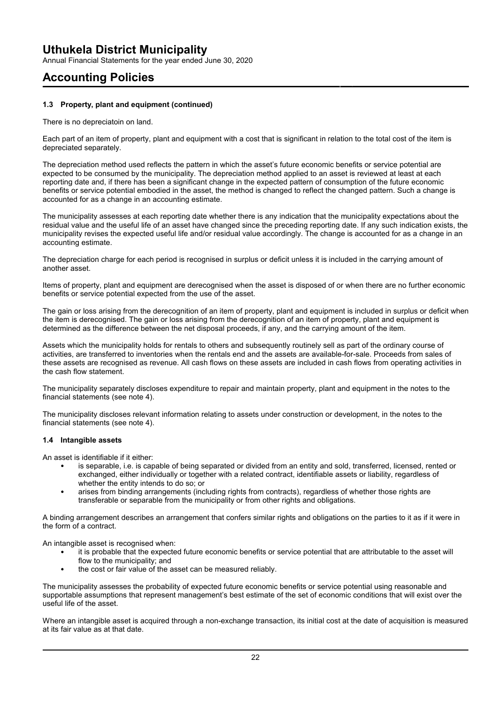Annual Financial Statements for the year ended June 30, 2020

## **Accounting Policies**

### **1.3 Property, plant and equipment (continued)**

There is no depreciatoin on land.

Each part of an item of property, plant and equipment with a cost that is significant in relation to the total cost of the item is depreciated separately.

The depreciation method used reflects the pattern in which the asset's future economic benefits or service potential are expected to be consumed by the municipality. The depreciation method applied to an asset is reviewed at least at each reporting date and, if there has been a significant change in the expected pattern of consumption of the future economic benefits or service potential embodied in the asset, the method is changed to reflect the changed pattern. Such a change is accounted for as a change in an accounting estimate.

The municipality assesses at each reporting date whether there is any indication that the municipality expectations about the residual value and the useful life of an asset have changed since the preceding reporting date. If any such indication exists, the municipality revises the expected useful life and/or residual value accordingly. The change is accounted for as a change in an accounting estimate.

The depreciation charge for each period is recognised in surplus or deficit unless it is included in the carrying amount of another asset.

Items of property, plant and equipment are derecognised when the asset is disposed of or when there are no further economic benefits or service potential expected from the use of the asset.

The gain or loss arising from the derecognition of an item of property, plant and equipment is included in surplus or deficit when the item is derecognised. The gain or loss arising from the derecognition of an item of property, plant and equipment is determined as the difference between the net disposal proceeds, if any, and the carrying amount of the item.

Assets which the municipality holds for rentals to others and subsequently routinely sell as part of the ordinary course of activities, are transferred to inventories when the rentals end and the assets are available-for-sale. Proceeds from sales of these assets are recognised as revenue. All cash flows on these assets are included in cash flows from operating activities in the cash flow statement.

The municipality separately discloses expenditure to repair and maintain property, plant and equipment in the notes to the financial statements (see note 4).

The municipality discloses relevant information relating to assets under construction or development, in the notes to the financial statements (see note 4).

### **1.4 Intangible assets**

An asset is identifiable if it either:

- is separable, i.e. is capable of being separated or divided from an entity and sold, transferred, licensed, rented or exchanged, either individually or together with a related contract, identifiable assets or liability, regardless of whether the entity intends to do so; or
- arises from binding arrangements (including rights from contracts), regardless of whether those rights are transferable or separable from the municipality or from other rights and obligations.

A binding arrangement describes an arrangement that confers similar rights and obligations on the parties to it as if it were in the form of a contract.

An intangible asset is recognised when:

- it is probable that the expected future economic benefits or service potential that are attributable to the asset will flow to the municipality; and
- the cost or fair value of the asset can be measured reliably.

The municipality assesses the probability of expected future economic benefits or service potential using reasonable and supportable assumptions that represent management's best estimate of the set of economic conditions that will exist over the useful life of the asset.

Where an intangible asset is acquired through a non-exchange transaction, its initial cost at the date of acquisition is measured at its fair value as at that date.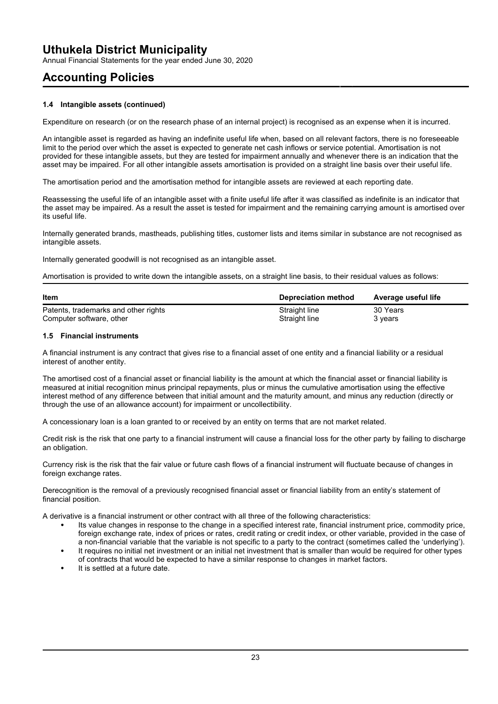Annual Financial Statements for the year ended June 30, 2020

## **Accounting Policies**

### **1.4 Intangible assets (continued)**

Expenditure on research (or on the research phase of an internal project) is recognised as an expense when it is incurred.

An intangible asset is regarded as having an indefinite useful life when, based on all relevant factors, there is no foreseeable limit to the period over which the asset is expected to generate net cash inflows or service potential. Amortisation is not provided for these intangible assets, but they are tested for impairment annually and whenever there is an indication that the asset may be impaired. For all other intangible assets amortisation is provided on a straight line basis over their useful life.

The amortisation period and the amortisation method for intangible assets are reviewed at each reporting date.

Reassessing the useful life of an intangible asset with a finite useful life after it was classified as indefinite is an indicator that the asset may be impaired. As a result the asset is tested for impairment and the remaining carrying amount is amortised over its useful life.

Internally generated brands, mastheads, publishing titles, customer lists and items similar in substance are not recognised as intangible assets.

Internally generated goodwill is not recognised as an intangible asset.

Amortisation is provided to write down the intangible assets, on a straight line basis, to their residual values as follows:

| <b>Item</b>                          | Depreciation method | Average useful life |
|--------------------------------------|---------------------|---------------------|
| Patents, trademarks and other rights | Straight line       | 30 Years            |
| Computer software, other             | Straight line       | 3 vears             |

### **1.5 Financial instruments**

A financial instrument is any contract that gives rise to a financial asset of one entity and a financial liability or a residual interest of another entity.

The amortised cost of a financial asset or financial liability is the amount at which the financial asset or financial liability is measured at initial recognition minus principal repayments, plus or minus the cumulative amortisation using the effective interest method of any difference between that initial amount and the maturity amount, and minus any reduction (directly or through the use of an allowance account) for impairment or uncollectibility.

A concessionary loan is a loan granted to or received by an entity on terms that are not market related.

Credit risk is the risk that one party to a financial instrument will cause a financial loss for the other party by failing to discharge an obligation.

Currency risk is the risk that the fair value or future cash flows of a financial instrument will fluctuate because of changes in foreign exchange rates.

Derecognition is the removal of a previously recognised financial asset or financial liability from an entity's statement of financial position.

A derivative is a financial instrument or other contract with all three of the following characteristics:

- Its value changes in response to the change in a specified interest rate, financial instrument price, commodity price, foreign exchange rate, index of prices or rates, credit rating or credit index, or other variable, provided in the case of a non-financial variable that the variable is not specific to a party to the contract (sometimes called the 'underlying').
- It requires no initial net investment or an initial net investment that is smaller than would be required for other types of contracts that would be expected to have a similar response to changes in market factors.
- It is settled at a future date.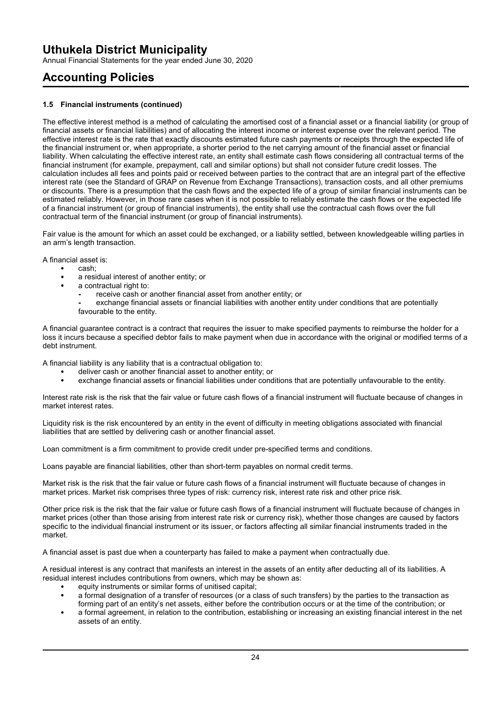Annual Financial Statements for the year ended June 30, 2020

# **Accounting Policies**

### **1.5 Financial instruments (continued)**

The effective interest method is a method of calculating the amortised cost of a financial asset or a financial liability (or group of financial assets or financial liabilities) and of allocating the interest income or interest expense over the relevant period. The effective interest rate is the rate that exactly discounts estimated future cash payments or receipts through the expected life of the financial instrument or, when appropriate, a shorter period to the net carrying amount of the financial asset or financial liability. When calculating the effective interest rate, an entity shall estimate cash flows considering all contractual terms of the financial instrument (for example, prepayment, call and similar options) but shall not consider future credit losses. The calculation includes all fees and points paid or received between parties to the contract that are an integral part of the effective interest rate (see the Standard of GRAP on Revenue from Exchange Transactions), transaction costs, and all other premiums or discounts. There is a presumption that the cash flows and the expected life of a group of similar financial instruments can be estimated reliably. However, in those rare cases when it is not possible to reliably estimate the cash flows or the expected life of a financial instrument (or group of financial instruments), the entity shall use the contractual cash flows over the full contractual term of the financial instrument (or group of financial instruments).

Fair value is the amount for which an asset could be exchanged, or a liability settled, between knowledgeable willing parties in an arm's length transaction.

A financial asset is:

- cash;
- a residual interest of another entity; or
- a contractual right to:
	- **-** receive cash or another financial asset from another entity; or
	- **-** exchange financial assets or financial liabilities with another entity under conditions that are potentially favourable to the entity.

A financial guarantee contract is a contract that requires the issuer to make specified payments to reimburse the holder for a loss it incurs because a specified debtor fails to make payment when due in accordance with the original or modified terms of a debt instrument.

A financial liability is any liability that is a contractual obligation to:

- deliver cash or another financial asset to another entity; or
- exchange financial assets or financial liabilities under conditions that are potentially unfavourable to the entity.

Interest rate risk is the risk that the fair value or future cash flows of a financial instrument will fluctuate because of changes in market interest rates.

Liquidity risk is the risk encountered by an entity in the event of difficulty in meeting obligations associated with financial liabilities that are settled by delivering cash or another financial asset.

Loan commitment is a firm commitment to provide credit under pre-specified terms and conditions.

Loans payable are financial liabilities, other than short-term payables on normal credit terms.

Market risk is the risk that the fair value or future cash flows of a financial instrument will fluctuate because of changes in market prices. Market risk comprises three types of risk: currency risk, interest rate risk and other price risk.

Other price risk is the risk that the fair value or future cash flows of a financial instrument will fluctuate because of changes in market prices (other than those arising from interest rate risk or currency risk), whether those changes are caused by factors specific to the individual financial instrument or its issuer, or factors affecting all similar financial instruments traded in the market.

A financial asset is past due when a counterparty has failed to make a payment when contractually due.

A residual interest is any contract that manifests an interest in the assets of an entity after deducting all of its liabilities. A residual interest includes contributions from owners, which may be shown as:

- equity instruments or similar forms of unitised capital;
- a formal designation of a transfer of resources (or a class of such transfers) by the parties to the transaction as forming part of an entity's net assets, either before the contribution occurs or at the time of the contribution; or
- a formal agreement, in relation to the contribution, establishing or increasing an existing financial interest in the net assets of an entity.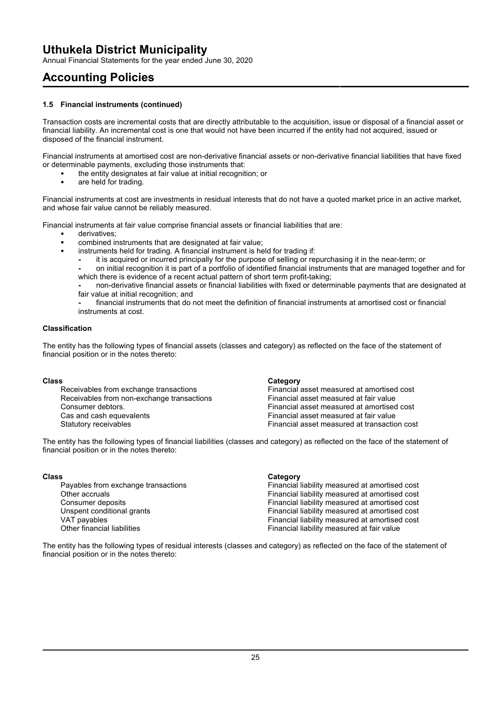Annual Financial Statements for the year ended June 30, 2020

# **Accounting Policies**

### **1.5 Financial instruments (continued)**

Transaction costs are incremental costs that are directly attributable to the acquisition, issue or disposal of a financial asset or financial liability. An incremental cost is one that would not have been incurred if the entity had not acquired, issued or disposed of the financial instrument.

Financial instruments at amortised cost are non-derivative financial assets or non-derivative financial liabilities that have fixed or determinable payments, excluding those instruments that:

- the entity designates at fair value at initial recognition; or
- are held for trading.

Financial instruments at cost are investments in residual interests that do not have a quoted market price in an active market, and whose fair value cannot be reliably measured.

Financial instruments at fair value comprise financial assets or financial liabilities that are:

- derivatives;
- combined instruments that are designated at fair value;
- instruments held for trading. A financial instrument is held for trading if:
	- **-** it is acquired or incurred principally for the purpose of selling or repurchasing it in the near-term; or
	- **-** on initial recognition it is part of a portfolio of identified financial instruments that are managed together and for which there is evidence of a recent actual pattern of short term profit-taking;
	- **-** non-derivative financial assets or financial liabilities with fixed or determinable payments that are designated at fair value at initial recognition; and
	- **-** financial instruments that do not meet the definition of financial instruments at amortised cost or financial instruments at cost.

### **Classification**

The entity has the following types of financial assets (classes and category) as reflected on the face of the statement of financial position or in the notes thereto:

**Class Class**<br>**Receivables from exchange transactions Category Category** Receivables from non-exchange transactions<br>Consumer debtors Consumer debtors.<br>
Cas and cash equevalents<br>
Cas and cash equevalents<br>
Financial asset measured at fair value

Financial asset measured at amortised cost<br>Financial asset measured at fair value Financial asset measured at fair value Statutory receivables Financial asset measured at transaction cost

The entity has the following types of financial liabilities (classes and category) as reflected on the face of the statement of financial position or in the notes thereto:

### **Class Category**

Payables from exchange transactions Financial liability measured at amortised cost<br>Other accruals Financial liability measured at amortised cost Other accruals **Other accruals**<br>Consumer deposits **Financial liability measured at amortised cost**<br>Financial liability measured at amortised cost Financial liability measured at amortised cost Unspent conditional grants Financial liability measured at amortised cost VAT payables **The Contract of the Contract of Contract** Financial liability measured at amortised cost<br>
Other financial liabilities **Financial liability measured at fair value** Financial liability measured at fair value

The entity has the following types of residual interests (classes and category) as reflected on the face of the statement of financial position or in the notes thereto: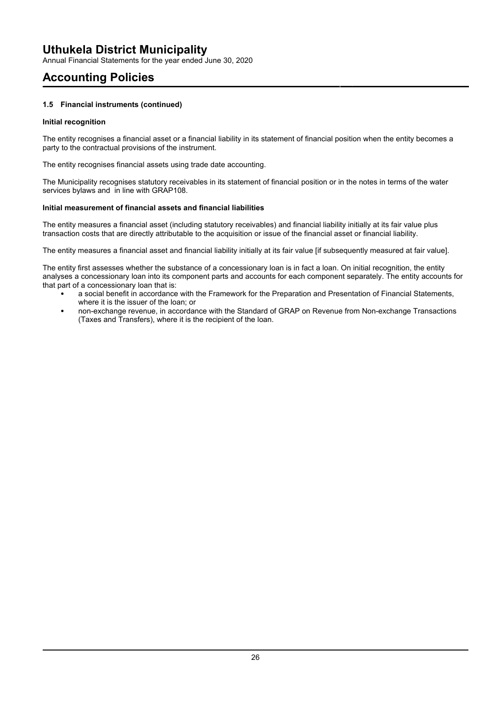Annual Financial Statements for the year ended June 30, 2020

# **Accounting Policies**

### **1.5 Financial instruments (continued)**

### **Initial recognition**

The entity recognises a financial asset or a financial liability in its statement of financial position when the entity becomes a party to the contractual provisions of the instrument.

The entity recognises financial assets using trade date accounting.

The Municipality recognises statutory receivables in its statement of financial position or in the notes in terms of the water services bylaws and in line with GRAP108.

### **Initial measurement of financial assets and financial liabilities**

The entity measures a financial asset (including statutory receivables) and financial liability initially at its fair value plus transaction costs that are directly attributable to the acquisition or issue of the financial asset or financial liability.

The entity measures a financial asset and financial liability initially at its fair value [if subsequently measured at fair value].

The entity first assesses whether the substance of a concessionary loan is in fact a loan. On initial recognition, the entity analyses a concessionary loan into its component parts and accounts for each component separately. The entity accounts for that part of a concessionary loan that is:

- a social benefit in accordance with the Framework for the Preparation and Presentation of Financial Statements, where it is the issuer of the loan; or
- non-exchange revenue, in accordance with the Standard of GRAP on Revenue from Non-exchange Transactions (Taxes and Transfers), where it is the recipient of the loan.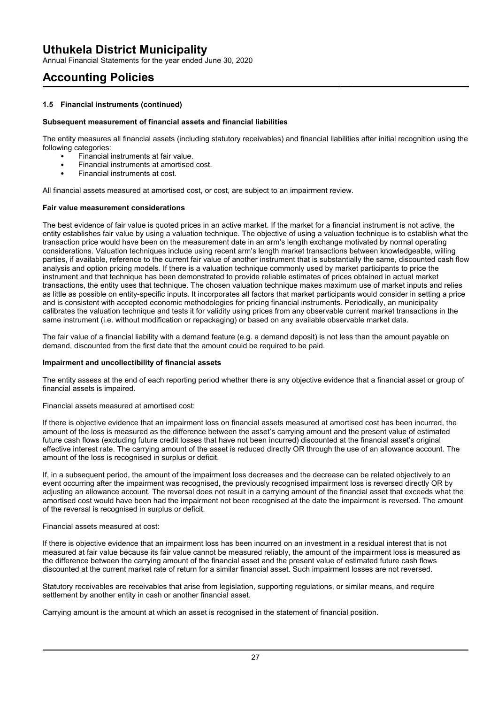Annual Financial Statements for the year ended June 30, 2020

# **Accounting Policies**

### **1.5 Financial instruments (continued)**

### **Subsequent measurement of financial assets and financial liabilities**

The entity measures all financial assets (including statutory receivables) and financial liabilities after initial recognition using the following categories:

- Financial instruments at fair value.
- Financial instruments at amortised cost.
- Financial instruments at cost.

All financial assets measured at amortised cost, or cost, are subject to an impairment review.

### **Fair value measurement considerations**

The best evidence of fair value is quoted prices in an active market. If the market for a financial instrument is not active, the entity establishes fair value by using a valuation technique. The objective of using a valuation technique is to establish what the transaction price would have been on the measurement date in an arm's length exchange motivated by normal operating considerations. Valuation techniques include using recent arm's length market transactions between knowledgeable, willing parties, if available, reference to the current fair value of another instrument that is substantially the same, discounted cash flow analysis and option pricing models. If there is a valuation technique commonly used by market participants to price the instrument and that technique has been demonstrated to provide reliable estimates of prices obtained in actual market transactions, the entity uses that technique. The chosen valuation technique makes maximum use of market inputs and relies as little as possible on entity-specific inputs. It incorporates all factors that market participants would consider in setting a price and is consistent with accepted economic methodologies for pricing financial instruments. Periodically, an municipality calibrates the valuation technique and tests it for validity using prices from any observable current market transactions in the same instrument (i.e. without modification or repackaging) or based on any available observable market data.

The fair value of a financial liability with a demand feature (e.g. a demand deposit) is not less than the amount payable on demand, discounted from the first date that the amount could be required to be paid.

### **Impairment and uncollectibility of financial assets**

The entity assess at the end of each reporting period whether there is any objective evidence that a financial asset or group of financial assets is impaired.

Financial assets measured at amortised cost:

If there is objective evidence that an impairment loss on financial assets measured at amortised cost has been incurred, the amount of the loss is measured as the difference between the asset's carrying amount and the present value of estimated future cash flows (excluding future credit losses that have not been incurred) discounted at the financial asset's original effective interest rate. The carrying amount of the asset is reduced directly OR through the use of an allowance account. The amount of the loss is recognised in surplus or deficit.

If, in a subsequent period, the amount of the impairment loss decreases and the decrease can be related objectively to an event occurring after the impairment was recognised, the previously recognised impairment loss is reversed directly OR by adjusting an allowance account. The reversal does not result in a carrying amount of the financial asset that exceeds what the amortised cost would have been had the impairment not been recognised at the date the impairment is reversed. The amount of the reversal is recognised in surplus or deficit.

### Financial assets measured at cost:

If there is objective evidence that an impairment loss has been incurred on an investment in a residual interest that is not measured at fair value because its fair value cannot be measured reliably, the amount of the impairment loss is measured as the difference between the carrying amount of the financial asset and the present value of estimated future cash flows discounted at the current market rate of return for a similar financial asset. Such impairment losses are not reversed.

Statutory receivables are receivables that arise from legislation, supporting regulations, or similar means, and require settlement by another entity in cash or another financial asset.

Carrying amount is the amount at which an asset is recognised in the statement of financial position.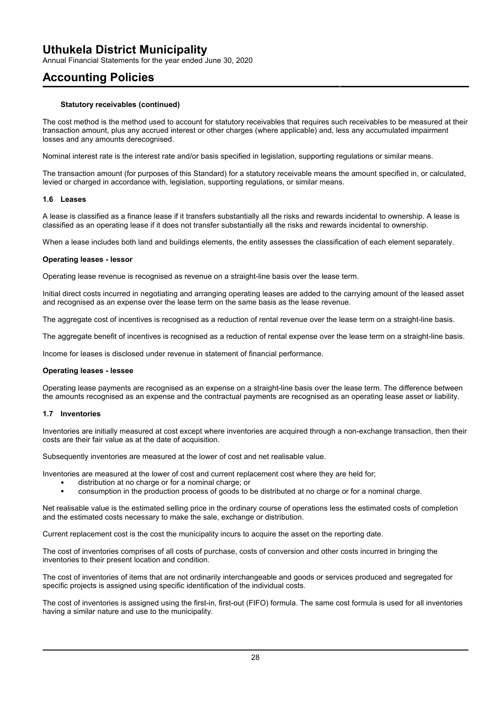Annual Financial Statements for the year ended June 30, 2020

## **Accounting Policies**

### **Statutory receivables (continued)**

The cost method is the method used to account for statutory receivables that requires such receivables to be measured at their transaction amount, plus any accrued interest or other charges (where applicable) and, less any accumulated impairment losses and any amounts derecognised.

Nominal interest rate is the interest rate and/or basis specified in legislation, supporting regulations or similar means.

The transaction amount (for purposes of this Standard) for a statutory receivable means the amount specified in, or calculated, levied or charged in accordance with, legislation, supporting regulations, or similar means.

### **1.6 Leases**

A lease is classified as a finance lease if it transfers substantially all the risks and rewards incidental to ownership. A lease is classified as an operating lease if it does not transfer substantially all the risks and rewards incidental to ownership.

When a lease includes both land and buildings elements, the entity assesses the classification of each element separately.

### **Operating leases - lessor**

Operating lease revenue is recognised as revenue on a straight-line basis over the lease term.

Initial direct costs incurred in negotiating and arranging operating leases are added to the carrying amount of the leased asset and recognised as an expense over the lease term on the same basis as the lease revenue.

The aggregate cost of incentives is recognised as a reduction of rental revenue over the lease term on a straight-line basis.

The aggregate benefit of incentives is recognised as a reduction of rental expense over the lease term on a straight-line basis.

Income for leases is disclosed under revenue in statement of financial performance.

### **Operating leases - lessee**

Operating lease payments are recognised as an expense on a straight-line basis over the lease term. The difference between the amounts recognised as an expense and the contractual payments are recognised as an operating lease asset or liability.

### **1.7 Inventories**

Inventories are initially measured at cost except where inventories are acquired through a non-exchange transaction, then their costs are their fair value as at the date of acquisition.

Subsequently inventories are measured at the lower of cost and net realisable value.

Inventories are measured at the lower of cost and current replacement cost where they are held for;

- distribution at no charge or for a nominal charge; or
- consumption in the production process of goods to be distributed at no charge or for a nominal charge.

Net realisable value is the estimated selling price in the ordinary course of operations less the estimated costs of completion and the estimated costs necessary to make the sale, exchange or distribution.

Current replacement cost is the cost the municipality incurs to acquire the asset on the reporting date.

The cost of inventories comprises of all costs of purchase, costs of conversion and other costs incurred in bringing the inventories to their present location and condition.

The cost of inventories of items that are not ordinarily interchangeable and goods or services produced and segregated for specific projects is assigned using specific identification of the individual costs.

The cost of inventories is assigned using the first-in, first-out (FIFO) formula. The same cost formula is used for all inventories having a similar nature and use to the municipality.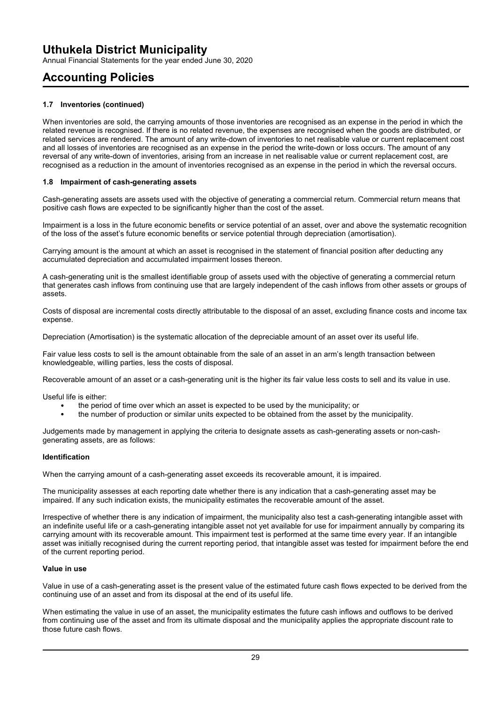Annual Financial Statements for the year ended June 30, 2020

## **Accounting Policies**

### **1.7 Inventories (continued)**

When inventories are sold, the carrying amounts of those inventories are recognised as an expense in the period in which the related revenue is recognised. If there is no related revenue, the expenses are recognised when the goods are distributed, or related services are rendered. The amount of any write-down of inventories to net realisable value or current replacement cost and all losses of inventories are recognised as an expense in the period the write-down or loss occurs. The amount of any reversal of any write-down of inventories, arising from an increase in net realisable value or current replacement cost, are recognised as a reduction in the amount of inventories recognised as an expense in the period in which the reversal occurs.

### **1.8 Impairment of cash-generating assets**

Cash-generating assets are assets used with the objective of generating a commercial return. Commercial return means that positive cash flows are expected to be significantly higher than the cost of the asset.

Impairment is a loss in the future economic benefits or service potential of an asset, over and above the systematic recognition of the loss of the asset's future economic benefits or service potential through depreciation (amortisation).

Carrying amount is the amount at which an asset is recognised in the statement of financial position after deducting any accumulated depreciation and accumulated impairment losses thereon.

A cash-generating unit is the smallest identifiable group of assets used with the objective of generating a commercial return that generates cash inflows from continuing use that are largely independent of the cash inflows from other assets or groups of assets.

Costs of disposal are incremental costs directly attributable to the disposal of an asset, excluding finance costs and income tax expense.

Depreciation (Amortisation) is the systematic allocation of the depreciable amount of an asset over its useful life.

Fair value less costs to sell is the amount obtainable from the sale of an asset in an arm's length transaction between knowledgeable, willing parties, less the costs of disposal.

Recoverable amount of an asset or a cash-generating unit is the higher its fair value less costs to sell and its value in use.

Useful life is either:

- the period of time over which an asset is expected to be used by the municipality; or
- the number of production or similar units expected to be obtained from the asset by the municipality.

Judgements made by management in applying the criteria to designate assets as cash-generating assets or non-cashgenerating assets, are as follows:

### **Identification**

When the carrying amount of a cash-generating asset exceeds its recoverable amount, it is impaired.

The municipality assesses at each reporting date whether there is any indication that a cash-generating asset may be impaired. If any such indication exists, the municipality estimates the recoverable amount of the asset.

Irrespective of whether there is any indication of impairment, the municipality also test a cash-generating intangible asset with an indefinite useful life or a cash-generating intangible asset not yet available for use for impairment annually by comparing its carrying amount with its recoverable amount. This impairment test is performed at the same time every year. If an intangible asset was initially recognised during the current reporting period, that intangible asset was tested for impairment before the end of the current reporting period.

### **Value in use**

Value in use of a cash-generating asset is the present value of the estimated future cash flows expected to be derived from the continuing use of an asset and from its disposal at the end of its useful life.

When estimating the value in use of an asset, the municipality estimates the future cash inflows and outflows to be derived from continuing use of the asset and from its ultimate disposal and the municipality applies the appropriate discount rate to those future cash flows.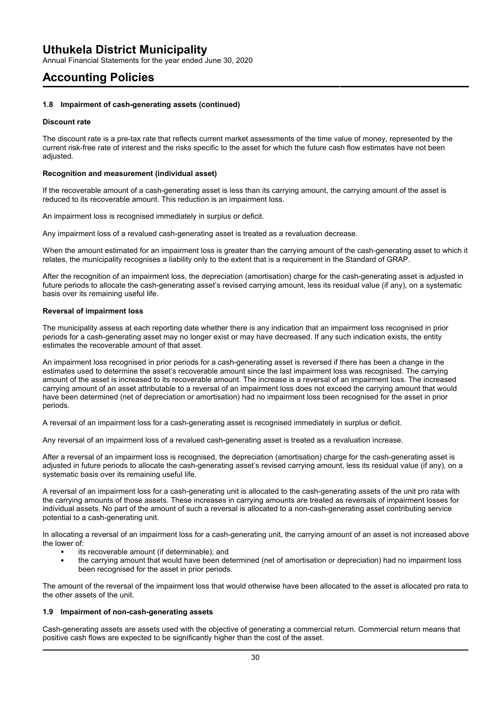Annual Financial Statements for the year ended June 30, 2020

## **Accounting Policies**

### **1.8 Impairment of cash-generating assets (continued)**

### **Discount rate**

The discount rate is a pre-tax rate that reflects current market assessments of the time value of money, represented by the current risk-free rate of interest and the risks specific to the asset for which the future cash flow estimates have not been adjusted.

### **Recognition and measurement (individual asset)**

If the recoverable amount of a cash-generating asset is less than its carrying amount, the carrying amount of the asset is reduced to its recoverable amount. This reduction is an impairment loss.

An impairment loss is recognised immediately in surplus or deficit.

Any impairment loss of a revalued cash-generating asset is treated as a revaluation decrease.

When the amount estimated for an impairment loss is greater than the carrying amount of the cash-generating asset to which it relates, the municipality recognises a liability only to the extent that is a requirement in the Standard of GRAP.

After the recognition of an impairment loss, the depreciation (amortisation) charge for the cash-generating asset is adjusted in future periods to allocate the cash-generating asset's revised carrying amount, less its residual value (if any), on a systematic basis over its remaining useful life.

### **Reversal of impairment loss**

The municipality assess at each reporting date whether there is any indication that an impairment loss recognised in prior periods for a cash-generating asset may no longer exist or may have decreased. If any such indication exists, the entity estimates the recoverable amount of that asset.

An impairment loss recognised in prior periods for a cash-generating asset is reversed if there has been a change in the estimates used to determine the asset's recoverable amount since the last impairment loss was recognised. The carrying amount of the asset is increased to its recoverable amount. The increase is a reversal of an impairment loss. The increased carrying amount of an asset attributable to a reversal of an impairment loss does not exceed the carrying amount that would have been determined (net of depreciation or amortisation) had no impairment loss been recognised for the asset in prior periods.

A reversal of an impairment loss for a cash-generating asset is recognised immediately in surplus or deficit.

Any reversal of an impairment loss of a revalued cash-generating asset is treated as a revaluation increase.

After a reversal of an impairment loss is recognised, the depreciation (amortisation) charge for the cash-generating asset is adjusted in future periods to allocate the cash-generating asset's revised carrying amount, less its residual value (if any), on a systematic basis over its remaining useful life.

A reversal of an impairment loss for a cash-generating unit is allocated to the cash-generating assets of the unit pro rata with the carrying amounts of those assets. These increases in carrying amounts are treated as reversals of impairment losses for individual assets. No part of the amount of such a reversal is allocated to a non-cash-generating asset contributing service potential to a cash-generating unit.

In allocating a reversal of an impairment loss for a cash-generating unit, the carrying amount of an asset is not increased above the lower of:

- its recoverable amount (if determinable); and
- the carrying amount that would have been determined (net of amortisation or depreciation) had no impairment loss been recognised for the asset in prior periods.

The amount of the reversal of the impairment loss that would otherwise have been allocated to the asset is allocated pro rata to the other assets of the unit.

### **1.9 Impairment of non-cash-generating assets**

Cash-generating assets are assets used with the objective of generating a commercial return. Commercial return means that positive cash flows are expected to be significantly higher than the cost of the asset.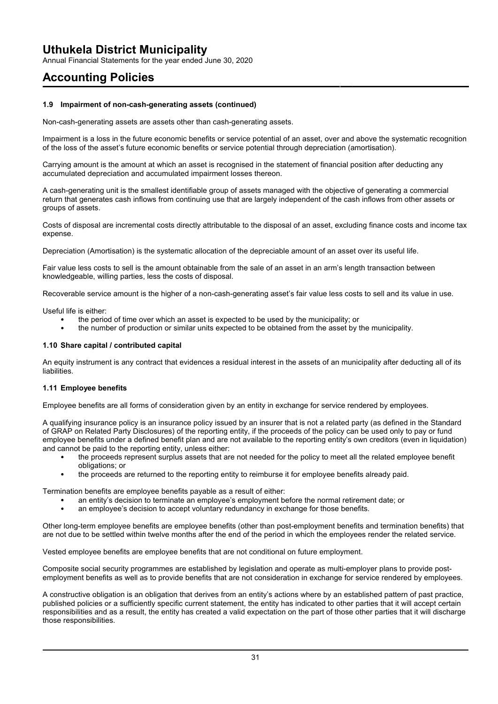Annual Financial Statements for the year ended June 30, 2020

## **Accounting Policies**

### **1.9 Impairment of non-cash-generating assets (continued)**

Non-cash-generating assets are assets other than cash-generating assets.

Impairment is a loss in the future economic benefits or service potential of an asset, over and above the systematic recognition of the loss of the asset's future economic benefits or service potential through depreciation (amortisation).

Carrying amount is the amount at which an asset is recognised in the statement of financial position after deducting any accumulated depreciation and accumulated impairment losses thereon.

A cash-generating unit is the smallest identifiable group of assets managed with the objective of generating a commercial return that generates cash inflows from continuing use that are largely independent of the cash inflows from other assets or groups of assets.

Costs of disposal are incremental costs directly attributable to the disposal of an asset, excluding finance costs and income tax expense.

Depreciation (Amortisation) is the systematic allocation of the depreciable amount of an asset over its useful life.

Fair value less costs to sell is the amount obtainable from the sale of an asset in an arm's length transaction between knowledgeable, willing parties, less the costs of disposal.

Recoverable service amount is the higher of a non-cash-generating asset's fair value less costs to sell and its value in use.

Useful life is either:

- the period of time over which an asset is expected to be used by the municipality; or
- the number of production or similar units expected to be obtained from the asset by the municipality.

### **1.10 Share capital / contributed capital**

An equity instrument is any contract that evidences a residual interest in the assets of an municipality after deducting all of its liabilities.

### **1.11 Employee benefits**

Employee benefits are all forms of consideration given by an entity in exchange for service rendered by employees.

A qualifying insurance policy is an insurance policy issued by an insurer that is not a related party (as defined in the Standard of GRAP on Related Party Disclosures) of the reporting entity, if the proceeds of the policy can be used only to pay or fund employee benefits under a defined benefit plan and are not available to the reporting entity's own creditors (even in liquidation) and cannot be paid to the reporting entity, unless either:

- the proceeds represent surplus assets that are not needed for the policy to meet all the related employee benefit obligations; or
- the proceeds are returned to the reporting entity to reimburse it for employee benefits already paid.

Termination benefits are employee benefits payable as a result of either:

- an entity's decision to terminate an employee's employment before the normal retirement date; or
- an employee's decision to accept voluntary redundancy in exchange for those benefits.

Other long-term employee benefits are employee benefits (other than post-employment benefits and termination benefits) that are not due to be settled within twelve months after the end of the period in which the employees render the related service.

Vested employee benefits are employee benefits that are not conditional on future employment.

Composite social security programmes are established by legislation and operate as multi-employer plans to provide postemployment benefits as well as to provide benefits that are not consideration in exchange for service rendered by employees.

A constructive obligation is an obligation that derives from an entity's actions where by an established pattern of past practice, published policies or a sufficiently specific current statement, the entity has indicated to other parties that it will accept certain responsibilities and as a result, the entity has created a valid expectation on the part of those other parties that it will discharge those responsibilities.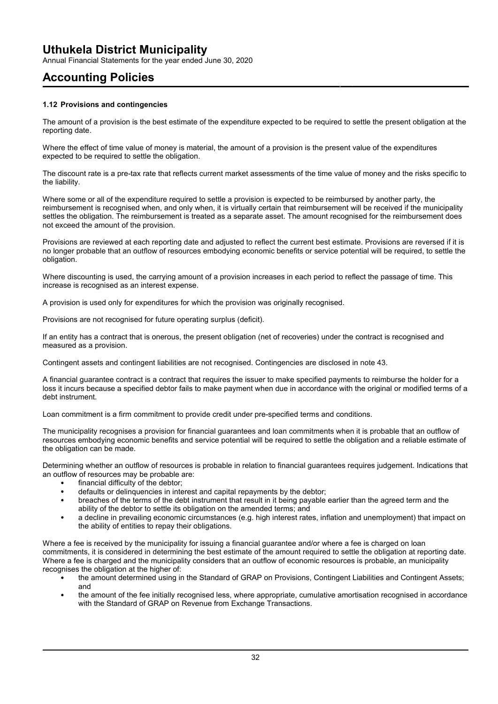Annual Financial Statements for the year ended June 30, 2020

# **Accounting Policies**

### **1.12 Provisions and contingencies**

The amount of a provision is the best estimate of the expenditure expected to be required to settle the present obligation at the reporting date.

Where the effect of time value of money is material, the amount of a provision is the present value of the expenditures expected to be required to settle the obligation.

The discount rate is a pre-tax rate that reflects current market assessments of the time value of money and the risks specific to the liability.

Where some or all of the expenditure required to settle a provision is expected to be reimbursed by another party, the reimbursement is recognised when, and only when, it is virtually certain that reimbursement will be received if the municipality settles the obligation. The reimbursement is treated as a separate asset. The amount recognised for the reimbursement does not exceed the amount of the provision.

Provisions are reviewed at each reporting date and adjusted to reflect the current best estimate. Provisions are reversed if it is no longer probable that an outflow of resources embodying economic benefits or service potential will be required, to settle the obligation.

Where discounting is used, the carrying amount of a provision increases in each period to reflect the passage of time. This increase is recognised as an interest expense.

A provision is used only for expenditures for which the provision was originally recognised.

Provisions are not recognised for future operating surplus (deficit).

If an entity has a contract that is onerous, the present obligation (net of recoveries) under the contract is recognised and measured as a provision.

Contingent assets and contingent liabilities are not recognised. Contingencies are disclosed in note 43.

A financial guarantee contract is a contract that requires the issuer to make specified payments to reimburse the holder for a loss it incurs because a specified debtor fails to make payment when due in accordance with the original or modified terms of a debt instrument.

Loan commitment is a firm commitment to provide credit under pre-specified terms and conditions.

The municipality recognises a provision for financial guarantees and loan commitments when it is probable that an outflow of resources embodying economic benefits and service potential will be required to settle the obligation and a reliable estimate of the obligation can be made.

Determining whether an outflow of resources is probable in relation to financial guarantees requires judgement. Indications that an outflow of resources may be probable are:

- financial difficulty of the debtor;
- defaults or delinquencies in interest and capital repayments by the debtor;
- breaches of the terms of the debt instrument that result in it being payable earlier than the agreed term and the ability of the debtor to settle its obligation on the amended terms; and
- a decline in prevailing economic circumstances (e.g. high interest rates, inflation and unemployment) that impact on the ability of entities to repay their obligations.

Where a fee is received by the municipality for issuing a financial guarantee and/or where a fee is charged on loan commitments, it is considered in determining the best estimate of the amount required to settle the obligation at reporting date. Where a fee is charged and the municipality considers that an outflow of economic resources is probable, an municipality recognises the obligation at the higher of:

- the amount determined using in the Standard of GRAP on Provisions, Contingent Liabilities and Contingent Assets; and
- the amount of the fee initially recognised less, where appropriate, cumulative amortisation recognised in accordance with the Standard of GRAP on Revenue from Exchange Transactions.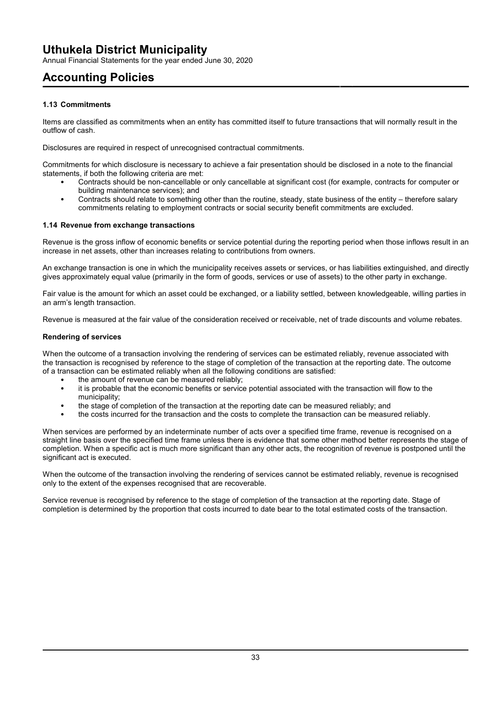Annual Financial Statements for the year ended June 30, 2020

# **Accounting Policies**

### **1.13 Commitments**

Items are classified as commitments when an entity has committed itself to future transactions that will normally result in the outflow of cash.

Disclosures are required in respect of unrecognised contractual commitments.

Commitments for which disclosure is necessary to achieve a fair presentation should be disclosed in a note to the financial statements, if both the following criteria are met:

- Contracts should be non-cancellable or only cancellable at significant cost (for example, contracts for computer or building maintenance services); and
- Contracts should relate to something other than the routine, steady, state business of the entity therefore salary commitments relating to employment contracts or social security benefit commitments are excluded.

### **1.14 Revenue from exchange transactions**

Revenue is the gross inflow of economic benefits or service potential during the reporting period when those inflows result in an increase in net assets, other than increases relating to contributions from owners.

An exchange transaction is one in which the municipality receives assets or services, or has liabilities extinguished, and directly gives approximately equal value (primarily in the form of goods, services or use of assets) to the other party in exchange.

Fair value is the amount for which an asset could be exchanged, or a liability settled, between knowledgeable, willing parties in an arm's length transaction.

Revenue is measured at the fair value of the consideration received or receivable, net of trade discounts and volume rebates.

### **Rendering of services**

When the outcome of a transaction involving the rendering of services can be estimated reliably, revenue associated with the transaction is recognised by reference to the stage of completion of the transaction at the reporting date. The outcome of a transaction can be estimated reliably when all the following conditions are satisfied:

- the amount of revenue can be measured reliably;
- it is probable that the economic benefits or service potential associated with the transaction will flow to the municipality;
- the stage of completion of the transaction at the reporting date can be measured reliably; and
- the costs incurred for the transaction and the costs to complete the transaction can be measured reliably.

When services are performed by an indeterminate number of acts over a specified time frame, revenue is recognised on a straight line basis over the specified time frame unless there is evidence that some other method better represents the stage of completion. When a specific act is much more significant than any other acts, the recognition of revenue is postponed until the significant act is executed.

When the outcome of the transaction involving the rendering of services cannot be estimated reliably, revenue is recognised only to the extent of the expenses recognised that are recoverable.

Service revenue is recognised by reference to the stage of completion of the transaction at the reporting date. Stage of completion is determined by the proportion that costs incurred to date bear to the total estimated costs of the transaction.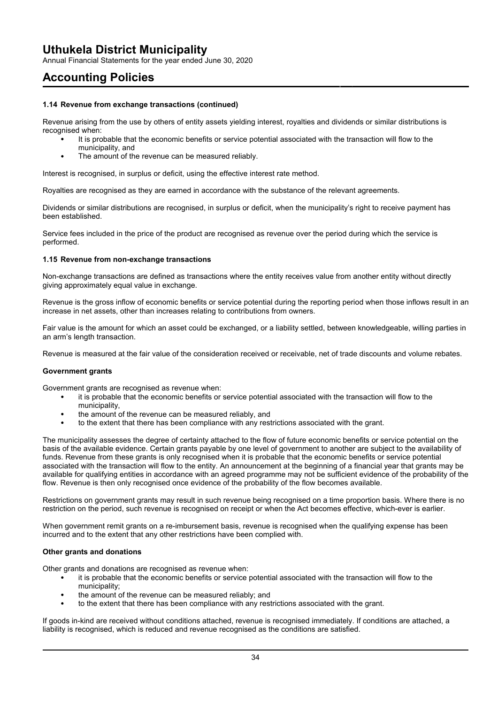Annual Financial Statements for the year ended June 30, 2020

## **Accounting Policies**

### **1.14 Revenue from exchange transactions (continued)**

Revenue arising from the use by others of entity assets yielding interest, royalties and dividends or similar distributions is recognised when:

- It is probable that the economic benefits or service potential associated with the transaction will flow to the municipality, and
- The amount of the revenue can be measured reliably.

Interest is recognised, in surplus or deficit, using the effective interest rate method.

Royalties are recognised as they are earned in accordance with the substance of the relevant agreements.

Dividends or similar distributions are recognised, in surplus or deficit, when the municipality's right to receive payment has been established.

Service fees included in the price of the product are recognised as revenue over the period during which the service is performed.

### **1.15 Revenue from non-exchange transactions**

Non-exchange transactions are defined as transactions where the entity receives value from another entity without directly giving approximately equal value in exchange.

Revenue is the gross inflow of economic benefits or service potential during the reporting period when those inflows result in an increase in net assets, other than increases relating to contributions from owners.

Fair value is the amount for which an asset could be exchanged, or a liability settled, between knowledgeable, willing parties in an arm's length transaction.

Revenue is measured at the fair value of the consideration received or receivable, net of trade discounts and volume rebates.

### **Government grants**

Government grants are recognised as revenue when:

- it is probable that the economic benefits or service potential associated with the transaction will flow to the municipality,
- the amount of the revenue can be measured reliably, and
- to the extent that there has been compliance with any restrictions associated with the grant.

The municipality assesses the degree of certainty attached to the flow of future economic benefits or service potential on the basis of the available evidence. Certain grants payable by one level of government to another are subject to the availability of funds. Revenue from these grants is only recognised when it is probable that the economic benefits or service potential associated with the transaction will flow to the entity. An announcement at the beginning of a financial year that grants may be available for qualifying entities in accordance with an agreed programme may not be sufficient evidence of the probability of the flow. Revenue is then only recognised once evidence of the probability of the flow becomes available.

Restrictions on government grants may result in such revenue being recognised on a time proportion basis. Where there is no restriction on the period, such revenue is recognised on receipt or when the Act becomes effective, which-ever is earlier.

When government remit grants on a re-imbursement basis, revenue is recognised when the qualifying expense has been incurred and to the extent that any other restrictions have been complied with.

### **Other grants and donations**

Other grants and donations are recognised as revenue when:

- it is probable that the economic benefits or service potential associated with the transaction will flow to the municipality;
- the amount of the revenue can be measured reliably; and
- to the extent that there has been compliance with any restrictions associated with the grant.

If goods in-kind are received without conditions attached, revenue is recognised immediately. If conditions are attached, a liability is recognised, which is reduced and revenue recognised as the conditions are satisfied.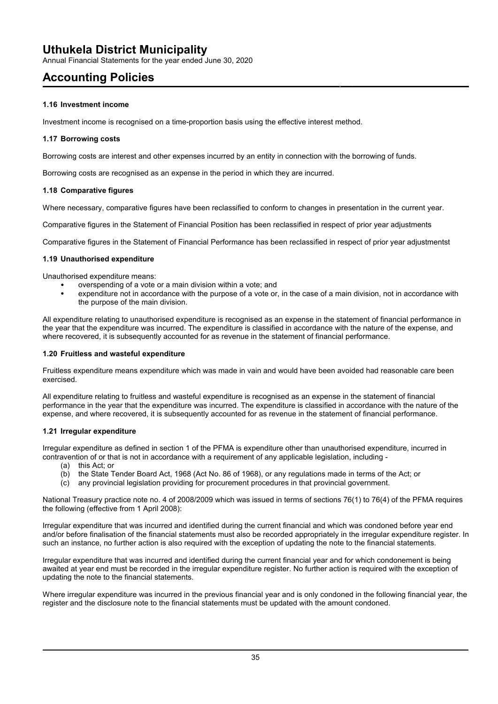Annual Financial Statements for the year ended June 30, 2020

# **Accounting Policies**

### **1.16 Investment income**

Investment income is recognised on a time-proportion basis using the effective interest method.

### **1.17 Borrowing costs**

Borrowing costs are interest and other expenses incurred by an entity in connection with the borrowing of funds.

Borrowing costs are recognised as an expense in the period in which they are incurred.

### **1.18 Comparative figures**

Where necessary, comparative figures have been reclassified to conform to changes in presentation in the current year.

Comparative figures in the Statement of Financial Position has been reclassified in respect of prior year adjustments

Comparative figures in the Statement of Financial Performance has been reclassified in respect of prior year adjustmentst

### **1.19 Unauthorised expenditure**

Unauthorised expenditure means:

- overspending of a vote or a main division within a vote; and
- expenditure not in accordance with the purpose of a vote or, in the case of a main division, not in accordance with the purpose of the main division.

All expenditure relating to unauthorised expenditure is recognised as an expense in the statement of financial performance in the year that the expenditure was incurred. The expenditure is classified in accordance with the nature of the expense, and where recovered, it is subsequently accounted for as revenue in the statement of financial performance.

### **1.20 Fruitless and wasteful expenditure**

Fruitless expenditure means expenditure which was made in vain and would have been avoided had reasonable care been exercised.

All expenditure relating to fruitless and wasteful expenditure is recognised as an expense in the statement of financial performance in the year that the expenditure was incurred. The expenditure is classified in accordance with the nature of the expense, and where recovered, it is subsequently accounted for as revenue in the statement of financial performance.

### **1.21 Irregular expenditure**

Irregular expenditure as defined in section 1 of the PFMA is expenditure other than unauthorised expenditure, incurred in contravention of or that is not in accordance with a requirement of any applicable legislation, including -

- (a) this Act; or
- (b) the State Tender Board Act, 1968 (Act No. 86 of 1968), or any regulations made in terms of the Act; or
- (c) any provincial legislation providing for procurement procedures in that provincial government.

National Treasury practice note no. 4 of 2008/2009 which was issued in terms of sections 76(1) to 76(4) of the PFMA requires the following (effective from 1 April 2008):

Irregular expenditure that was incurred and identified during the current financial and which was condoned before year end and/or before finalisation of the financial statements must also be recorded appropriately in the irregular expenditure register. In such an instance, no further action is also required with the exception of updating the note to the financial statements.

Irregular expenditure that was incurred and identified during the current financial year and for which condonement is being awaited at year end must be recorded in the irregular expenditure register. No further action is required with the exception of updating the note to the financial statements.

Where irregular expenditure was incurred in the previous financial year and is only condoned in the following financial year, the register and the disclosure note to the financial statements must be updated with the amount condoned.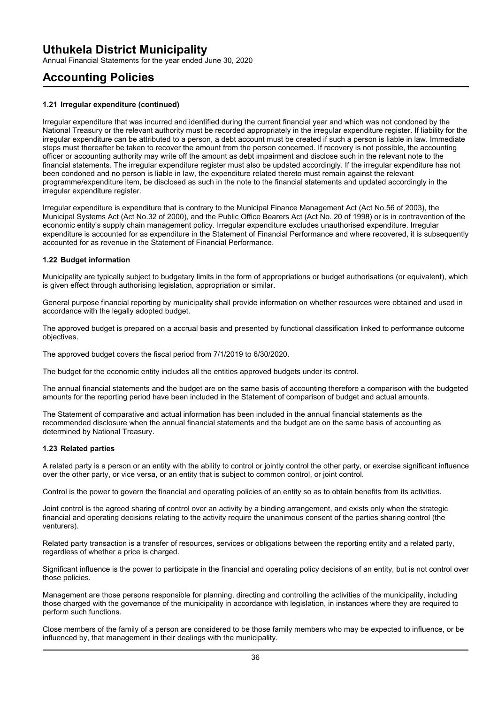Annual Financial Statements for the year ended June 30, 2020

# **Accounting Policies**

#### **1.21 Irregular expenditure (continued)**

Irregular expenditure that was incurred and identified during the current financial year and which was not condoned by the National Treasury or the relevant authority must be recorded appropriately in the irregular expenditure register. If liability for the irregular expenditure can be attributed to a person, a debt account must be created if such a person is liable in law. Immediate steps must thereafter be taken to recover the amount from the person concerned. If recovery is not possible, the accounting officer or accounting authority may write off the amount as debt impairment and disclose such in the relevant note to the financial statements. The irregular expenditure register must also be updated accordingly. If the irregular expenditure has not been condoned and no person is liable in law, the expenditure related thereto must remain against the relevant programme/expenditure item, be disclosed as such in the note to the financial statements and updated accordingly in the irregular expenditure register.

Irregular expenditure is expenditure that is contrary to the Municipal Finance Management Act (Act No.56 of 2003), the Municipal Systems Act (Act No.32 of 2000), and the Public Office Bearers Act (Act No. 20 of 1998) or is in contravention of the economic entity's supply chain management policy. Irregular expenditure excludes unauthorised expenditure. Irregular expenditure is accounted for as expenditure in the Statement of Financial Performance and where recovered, it is subsequently accounted for as revenue in the Statement of Financial Performance.

#### **1.22 Budget information**

Municipality are typically subject to budgetary limits in the form of appropriations or budget authorisations (or equivalent), which is given effect through authorising legislation, appropriation or similar.

General purpose financial reporting by municipality shall provide information on whether resources were obtained and used in accordance with the legally adopted budget.

The approved budget is prepared on a accrual basis and presented by functional classification linked to performance outcome objectives.

The approved budget covers the fiscal period from 7/1/2019 to 6/30/2020.

The budget for the economic entity includes all the entities approved budgets under its control.

The annual financial statements and the budget are on the same basis of accounting therefore a comparison with the budgeted amounts for the reporting period have been included in the Statement of comparison of budget and actual amounts.

The Statement of comparative and actual information has been included in the annual financial statements as the recommended disclosure when the annual financial statements and the budget are on the same basis of accounting as determined by National Treasury.

#### **1.23 Related parties**

A related party is a person or an entity with the ability to control or jointly control the other party, or exercise significant influence over the other party, or vice versa, or an entity that is subject to common control, or joint control.

Control is the power to govern the financial and operating policies of an entity so as to obtain benefits from its activities.

Joint control is the agreed sharing of control over an activity by a binding arrangement, and exists only when the strategic financial and operating decisions relating to the activity require the unanimous consent of the parties sharing control (the venturers).

Related party transaction is a transfer of resources, services or obligations between the reporting entity and a related party, regardless of whether a price is charged.

Significant influence is the power to participate in the financial and operating policy decisions of an entity, but is not control over those policies.

Management are those persons responsible for planning, directing and controlling the activities of the municipality, including those charged with the governance of the municipality in accordance with legislation, in instances where they are required to perform such functions.

Close members of the family of a person are considered to be those family members who may be expected to influence, or be influenced by, that management in their dealings with the municipality.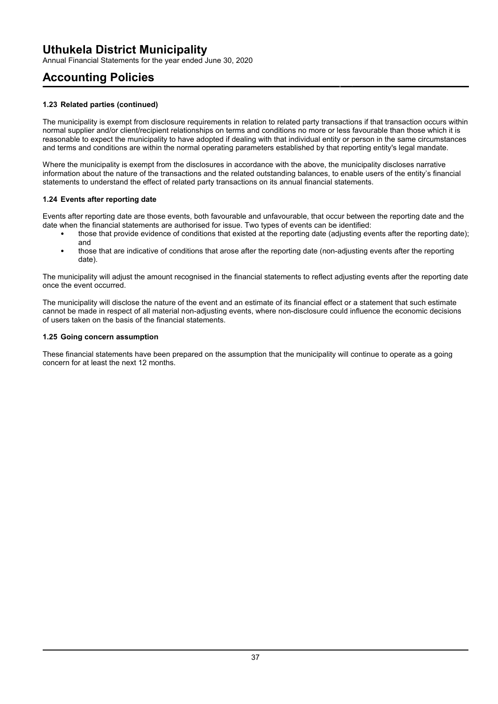Annual Financial Statements for the year ended June 30, 2020

# **Accounting Policies**

### **1.23 Related parties (continued)**

The municipality is exempt from disclosure requirements in relation to related party transactions if that transaction occurs within normal supplier and/or client/recipient relationships on terms and conditions no more or less favourable than those which it is reasonable to expect the municipality to have adopted if dealing with that individual entity or person in the same circumstances and terms and conditions are within the normal operating parameters established by that reporting entity's legal mandate.

Where the municipality is exempt from the disclosures in accordance with the above, the municipality discloses narrative information about the nature of the transactions and the related outstanding balances, to enable users of the entity's financial statements to understand the effect of related party transactions on its annual financial statements.

### **1.24 Events after reporting date**

Events after reporting date are those events, both favourable and unfavourable, that occur between the reporting date and the date when the financial statements are authorised for issue. Two types of events can be identified:

- those that provide evidence of conditions that existed at the reporting date (adjusting events after the reporting date); and
- those that are indicative of conditions that arose after the reporting date (non-adjusting events after the reporting date).

The municipality will adjust the amount recognised in the financial statements to reflect adjusting events after the reporting date once the event occurred.

The municipality will disclose the nature of the event and an estimate of its financial effect or a statement that such estimate cannot be made in respect of all material non-adjusting events, where non-disclosure could influence the economic decisions of users taken on the basis of the financial statements.

#### **1.25 Going concern assumption**

These financial statements have been prepared on the assumption that the municipality will continue to operate as a going concern for at least the next 12 months.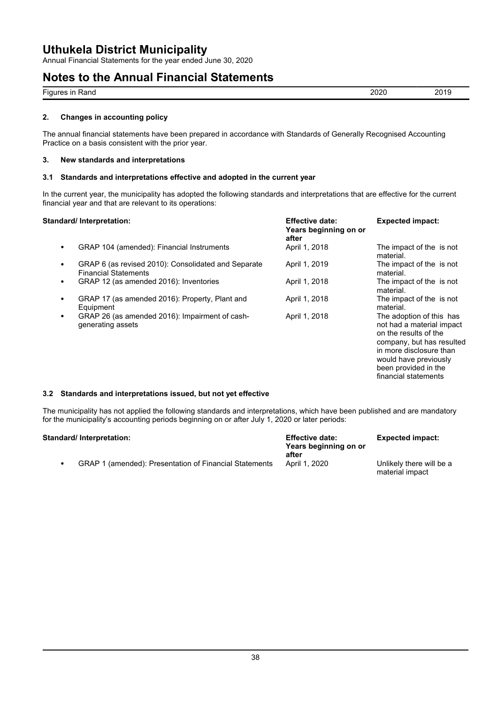Annual Financial Statements for the year ended June 30, 2020

## **Notes to the Annual Financial Statements**

| $-$<br>Rand<br>ın<br>Figure <sup>r</sup> | วกวก<br>-vev<br>the contract of the contract of the contract of | `<br><u>_</u><br>. . |
|------------------------------------------|-----------------------------------------------------------------|----------------------|
|                                          |                                                                 |                      |

### **2. Changes in accounting policy**

The annual financial statements have been prepared in accordance with Standards of Generally Recognised Accounting Practice on a basis consistent with the prior year.

#### **3. New standards and interpretations**

#### **3.1 Standards and interpretations effective and adopted in the current year**

In the current year, the municipality has adopted the following standards and interpretations that are effective for the current financial year and that are relevant to its operations:

#### **Standard/ Interpretation: Effective date:**

| ndard/ Interpretation:                                                             | <b>Effective date:</b><br>Years beginning on or<br>after | <b>Expected impact:</b>                                                                                                                                                                                         |
|------------------------------------------------------------------------------------|----------------------------------------------------------|-----------------------------------------------------------------------------------------------------------------------------------------------------------------------------------------------------------------|
| GRAP 104 (amended): Financial Instruments                                          | April 1, 2018                                            | The impact of the is not<br>material.                                                                                                                                                                           |
| GRAP 6 (as revised 2010): Consolidated and Separate<br><b>Financial Statements</b> | April 1, 2019                                            | The impact of the is not<br>material.                                                                                                                                                                           |
| GRAP 12 (as amended 2016): Inventories                                             | April 1, 2018                                            | The impact of the is not<br>material.                                                                                                                                                                           |
| GRAP 17 (as amended 2016): Property, Plant and<br>Equipment                        | April 1, 2018                                            | The impact of the is not<br>material.                                                                                                                                                                           |
| GRAP 26 (as amended 2016): Impairment of cash-<br>generating assets                | April 1, 2018                                            | The adoption of this has<br>not had a material impact<br>on the results of the<br>company, but has resulted<br>in more disclosure than<br>would have previously<br>been provided in the<br>financial statements |

#### **3.2 Standards and interpretations issued, but not yet effective**

The municipality has not applied the following standards and interpretations, which have been published and are mandatory for the municipality's accounting periods beginning on or after July 1, 2020 or later periods:

| Standard/ Interpretation:                              | <b>Effective date:</b><br>Years beginning on or<br>after | <b>Expected impact:</b>                     |
|--------------------------------------------------------|----------------------------------------------------------|---------------------------------------------|
| GRAP 1 (amended): Presentation of Financial Statements | April 1, 2020                                            | Unlikely there will be a<br>material impact |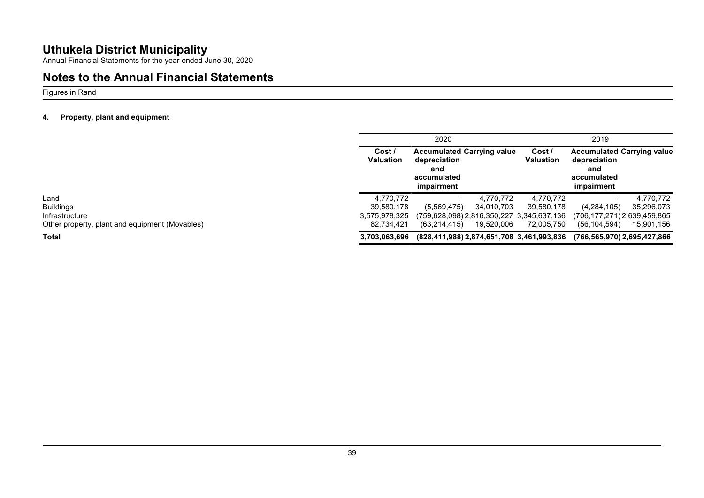Annual Financial Statements for the year ended June 30, 2020

## **Notes to the Annual Financial Statements**

Figures in Rand

### **4. Property, plant and equipment**

|                                                | 2020                       |                                                                                       |            |                            | 2019                                                                                  |            |
|------------------------------------------------|----------------------------|---------------------------------------------------------------------------------------|------------|----------------------------|---------------------------------------------------------------------------------------|------------|
|                                                | Cost /<br><b>Valuation</b> | <b>Accumulated Carrying value</b><br>depreciation<br>and<br>accumulated<br>impairment |            | Cost /<br><b>Valuation</b> | <b>Accumulated Carrying value</b><br>depreciation<br>and<br>accumulated<br>impairment |            |
| Land                                           | 4.770.772                  |                                                                                       | 4.770.772  | 4,770,772                  |                                                                                       | 4,770,772  |
| <b>Buildings</b>                               | 39.580.178                 | (5,569,475)                                                                           | 34,010,703 | 39,580,178                 | (4,284,105)                                                                           | 35,296,073 |
| Infrastructure                                 | 3,575,978,325              | (759,628,098) 2,816,350,227 3,345,637,136                                             |            |                            | (706,177,271) 2,639,459,865                                                           |            |
| Other property, plant and equipment (Movables) | 82.734.421                 | (63, 214, 415)                                                                        | 19,520,006 | 72,005,750                 | (56, 104, 594)                                                                        | 15,901,156 |
| <b>Total</b>                                   | 3.703.063.696              | (828,411,988) 2,874,651,708 3,461,993,836                                             |            |                            | (766,565,970) 2,695,427,866                                                           |            |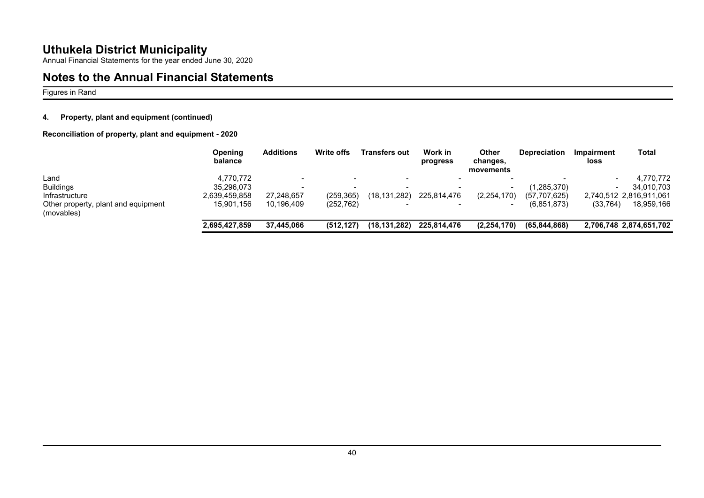Annual Financial Statements for the year ended June 30, 2020

# **Notes to the Annual Financial Statements**

Figures in Rand

### **4. Property, plant and equipment (continued)**

**Reconciliation of property, plant and equipment - 2020**

|                                                   | Opening<br>balance | <b>Additions</b> | Write offs               | <b>Transfers out</b>     | Work in<br>progress | Other<br>changes,<br>movements | <b>Depreciation</b> | <b>Impairment</b><br>loss | Total                   |
|---------------------------------------------------|--------------------|------------------|--------------------------|--------------------------|---------------------|--------------------------------|---------------------|---------------------------|-------------------------|
| Land                                              | 4.770.772          |                  | $\overline{\phantom{0}}$ | $\overline{\phantom{0}}$ |                     |                                |                     |                           | 4,770,772               |
| <b>Buildings</b>                                  | 35.296.073         |                  |                          | $\overline{\phantom{a}}$ |                     |                                | (1,285,370)         |                           | 34,010,703              |
| <b>Infrastructure</b>                             | 2,639,459,858      | 27.248.657       | (259, 365)               | (18, 131, 282)           | 225,814,476         | (2,254,170)                    | (57, 707, 625)      |                           | 2,740,512 2,816,911,061 |
| Other property, plant and equipment<br>(movables) | 15.901.156         | 10.196.409       | (252, 762)               |                          |                     |                                | (6.851.873)         | (33, 764)                 | 18,959,166              |
|                                                   | 2,695,427,859      | 37.445.066       | (512.127)                | (18, 131, 282)           | 225,814,476         | (2, 254, 170)                  | (65, 844, 868)      |                           | 2,706,748 2,874,651,702 |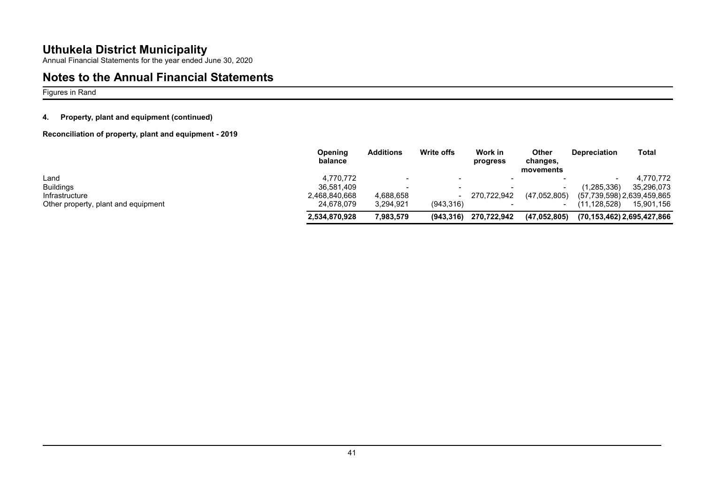Annual Financial Statements for the year ended June 30, 2020

## **Notes to the Annual Financial Statements**

Figures in Rand

### **4. Property, plant and equipment (continued)**

**Reconciliation of property, plant and equipment - 2019**

|                                     | Opening<br>balance | <b>Additions</b>         | <b>Write offs</b>        | Work in<br>progress | Other<br>changes,<br>movements | <b>Depreciation</b> | Total                      |
|-------------------------------------|--------------------|--------------------------|--------------------------|---------------------|--------------------------------|---------------------|----------------------------|
| Land                                | 4.770.772          | $\overline{\phantom{0}}$ | $\overline{\phantom{0}}$ |                     |                                |                     | 4,770,772                  |
| <b>Buildings</b>                    | 36.581.409         |                          |                          |                     |                                | (1, 285, 336)       | 35.296.073                 |
| Infrastructure                      | 2,468,840,668      | 4,688,658                |                          | 270.722.942         | (47.052.805)                   |                     | (57,739,598) 2,639,459,865 |
| Other property, plant and equipment | 24.678.079         | 3,294,921                | (943.316)                |                     |                                | (11,128,528)        | 15,901,156                 |
|                                     | 2,534,870,928      | 7,983,579                | (943, 316)               | 270,722,942         | (47, 052, 805)                 |                     | (70,153,462) 2,695,427,866 |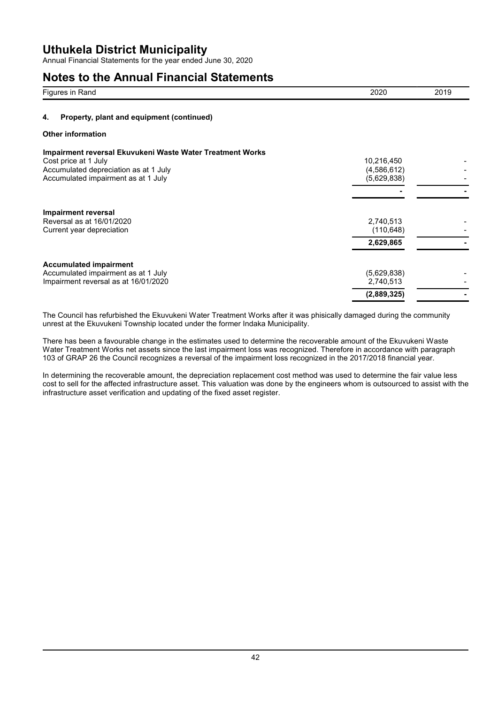Annual Financial Statements for the year ended June 30, 2020

### **Notes to the Annual Financial Statements**

| Figures in Rand                                                                                                                                                          | 2020                                     | 2019 |
|--------------------------------------------------------------------------------------------------------------------------------------------------------------------------|------------------------------------------|------|
| Property, plant and equipment (continued)<br>4.                                                                                                                          |                                          |      |
| <b>Other information</b>                                                                                                                                                 |                                          |      |
| <b>Impairment reversal Ekuvukeni Waste Water Treatment Works</b><br>Cost price at 1 July<br>Accumulated depreciation as at 1 July<br>Accumulated impairment as at 1 July | 10,216,450<br>(4,586,612)<br>(5,629,838) |      |
| <b>Impairment reversal</b><br>Reversal as at 16/01/2020<br>Current year depreciation                                                                                     | 2,740,513<br>(110, 648)<br>2,629,865     |      |
| <b>Accumulated impairment</b><br>Accumulated impairment as at 1 July<br>Impairment reversal as at 16/01/2020                                                             | (5,629,838)<br>2,740,513<br>(2,889,325)  |      |

The Council has refurbished the Ekuvukeni Water Treatment Works after it was phisically damaged during the community unrest at the Ekuvukeni Township located under the former Indaka Municipality.

There has been a favourable change in the estimates used to determine the recoverable amount of the Ekuvukeni Waste Water Treatment Works net assets since the last impairment loss was recognized. Therefore in accordance with paragraph 103 of GRAP 26 the Council recognizes a reversal of the impairment loss recognized in the 2017/2018 financial year.

In determining the recoverable amount, the depreciation replacement cost method was used to determine the fair value less cost to sell for the affected infrastructure asset. This valuation was done by the engineers whom is outsourced to assist with the infrastructure asset verification and updating of the fixed asset register.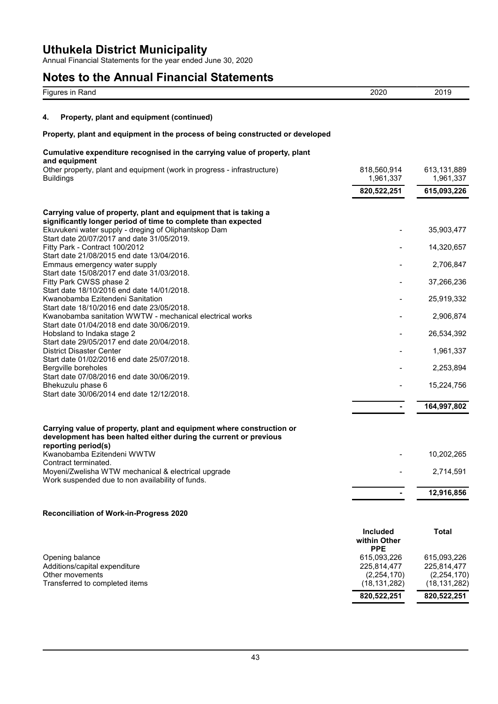Annual Financial Statements for the year ended June 30, 2020

# **Notes to the Annual Financial Statements**

|    | Figures in Rand                                                                                                                                                     | 2020                                          | 2019                            |
|----|---------------------------------------------------------------------------------------------------------------------------------------------------------------------|-----------------------------------------------|---------------------------------|
| 4. | Property, plant and equipment (continued)                                                                                                                           |                                               |                                 |
|    | Property, plant and equipment in the process of being constructed or developed                                                                                      |                                               |                                 |
|    | Cumulative expenditure recognised in the carrying value of property, plant                                                                                          |                                               |                                 |
|    | and equipment<br>Other property, plant and equipment (work in progress - infrastructure)<br><b>Buildings</b>                                                        | 818,560,914<br>1,961,337                      | 613,131,889<br>1,961,337        |
|    |                                                                                                                                                                     | 820,522,251                                   | 615,093,226                     |
|    | Carrying value of property, plant and equipment that is taking a                                                                                                    |                                               |                                 |
|    | significantly longer period of time to complete than expected<br>Ekuvukeni water supply - dreging of Oliphantskop Dam<br>Start date 20/07/2017 and date 31/05/2019. |                                               | 35,903,477                      |
|    | Fitty Park - Contract 100/2012                                                                                                                                      |                                               | 14,320,657                      |
|    | Start date 21/08/2015 end date 13/04/2016.<br>Emmaus emergency water supply                                                                                         |                                               | 2,706,847                       |
|    | Start date 15/08/2017 end date 31/03/2018.<br>Fitty Park CWSS phase 2                                                                                               |                                               | 37,266,236                      |
|    | Start date 18/10/2016 end date 14/01/2018.<br>Kwanobamba Ezitendeni Sanitation                                                                                      |                                               | 25,919,332                      |
|    | Start date 18/10/2016 end date 23/05/2018.<br>Kwanobamba sanitation WWTW - mechanical electrical works                                                              |                                               | 2,906,874                       |
|    | Start date 01/04/2018 end date 30/06/2019.<br>Hobsland to Indaka stage 2                                                                                            |                                               | 26,534,392                      |
|    | Start date 29/05/2017 end date 20/04/2018.<br><b>District Disaster Center</b>                                                                                       |                                               | 1,961,337                       |
|    | Start date 01/02/2016 end date 25/07/2018.<br>Bergville boreholes                                                                                                   |                                               | 2,253,894                       |
|    | Start date 07/08/2016 end date 30/06/2019.                                                                                                                          |                                               |                                 |
|    | Bhekuzulu phase 6<br>Start date 30/06/2014 end date 12/12/2018.                                                                                                     |                                               | 15,224,756                      |
|    |                                                                                                                                                                     | -                                             | 164,997,802                     |
|    | Carrying value of property, plant and equipment where construction or<br>development has been halted either during the current or previous                          |                                               |                                 |
|    | reporting period(s)<br>Kwanobamba Ezitendeni WWTW                                                                                                                   |                                               | 10,202,265                      |
|    | Contract terminated.<br>Moyeni/Zwelisha WTW mechanical & electrical upgrade<br>Work suspended due to non availability of funds.                                     |                                               | 2,714,591                       |
|    |                                                                                                                                                                     |                                               | 12,916,856                      |
|    | <b>Reconciliation of Work-in-Progress 2020</b>                                                                                                                      |                                               |                                 |
|    |                                                                                                                                                                     | <b>Included</b><br>within Other<br><b>PPE</b> | <b>Total</b>                    |
|    | Opening balance<br>Additions/capital expenditure                                                                                                                    | 615,093,226<br>225,814,477                    | 615,093,226<br>225,814,477      |
|    | Other movements<br>Transferred to completed items                                                                                                                   | (2, 254, 170)<br>(18, 131, 282)               | (2, 254, 170)<br>(18, 131, 282) |
|    |                                                                                                                                                                     | 820,522,251                                   | 820,522,251                     |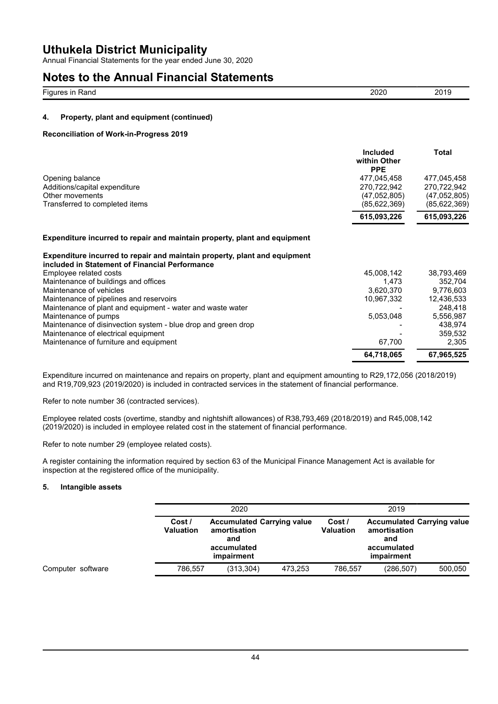Annual Financial Statements for the year ended June 30, 2020

### **Notes to the Annual Financial Statements**

| - --<br>≺ano<br>. . | _____ | - -<br>____ |
|---------------------|-------|-------------|
|                     |       |             |

### **4. Property, plant and equipment (continued)**

#### **Reconciliation of Work-in-Progress 2019**

| <b>Included</b><br>within Other<br><b>PPE</b> | Total        |
|-----------------------------------------------|--------------|
| 477,045,458                                   | 477,045,458  |
| 270.722.942                                   | 270.722.942  |
| (47,052,805)                                  | (47,052,805) |
| (85, 622, 369)                                | (85,622,369) |
| 615.093.226                                   | 615,093,226  |
|                                               |              |

#### **Expenditure incurred to repair and maintain property, plant and equipment**

| Expenditure incurred to repair and maintain property, plant and equipment<br>included in Statement of Financial Performance |            |            |
|-----------------------------------------------------------------------------------------------------------------------------|------------|------------|
| Employee related costs                                                                                                      | 45,008,142 | 38,793,469 |
| Maintenance of buildings and offices                                                                                        | 1.473      | 352.704    |
| Maintenance of vehicles                                                                                                     | 3,620,370  | 9.776.603  |
| Maintenance of pipelines and reservoirs                                                                                     | 10,967,332 | 12,436,533 |
| Maintenance of plant and equipment - water and waste water                                                                  |            | 248.418    |
| Maintenance of pumps                                                                                                        | 5,053,048  | 5,556,987  |
| Maintenance of disinvection system - blue drop and green drop                                                               |            | 438.974    |
| Maintenance of electrical equipment                                                                                         |            | 359,532    |
| Maintenance of furniture and equipment                                                                                      | 67.700     | 2.305      |
|                                                                                                                             | 64,718,065 | 67,965,525 |

Expenditure incurred on maintenance and repairs on property, plant and equipment amounting to R29,172,056 (2018/2019) and R19,709,923 (2019/2020) is included in contracted services in the statement of financial performance.

Refer to note number 36 (contracted services).

Employee related costs (overtime, standby and nightshift allowances) of R38,793,469 (2018/2019) and R45,008,142 (2019/2020) is included in employee related cost in the statement of financial performance.

Refer to note number 29 (employee related costs).

A register containing the information required by section 63 of the Municipal Finance Management Act is available for inspection at the registered office of the municipality.

### **5. Intangible assets**

|                   |                            | 2020                                                                                  |         |                            | 2019                                             |                                   |
|-------------------|----------------------------|---------------------------------------------------------------------------------------|---------|----------------------------|--------------------------------------------------|-----------------------------------|
|                   | Cost /<br><b>Valuation</b> | <b>Accumulated Carrying value</b><br>amortisation<br>and<br>accumulated<br>impairment |         | Cost /<br><b>Valuation</b> | amortisation<br>and<br>accumulated<br>impairment | <b>Accumulated Carrying value</b> |
| Computer software | 786.557                    | (313, 304)                                                                            | 473,253 | 786.557                    | (286, 507)                                       | 500,050                           |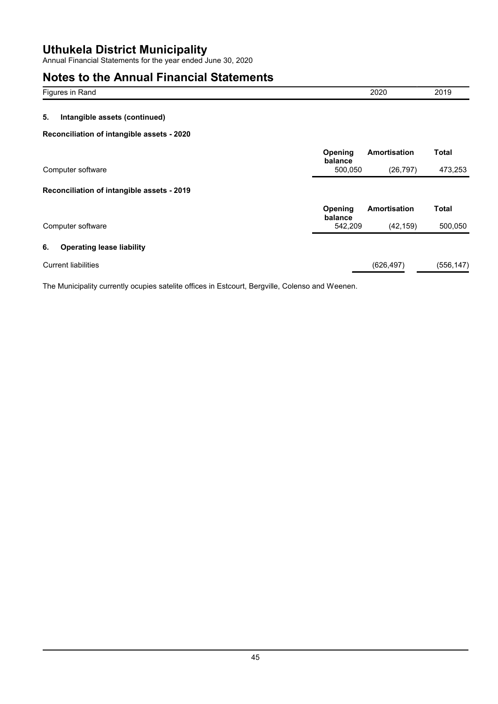Annual Financial Statements for the year ended June 30, 2020

# **Notes to the Annual Financial Statements**

| Figures in Rand                            |                    | 2020         | 2019    |
|--------------------------------------------|--------------------|--------------|---------|
| 5.<br>Intangible assets (continued)        |                    |              |         |
| Reconciliation of intangible assets - 2020 |                    |              |         |
|                                            | Opening<br>balance | Amortisation | Total   |
| Computer software                          | 500,050            | (26, 797)    | 473,253 |

### **Reconciliation of intangible assets - 2019**

|                                        | Opening<br>balance | Amortisation | Total      |
|----------------------------------------|--------------------|--------------|------------|
| Computer software                      | 542.209            | (42.159)     | 500,050    |
| <b>Operating lease liability</b><br>6. |                    |              |            |
| <b>Current liabilities</b>             |                    | (626, 497)   | (556, 147) |

The Municipality currently ocupies satelite offices in Estcourt, Bergville, Colenso and Weenen.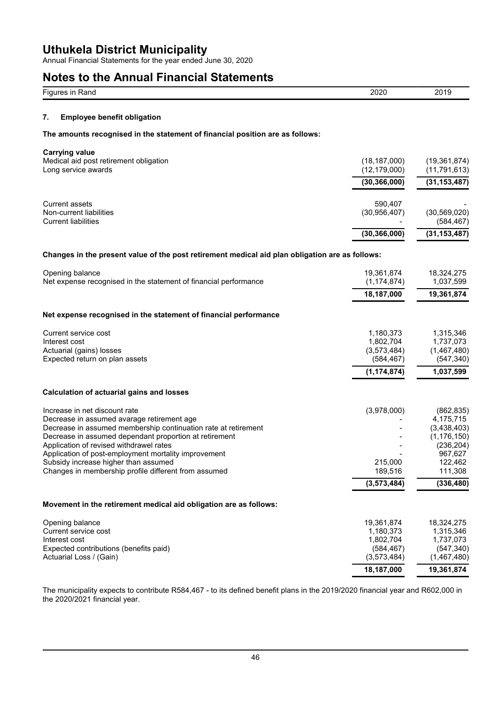Annual Financial Statements for the year ended June 30, 2020

## **Notes to the Annual Financial Statements**

| Notes to the Annual Financial Statements                                                                                                                                                                                                                                                                                                                                                                   |                                                                     |                                                                                                                      |
|------------------------------------------------------------------------------------------------------------------------------------------------------------------------------------------------------------------------------------------------------------------------------------------------------------------------------------------------------------------------------------------------------------|---------------------------------------------------------------------|----------------------------------------------------------------------------------------------------------------------|
| Figures in Rand                                                                                                                                                                                                                                                                                                                                                                                            | 2020                                                                | 2019                                                                                                                 |
| <b>Employee benefit obligation</b><br>7.                                                                                                                                                                                                                                                                                                                                                                   |                                                                     |                                                                                                                      |
| The amounts recognised in the statement of financial position are as follows:                                                                                                                                                                                                                                                                                                                              |                                                                     |                                                                                                                      |
| <b>Carrying value</b>                                                                                                                                                                                                                                                                                                                                                                                      |                                                                     |                                                                                                                      |
| Medical aid post retirement obligation<br>Long service awards                                                                                                                                                                                                                                                                                                                                              | (18, 187, 000)<br>(12, 179, 000)                                    | (19, 361, 874)<br>(11, 791, 613)                                                                                     |
|                                                                                                                                                                                                                                                                                                                                                                                                            | (30, 366, 000)                                                      | (31, 153, 487)                                                                                                       |
| <b>Current assets</b><br>Non-current liabilities<br><b>Current liabilities</b>                                                                                                                                                                                                                                                                                                                             | 590,407<br>(30, 956, 407)                                           | (30, 569, 020)<br>(584, 467)                                                                                         |
|                                                                                                                                                                                                                                                                                                                                                                                                            | (30, 366, 000)                                                      | (31, 153, 487)                                                                                                       |
| Changes in the present value of the post retirement medical aid plan obligation are as follows:                                                                                                                                                                                                                                                                                                            |                                                                     |                                                                                                                      |
| Opening balance<br>Net expense recognised in the statement of financial performance                                                                                                                                                                                                                                                                                                                        | 19,361,874<br>(1, 174, 874)                                         | 18,324,275<br>1,037,599                                                                                              |
|                                                                                                                                                                                                                                                                                                                                                                                                            | 18,187,000                                                          | 19,361,874                                                                                                           |
| Net expense recognised in the statement of financial performance                                                                                                                                                                                                                                                                                                                                           |                                                                     |                                                                                                                      |
| Current service cost<br>Interest cost<br>Actuarial (gains) losses<br>Expected return on plan assets                                                                                                                                                                                                                                                                                                        | 1,180,373<br>1,802,704<br>(3,573,484)<br>(584, 467)                 | 1,315,346<br>1,737,073<br>(1,467,480)<br>(547, 340)                                                                  |
|                                                                                                                                                                                                                                                                                                                                                                                                            | (1, 174, 874)                                                       | 1,037,599                                                                                                            |
| <b>Calculation of actuarial gains and losses</b>                                                                                                                                                                                                                                                                                                                                                           |                                                                     |                                                                                                                      |
| Increase in net discount rate<br>Decrease in assumed avarage retirement age<br>Decrease in assumed membership continuation rate at retirement<br>Decrease in assumed dependant proportion at retirement<br>Application of revised withdrawel rates<br>Application of post-employment mortality improvement<br>Subsidy increase higher than assumed<br>Changes in membership profile different from assumed | (3,978,000)<br>215,000<br>189,516<br>(3, 573, 484)                  | (862, 835)<br>4,175,715<br>(3,438,403)<br>(1, 176, 150)<br>(236, 204)<br>967,627<br>122,462<br>111,308<br>(336, 480) |
| Movement in the retirement medical aid obligation are as follows:                                                                                                                                                                                                                                                                                                                                          |                                                                     |                                                                                                                      |
| Opening balance<br>Current service cost<br>Interest cost<br>Expected contributions (benefits paid)<br>Actuarial Loss / (Gain)                                                                                                                                                                                                                                                                              | 19,361,874<br>1,180,373<br>1,802,704<br>(584, 467)<br>(3, 573, 484) | 18,324,275<br>1,315,346<br>1,737,073<br>(547, 340)<br>(1,467,480)                                                    |

The municipality expects to contribute R584,467 - to its defined benefit plans in the 2019/2020 financial year and R602,000 in the 2020/2021 financial year.

**18,187,000 19,361,874**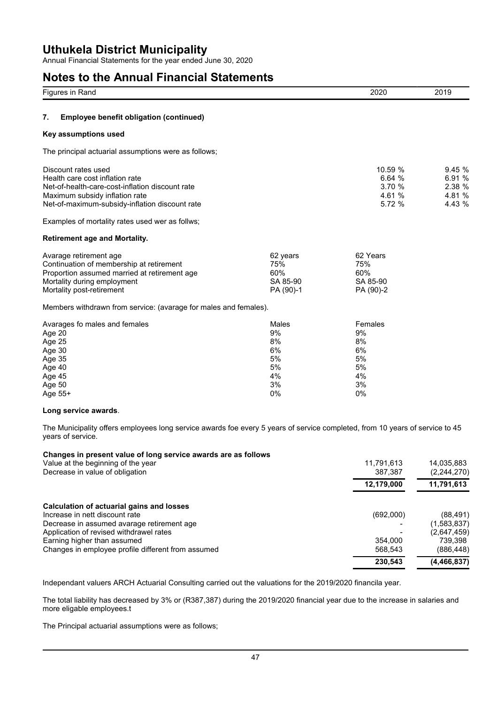Annual Financial Statements for the year ended June 30, 2020

## **Notes to the Annual Financial Statements**

| Figures in Rand                                                                                                                                                                               |                                                       | 2020                                                    | 2019                                           |
|-----------------------------------------------------------------------------------------------------------------------------------------------------------------------------------------------|-------------------------------------------------------|---------------------------------------------------------|------------------------------------------------|
| 7.<br>Employee benefit obligation (continued)                                                                                                                                                 |                                                       |                                                         |                                                |
| Key assumptions used                                                                                                                                                                          |                                                       |                                                         |                                                |
| The principal actuarial assumptions were as follows;                                                                                                                                          |                                                       |                                                         |                                                |
| Discount rates used<br>Health care cost inflation rate<br>Net-of-health-care-cost-inflation discount rate<br>Maximum subsidy inflation rate<br>Net-of-maximum-subsidy-inflation discount rate |                                                       | 10.59 %<br>6.64%<br>3.70 %<br>4.61 %<br>5.72 %          | 9.45 %<br>6.91 %<br>2.38 %<br>4.81 %<br>4.43 % |
| Examples of mortality rates used wer as follws;                                                                                                                                               |                                                       |                                                         |                                                |
| <b>Retirement age and Mortality.</b>                                                                                                                                                          |                                                       |                                                         |                                                |
| Avarage retirement age<br>Continuation of membership at retirement<br>Proportion assumed married at retirement age<br>Mortality during employment<br>Mortality post-retirement                | 62 years<br>75%<br>60%<br>SA 85-90<br>PA (90)-1       | 62 Years<br>75%<br>60%<br>SA 85-90<br>PA (90)-2         |                                                |
| Members withdrawn from service: (avarage for males and females).                                                                                                                              |                                                       |                                                         |                                                |
| Avarages fo males and females<br>Age 20<br>Age 25<br>Age 30<br>Age 35<br>Age 40<br>Age 45<br>Age 50<br>Age 55+                                                                                | Males<br>9%<br>8%<br>6%<br>5%<br>5%<br>4%<br>3%<br>0% | Females<br>9%<br>8%<br>6%<br>5%<br>5%<br>4%<br>3%<br>0% |                                                |
| Long service awards.                                                                                                                                                                          |                                                       |                                                         |                                                |
| The Municipality offers employees long service awards foe every 5 years of service completed, from 10 years of service to 45<br>years of service.                                             |                                                       |                                                         |                                                |
| Changes in present value of long service awards are as follows<br>Value at the beginning of the year<br>Decrease in value of obligation                                                       |                                                       | 11,791,613<br>387,387                                   | 14,035,883<br>(2, 244, 270)                    |
|                                                                                                                                                                                               |                                                       | 12,179,000                                              | 11,791,613                                     |
| <b>Calculation of actuarial gains and losses</b><br>Increase in nett discount rate<br>Decrease in assumed avarage retirement age<br>Application of revised withdrawel rates                   |                                                       | (692,000)                                               | (88, 491)<br>(1,583,837)<br>(2,647,459)        |
| Earning higher than assumed<br>Changes in employee profile different from assumed                                                                                                             |                                                       | 354,000<br>568,543                                      | 739,398<br>(886, 448)                          |

Independant valuers ARCH Actuarial Consulting carried out the valuations for the 2019/2020 financila year.

The total liability has decreased by 3% or (R387,387) during the 2019/2020 financial year due to the increase in salaries and more eligable employees.t

**230,543 (4,466,837)**

The Principal actuarial assumptions were as follows;

Changes in employee profile different from assumed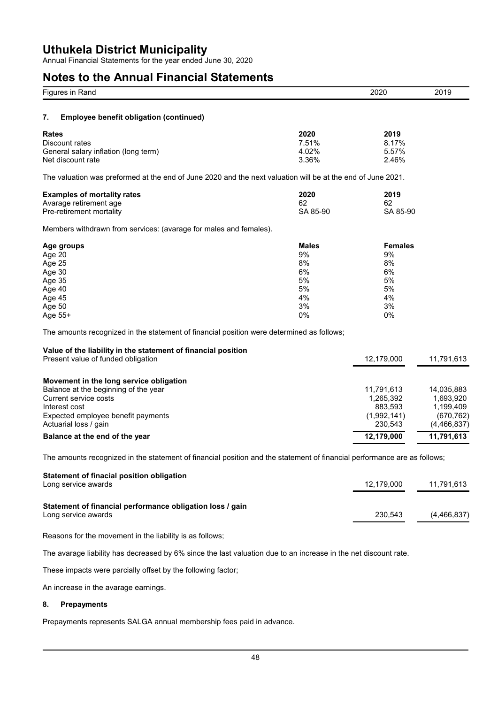Annual Financial Statements for the year ended June 30, 2020

## **Notes to the Annual Financial Statements**

| Figures in Rand                                                                                                                                                                                                            |                                                              | 2020                                                                       | 2019                                                                            |
|----------------------------------------------------------------------------------------------------------------------------------------------------------------------------------------------------------------------------|--------------------------------------------------------------|----------------------------------------------------------------------------|---------------------------------------------------------------------------------|
| 7.<br><b>Employee benefit obligation (continued)</b>                                                                                                                                                                       |                                                              |                                                                            |                                                                                 |
| Rates<br>Discount rates<br>General salary inflation (long term)<br>Net discount rate                                                                                                                                       | 2020<br>7.51%<br>4.02%<br>3.36%                              | 2019<br>8.17%<br>5.57%<br>2.46%                                            |                                                                                 |
| The valuation was preformed at the end of June 2020 and the next valuation will be at the end of June 2021.                                                                                                                |                                                              |                                                                            |                                                                                 |
| <b>Examples of mortality rates</b><br>Avarage retirement age<br>Pre-retirement mortality                                                                                                                                   | 2020<br>62<br>SA 85-90                                       | 2019<br>62<br>SA 85-90                                                     |                                                                                 |
| Members withdrawn from services: (avarage for males and females).                                                                                                                                                          |                                                              |                                                                            |                                                                                 |
| Age groups<br>Age 20<br>Age 25<br>Age 30<br>Age 35<br>Age 40<br>Age 45<br>Age 50<br>Age 55+                                                                                                                                | <b>Males</b><br>9%<br>8%<br>6%<br>5%<br>5%<br>4%<br>3%<br>0% | <b>Females</b><br>9%<br>8%<br>6%<br>5%<br>5%<br>4%<br>3%<br>0%             |                                                                                 |
| The amounts recognized in the statement of financial position were determined as follows;                                                                                                                                  |                                                              |                                                                            |                                                                                 |
| Value of the liability in the statement of financial position<br>Present value of funded obligation                                                                                                                        |                                                              | 12,179,000                                                                 | 11,791,613                                                                      |
| Movement in the long service obligation<br>Balance at the beginning of the year<br>Current service costs<br>Interest cost<br>Expected employee benefit payments<br>Actuarial loss / gain<br>Balance at the end of the year |                                                              | 11,791,613<br>1,265,392<br>883,593<br>(1,992,141)<br>230,543<br>12,179,000 | 14,035,883<br>1,693,920<br>1,199,409<br>(670, 762)<br>(4,466,837)<br>11,791,613 |
|                                                                                                                                                                                                                            |                                                              |                                                                            |                                                                                 |
| The amounts recognized in the statement of financial position and the statement of financial performance are as follows;<br><b>Statement of finacial position obligation</b><br>Long service awards                        |                                                              | 12,179,000                                                                 | 11,791,613                                                                      |
| Statement of financial performance obligation loss / gain<br>Long service awards                                                                                                                                           |                                                              | 230,543                                                                    | (4, 466, 837)                                                                   |
| Reasons for the movement in the liability is as follows;                                                                                                                                                                   |                                                              |                                                                            |                                                                                 |
| The avarage liability has decreased by 6% since the last valuation due to an increase in the net discount rate.                                                                                                            |                                                              |                                                                            |                                                                                 |
| These impacts were parcially offset by the following factor;                                                                                                                                                               |                                                              |                                                                            |                                                                                 |
| An increase in the avarage earnings.                                                                                                                                                                                       |                                                              |                                                                            |                                                                                 |
| <b>Prepayments</b><br>8.                                                                                                                                                                                                   |                                                              |                                                                            |                                                                                 |
| Prepayments represents SALGA annual membership fees paid in advance.                                                                                                                                                       |                                                              |                                                                            |                                                                                 |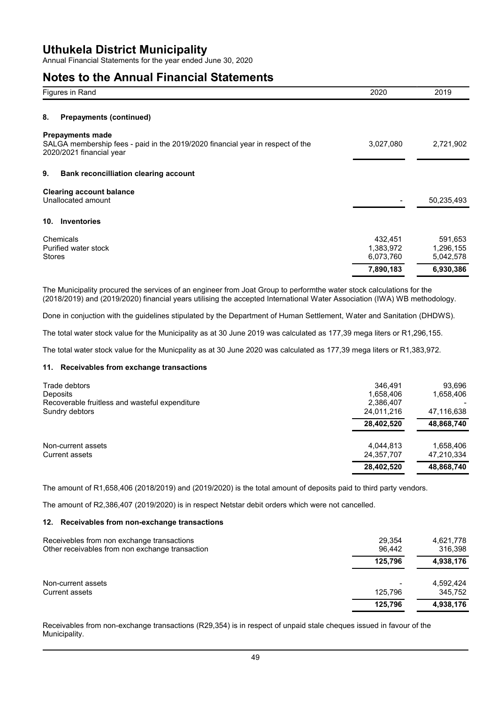Annual Financial Statements for the year ended June 30, 2020

### **Notes to the Annual Financial Statements**

| Figures in Rand                                                                                                                       | 2020                              | 2019                              |
|---------------------------------------------------------------------------------------------------------------------------------------|-----------------------------------|-----------------------------------|
| 8.<br><b>Prepayments (continued)</b>                                                                                                  |                                   |                                   |
| <b>Prepayments made</b><br>SALGA membership fees - paid in the 2019/2020 financial year in respect of the<br>2020/2021 financial year | 3,027,080                         | 2,721,902                         |
| 9.<br><b>Bank reconcilliation clearing account</b>                                                                                    |                                   |                                   |
| <b>Clearing account balance</b><br>Unallocated amount                                                                                 |                                   | 50,235,493                        |
| <b>Inventories</b><br>10.                                                                                                             |                                   |                                   |
| Chemicals<br>Purified water stock<br><b>Stores</b>                                                                                    | 432,451<br>1,383,972<br>6,073,760 | 591,653<br>1,296,155<br>5,042,578 |
|                                                                                                                                       | 7,890,183                         | 6,930,386                         |

The Municipality procured the services of an engineer from Joat Group to performthe water stock calculations for the (2018/2019) and (2019/2020) financial years utilising the accepted International Water Association (IWA) WB methodology.

Done in conjuction with the guidelines stipulated by the Department of Human Settlement, Water and Sanitation (DHDWS).

The total water stock value for the Municipality as at 30 June 2019 was calculated as 177,39 mega liters or R1,296,155.

The total water stock value for the Municpality as at 30 June 2020 was calculated as 177,39 mega liters or R1,383,972.

#### **11. Receivables from exchange transactions**

| Trade debtors<br>Deposits<br>Recoverable fruitless and wasteful expenditure<br>Sundry debtors | 346.491<br>1,658,406<br>2,386,407<br>24.011.216 | 93,696<br>1,658,406<br>47,116,638 |
|-----------------------------------------------------------------------------------------------|-------------------------------------------------|-----------------------------------|
|                                                                                               | 28,402,520                                      | 48,868,740                        |
| Non-current assets<br>Current assets                                                          | 4.044.813<br>24,357,707                         | 1,658,406<br>47,210,334           |
|                                                                                               | 28,402,520                                      | 48,868,740                        |

The amount of R1,658,406 (2018/2019) and (2019/2020) is the total amount of deposits paid to third party vendors.

The amount of R2,386,407 (2019/2020) is in respect Netstar debit orders which were not cancelled.

#### **12. Receivables from non-exchange transactions**

| Receivebles from non exchange transactions<br>Other receivables from non exchange transaction | 29.354<br>96.442         | 4,621,778<br>316.398 |
|-----------------------------------------------------------------------------------------------|--------------------------|----------------------|
|                                                                                               | 125.796                  | 4,938,176            |
| Non-current assets                                                                            | $\overline{\phantom{0}}$ | 4,592,424            |
| Current assets                                                                                | 125.796                  | 345.752              |
|                                                                                               | 125.796                  | 4,938,176            |

Receivables from non-exchange transactions (R29,354) is in respect of unpaid stale cheques issued in favour of the Municipality.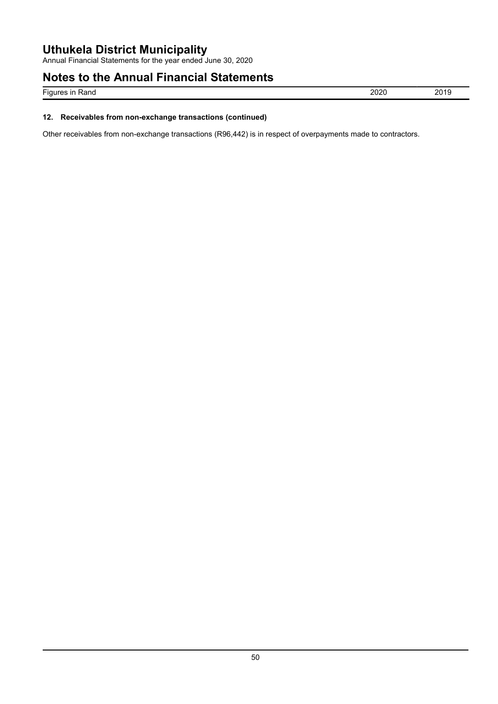Annual Financial Statements for the year ended June 30, 2020

## **Notes to the Annual Financial Statements**

Figures in Rand 2019 2019

### **12. Receivables from non-exchange transactions (continued)**

Other receivables from non-exchange transactions (R96,442) is in respect of overpayments made to contractors.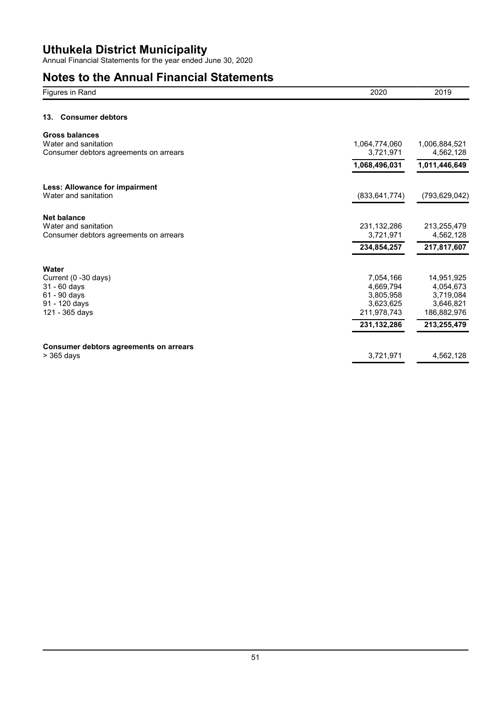Annual Financial Statements for the year ended June 30, 2020

# **Notes to the Annual Financial Statements**

| Figures in Rand                                                | 2020                       | 2019                       |
|----------------------------------------------------------------|----------------------------|----------------------------|
| <b>Consumer debtors</b><br>13.                                 |                            |                            |
| <b>Gross balances</b>                                          |                            |                            |
| Water and sanitation<br>Consumer debtors agreements on arrears | 1,064,774,060<br>3,721,971 | 1,006,884,521<br>4,562,128 |
|                                                                | 1,068,496,031              | 1,011,446,649              |
| Less: Allowance for impairment                                 |                            |                            |
| Water and sanitation                                           | (833, 641, 774)            | (793, 629, 042)            |
| <b>Net balance</b>                                             |                            |                            |
| Water and sanitation<br>Consumer debtors agreements on arrears | 231, 132, 286<br>3,721,971 | 213,255,479<br>4,562,128   |
|                                                                | 234,854,257                | 217,817,607                |
|                                                                |                            |                            |
| Water<br>Current (0 -30 days)                                  | 7,054,166                  | 14,951,925                 |
| $31 - 60$ days                                                 | 4,669,794                  | 4,054,673                  |
| 61 - 90 days                                                   | 3,805,958                  | 3,719,084                  |
| 91 - 120 days                                                  | 3,623,625                  | 3,646,821                  |
| 121 - 365 days                                                 | 211,978,743                | 186,882,976                |
|                                                                | 231, 132, 286              | 213,255,479                |
| Consumer debtors agreements on arrears                         |                            |                            |
| > 365 days                                                     | 3,721,971                  | 4,562,128                  |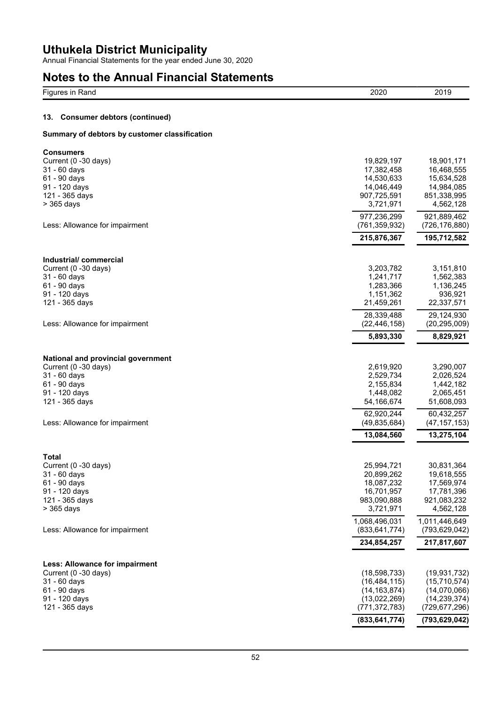Annual Financial Statements for the year ended June 30, 2020

## **Notes to the Annual Financial Statements**

| Figures in Rand                               | 2020                   | 2019                   |
|-----------------------------------------------|------------------------|------------------------|
| <b>Consumer debtors (continued)</b><br>13.    |                        |                        |
| Summary of debtors by customer classification |                        |                        |
| Consumers                                     |                        |                        |
| Current (0 -30 days)                          | 19,829,197             | 18,901,171             |
| 31 - 60 days                                  | 17,382,458             | 16,468,555             |
| 61 - 90 days                                  | 14,530,633             | 15,634,528             |
| 91 - 120 days                                 | 14,046,449             | 14,984,085             |
| 121 - 365 days                                | 907,725,591            | 851,338,995            |
| > 365 days                                    | 3,721,971              | 4,562,128              |
|                                               | 977,236,299            | 921,889,462            |
| Less: Allowance for impairment                | (761, 359, 932)        | (726, 176, 880)        |
|                                               | 215,876,367            | 195,712,582            |
| Industrial/commercial                         |                        |                        |
| Current (0 -30 days)                          | 3,203,782              | 3,151,810              |
| 31 - 60 days                                  | 1,241,717              | 1,562,383              |
| 61 - 90 days                                  | 1,283,366              | 1,136,245              |
| 91 - 120 days                                 | 1,151,362              | 936,921                |
| 121 - 365 days                                | 21,459,261             | 22,337,571             |
|                                               | 28,339,488             | 29,124,930             |
| Less: Allowance for impairment                | (22, 446, 158)         | (20, 295, 009)         |
|                                               | 5,893,330              | 8,829,921              |
|                                               |                        |                        |
| National and provincial government            |                        |                        |
| Current (0 -30 days)                          | 2,619,920              | 3,290,007              |
| 31 - 60 days                                  | 2,529,734              | 2,026,524              |
| 61 - 90 days<br>91 - 120 days                 | 2,155,834<br>1,448,082 | 1,442,182<br>2,065,451 |
| 121 - 365 days                                | 54,166,674             | 51,608,093             |
|                                               |                        |                        |
|                                               | 62,920,244             | 60,432,257             |
| Less: Allowance for impairment                | (49, 835, 684)         | (47, 157, 153)         |
|                                               | 13,084,560             | 13,275,104             |
| <b>Total</b>                                  |                        |                        |
| Current (0 -30 days)                          | 25,994,721             | 30,831,364             |
| 31 - 60 days                                  | 20,899,262             | 19,618,555             |
| 61 - 90 days                                  | 18,087,232             | 17,569,974             |
| 91 - 120 days                                 | 16,701,957             | 17,781,396             |
| 121 - 365 days                                | 983,090,888            | 921,083,232            |
| > 365 days                                    | 3,721,971              | 4,562,128              |
|                                               | 1,068,496,031          | 1,011,446,649          |
| Less: Allowance for impairment                | (833, 641, 774)        | (793, 629, 042)        |
|                                               | 234,854,257            | 217,817,607            |
|                                               |                        |                        |
| Less: Allowance for impairment                |                        |                        |
| Current (0 -30 days)                          | (18, 598, 733)         | (19, 931, 732)         |
| 31 - 60 days                                  | (16, 484, 115)         | (15, 710, 574)         |
| 61 - 90 days                                  | (14, 163, 874)         | (14,070,066)           |
| 91 - 120 days                                 | (13,022,269)           | (14, 239, 374)         |
| 121 - 365 days                                | (771, 372, 783)        | (729,677,296)          |
|                                               | (833, 641, 774)        | (793, 629, 042)        |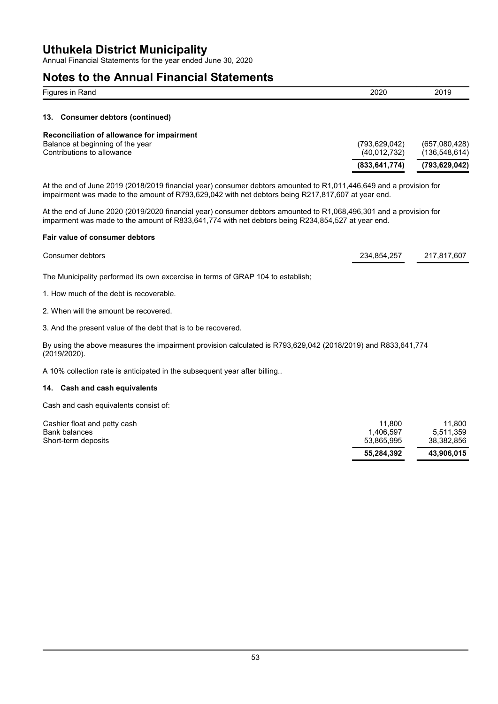Annual Financial Statements for the year ended June 30, 2020

### **Notes to the Annual Financial Statements**

| $-$<br>ווחו<br>.<br>kanc<br>שי | 2020 | 2019 |
|--------------------------------|------|------|
|                                |      |      |

#### **13. Consumer debtors (continued)**

|                                                                                                              | (833.641.774)                 | (793,629,042)                  |
|--------------------------------------------------------------------------------------------------------------|-------------------------------|--------------------------------|
| Reconciliation of allowance for impairment<br>Balance at beginning of the year<br>Contributions to allowance | (793.629.042)<br>(40.012.732) | (657,080,428)<br>(136,548,614) |

At the end of June 2019 (2018/2019 financial year) consumer debtors amounted to R1,011,446,649 and a provision for impairment was made to the amount of R793,629,042 with net debtors being R217,817,607 at year end.

At the end of June 2020 (2019/2020 financial year) consumer debtors amounted to R1,068,496,301 and a provision for imparment was made to the amount of R833,641,774 with net debtors being R234,854,527 at year end.

#### **Fair value of consumer debtors**

| Consumer debtors                                                                | 234.854.257 | 217.817.607 |
|---------------------------------------------------------------------------------|-------------|-------------|
| The Municipality performed its own excercise in terms of GRAP 104 to establish; |             |             |
| 1. How much of the debt is recoverable.                                         |             |             |

2. When will the amount be recovered.

3. And the present value of the debt that is to be recovered.

By using the above measures the impairment provision calculated is R793,629,042 (2018/2019) and R833,641,774 (2019/2020).

A 10% collection rate is anticipated in the subsequent year after billing..

#### **14. Cash and cash equivalents**

Cash and cash equivalents consist of:

| Cashier float and petty cash<br>Bank balances | 11.800<br>1.406.597 | 11.800<br>5.511.359 |
|-----------------------------------------------|---------------------|---------------------|
| Short-term deposits                           | 53.865.995          | 38.382.856          |
|                                               | 55.284.392          | 43.906.015          |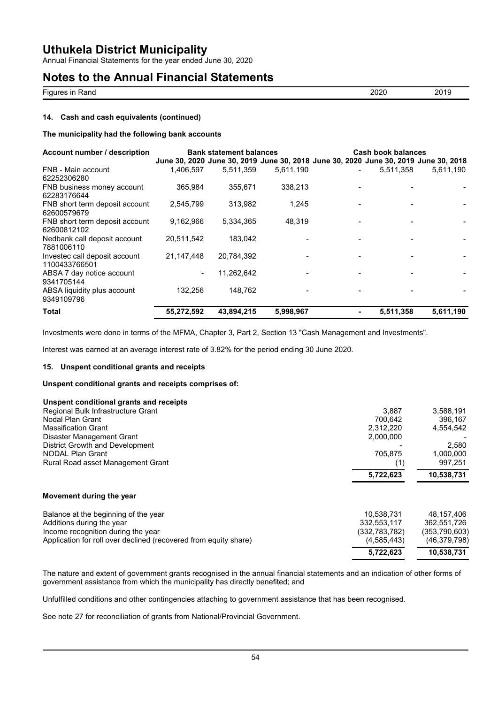Annual Financial Statements for the year ended June 30, 2020

## **Notes to the Annual Financial Statements**

| --<br>ירז<br>⊀and<br>Fiaur<br><br>$ -$ |  |
|----------------------------------------|--|

#### **14. Cash and cash equivalents (continued)**

#### **The municipality had the following bank accounts**

| Account number / description                   |                | <b>Bank statement balances</b> |           | <b>Cash book balances</b> |                                                                                     |
|------------------------------------------------|----------------|--------------------------------|-----------|---------------------------|-------------------------------------------------------------------------------------|
|                                                |                |                                |           |                           | June 30, 2020 June 30, 2019 June 30, 2018 June 30, 2020 June 30, 2019 June 30, 2018 |
| FNB - Main account<br>62252306280              | 1.406.597      | 5,511,359                      | 5,611,190 | 5,511,358                 | 5,611,190                                                                           |
| FNB business money account<br>62283176644      | 365,984        | 355,671                        | 338,213   |                           |                                                                                     |
| FNB short term deposit account<br>62600579679  | 2,545,799      | 313.982                        | 1,245     |                           |                                                                                     |
| FNB short term deposit account<br>62600812102  | 9,162,966      | 5.334.365                      | 48,319    |                           |                                                                                     |
| Nedbank call deposit account<br>7881006110     | 20,511,542     | 183,042                        |           |                           |                                                                                     |
| Investec call deposit account<br>1100433766501 | 21,147,448     | 20,784,392                     |           |                           |                                                                                     |
| ABSA 7 day notice account<br>9341705144        | $\blacksquare$ | 11,262,642                     |           |                           |                                                                                     |
| ABSA liquidity plus account<br>9349109796      | 132,256        | 148.762                        |           |                           |                                                                                     |
| Total                                          | 55,272,592     | 43,894,215                     | 5,998,967 | 5,511,358                 | 5,611,190                                                                           |

Investments were done in terms of the MFMA, Chapter 3, Part 2, Section 13 "Cash Management and Investments".

Interest was earned at an average interest rate of 3.82% for the period ending 30 June 2020.

#### **15. Unspent conditional grants and receipts**

#### **Unspent conditional grants and receipts comprises of:**

| Unspent conditional grants and receipts                          |               |                |
|------------------------------------------------------------------|---------------|----------------|
| Regional Bulk Infrastructure Grant                               | 3.887         | 3,588,191      |
| Nodal Plan Grant                                                 | 700.642       | 396,167        |
| <b>Massification Grant</b>                                       | 2.312.220     | 4,554,542      |
| Disaster Management Grant                                        | 2,000,000     |                |
| District Growth and Development                                  |               | 2,580          |
| NODAL Plan Grant                                                 | 705,875       | 1,000,000      |
| Rural Road asset Management Grant                                | (1)           | 997,251        |
|                                                                  | 5,722,623     | 10,538,731     |
| Movement during the year                                         |               |                |
| Balance at the beginning of the year                             | 10.538.731    | 48.157.406     |
| Additions during the year                                        | 332,553,117   | 362,551,726    |
| Income recognition during the year                               | (332,783,782) | (353,790,603)  |
| Application for roll over declined (recovered from equity share) | (4, 585, 443) | (46, 379, 798) |
|                                                                  | 5,722,623     | 10,538,731     |

The nature and extent of government grants recognised in the annual financial statements and an indication of other forms of government assistance from which the municipality has directly benefited; and

Unfulfilled conditions and other contingencies attaching to government assistance that has been recognised.

See note 27 for reconciliation of grants from National/Provincial Government.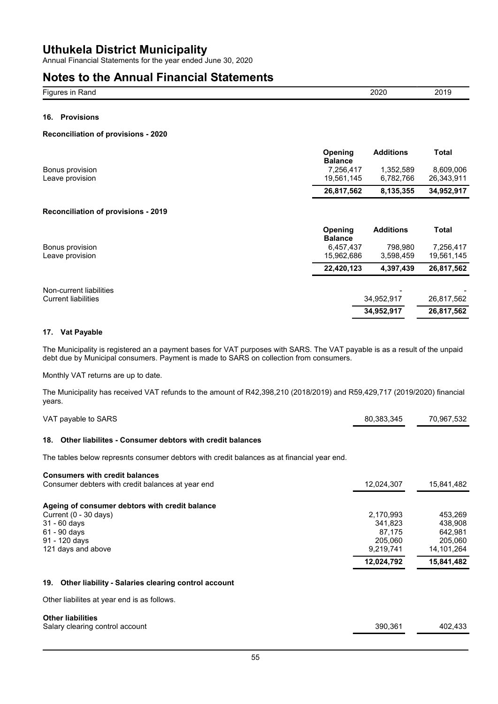Annual Financial Statements for the year ended June 30, 2020

### **Notes to the Annual Financial Statements**

| $- \cdot$<br>,<br>Fiat<br><br>kand<br>ш | ∍∩י<br>∠∪<br>.<br>$\sim$ |
|-----------------------------------------|--------------------------|
|                                         |                          |

### **16. Provisions**

#### **Reconciliation of provisions - 2020**

|                 | <b>Opening</b><br><b>Balance</b> | <b>Additions</b> | Total      |
|-----------------|----------------------------------|------------------|------------|
| Bonus provision | 7.256.417                        | 1.352.589        | 8.609.006  |
| Leave provision | 19.561.145                       | 6.782.766        | 26.343.911 |
|                 | 26.817.562                       | 8.135.355        | 34.952.917 |

#### **Reconciliation of provisions - 2019**

|                            | Opening<br><b>Balance</b> | <b>Additions</b> | <b>Total</b> |
|----------------------------|---------------------------|------------------|--------------|
| Bonus provision            | 6,457,437                 | 798.980          | 7,256,417    |
| Leave provision            | 15,962,686                | 3,598,459        | 19,561,145   |
|                            | 22,420,123                | 4,397,439        | 26,817,562   |
| Non-current liabilities    |                           |                  |              |
| <b>Current liabilities</b> |                           | 34,952,917       | 26,817,562   |
|                            |                           | 34,952,917       | 26,817,562   |

#### **17. Vat Payable**

The Municipality is registered an a payment bases for VAT purposes with SARS. The VAT payable is as a result of the unpaid debt due by Municipal consumers. Payment is made to SARS on collection from consumers.

Monthly VAT returns are up to date.

The Municipality has received VAT refunds to the amount of R42,398,210 (2018/2019) and R59,429,717 (2019/2020) financial years.

| VAT payable to SARS                                                                                                                                | 80,383,345                                             | 70,967,532                                             |
|----------------------------------------------------------------------------------------------------------------------------------------------------|--------------------------------------------------------|--------------------------------------------------------|
| Other liabilites - Consumer debtors with credit balances<br>18.                                                                                    |                                                        |                                                        |
| The tables below represnts consumer debtors with credit balances as at financial year end.                                                         |                                                        |                                                        |
| <b>Consumers with credit balances</b><br>Consumer debters with credit balances at year end                                                         | 12,024,307                                             | 15,841,482                                             |
| Ageing of consumer debtors with credit balance<br>Current (0 - 30 days)<br>$31 - 60$ days<br>$61 - 90$ days<br>91 - 120 days<br>121 days and above | 2,170,993<br>341,823<br>87,175<br>205,060<br>9,219,741 | 453,269<br>438,908<br>642,981<br>205,060<br>14,101,264 |
| Other liability - Salaries clearing control account<br>19.                                                                                         | 12,024,792                                             | 15,841,482                                             |
| Other liabilites at year end is as follows.                                                                                                        |                                                        |                                                        |
| <b>Other liabilities</b><br>Salary clearing control account                                                                                        | 390,361                                                | 402,433                                                |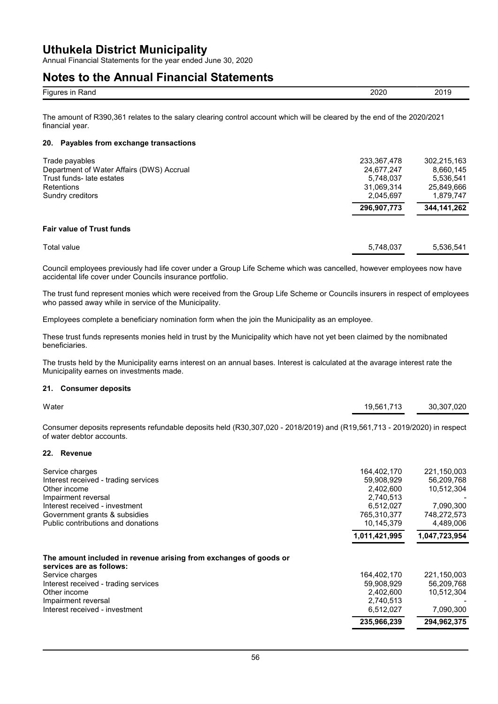Annual Financial Statements for the year ended June 30, 2020

### **Notes to the Annual Financial Statements**

| nnnr<br>Rand<br>ın<br>. וחו<br>.<br>. | 201<br>" |  |
|---------------------------------------|----------|--|

The amount of R390,361 relates to the salary clearing control account which will be cleared by the end of the 2020/2021 financial year.

### **20. Payables from exchange transactions**

| Trade payables<br>Department of Water Affairs (DWS) Accrual<br>Trust funds- late estates<br>Retentions<br>Sundry creditors | 233,367,478<br>24,677,247<br>5,748,037<br>31,069,314<br>2.045.697 | 302.215.163<br>8,660,145<br>5.536.541<br>25,849,666<br>1,879,747 |
|----------------------------------------------------------------------------------------------------------------------------|-------------------------------------------------------------------|------------------------------------------------------------------|
|                                                                                                                            | 296,907,773                                                       | 344,141,262                                                      |
| <b>Fair value of Trust funds</b>                                                                                           |                                                                   |                                                                  |
| Total value                                                                                                                | 5,748,037                                                         | 5.536.541                                                        |

Council employees previously had life cover under a Group Life Scheme which was cancelled, however employees now have accidental life cover under Councils insurance portfolio.

The trust fund represent monies which were received from the Group Life Scheme or Councils insurers in respect of employees who passed away while in service of the Municipality.

Employees complete a beneficiary nomination form when the join the Municipality as an employee.

These trust funds represents monies held in trust by the Municipality which have not yet been claimed by the nomibnated beneficiaries.

The trusts held by the Municipality earns interest on an annual bases. Interest is calculated at the avarage interest rate the Municipality earnes on investments made.

#### **21. Consumer deposits**

| Water | 19,561,713 | 30,307,020 |
|-------|------------|------------|
|       |            |            |

Consumer deposits represents refundable deposits held (R30,307,020 - 2018/2019) and (R19,561,713 - 2019/2020) in respect of water debtor accounts.

#### **22. Revenue**

| Service charges                                                                               | 164.402.170   | 221.150.003   |
|-----------------------------------------------------------------------------------------------|---------------|---------------|
| Interest received - trading services                                                          | 59.908.929    | 56.209.768    |
| Other income                                                                                  | 2.402.600     | 10.512.304    |
| Impairment reversal                                                                           | 2.740.513     |               |
| Interest received - investment                                                                | 6,512,027     | 7,090,300     |
| Government grants & subsidies                                                                 | 765,310,377   | 748,272,573   |
| Public contributions and donations                                                            | 10.145.379    | 4.489.006     |
|                                                                                               | 1,011,421,995 | 1,047,723,954 |
| The amount included in revenue arising from exchanges of goods or<br>services are as follows: |               |               |
| Service charges                                                                               | 164,402,170   | 221,150,003   |
| Interest received - trading services                                                          | 59,908,929    | 56,209,768    |
| Other income                                                                                  | 2,402,600     | 10.512.304    |
| Impairment reversal                                                                           | 2,740,513     |               |
| Interest received - investment                                                                | 6,512,027     | 7,090,300     |
|                                                                                               | 235,966,239   | 294,962,375   |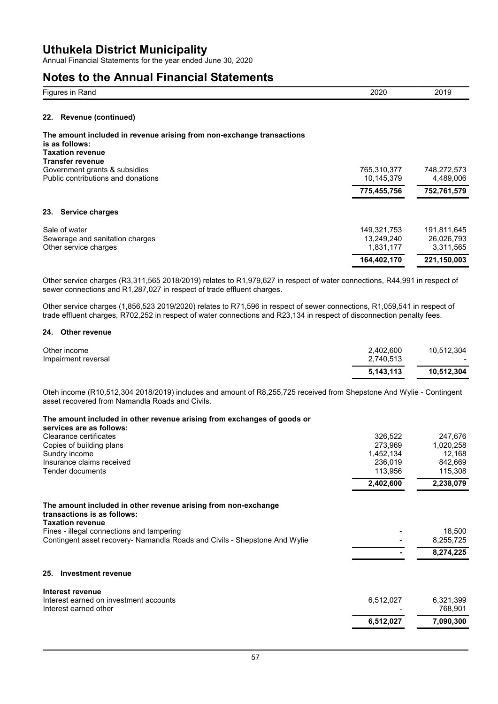Annual Financial Statements for the year ended June 30, 2020

### **Notes to the Annual Financial Statements**

| <u>.</u><br>◡ | $\sim$<br>- u<br> |  |
|---------------|-------------------|--|
|               |                   |  |

#### **22. Revenue (continued)**

#### **The amount included in revenue arising from non-exchange transactions is as follows:**

**Taxation revenue Transfer revenue**

| Government grants & subsidies      | 765,310,377 | 748,272,573 |
|------------------------------------|-------------|-------------|
| Public contributions and donations | 10.145.379  | 4.489.006   |
|                                    | 775,455,756 | 752,761,579 |
| <b>Service charges</b><br>23.      |             |             |
| Sale of water                      | 149.321.753 | 191.811.645 |
| Sewerage and sanitation charges    | 13.249.240  | 26,026,793  |
| Other service charges              | 1.831.177   | 3,311,565   |
|                                    | 164,402,170 | 221,150,003 |

Other service charges (R3,311,565 2018/2019) relates to R1,979,627 in respect of water connections, R44,991 in respect of sewer connections and R1,287,027 in respect of trade effluent charges.

Other service charges (1,856,523 2019/2020) relates to R71,596 in respect of sewer connections, R1,059,541 in respect of trade effluent charges, R702,252 in respect of water connections and R23,134 in respect of disconnection penalty fees.

#### **24. Other revenue**

| Other income<br>Impairment reversal | 2,402,600<br>2,740,513 | 10.512.304 |
|-------------------------------------|------------------------|------------|
|                                     | 5,143,113              | 10.512.304 |

Oteh income (R10,512,304 2018/2019) includes and amount of R8,255,725 received from Shepstone And Wylie - Contingent asset recovered from Namandla Roads and Civils.

#### **The amount included in other revenue arising from exchanges of goods or**

| services are as follows:                                                                                                 |           |                      |
|--------------------------------------------------------------------------------------------------------------------------|-----------|----------------------|
| Clearance certificates                                                                                                   | 326,522   | 247,676              |
| Copies of building plans                                                                                                 | 273,969   | 1,020,258            |
| Sundry income                                                                                                            | 1,452,134 | 12,168               |
| Insurance claims received                                                                                                | 236,019   | 842,669              |
| Tender documents                                                                                                         | 113,956   | 115,308              |
|                                                                                                                          | 2,402,600 | 2,238,079            |
| The amount included in other revenue arising from non-exchange<br>transactions is as follows:<br><b>Taxation revenue</b> |           |                      |
| Fines - illegal connections and tampering<br>Contingent asset recovery- Namandla Roads and Civils - Shepstone And Wylie  |           | 18,500<br>8,255,725  |
|                                                                                                                          |           | 8,274,225            |
| <b>Investment revenue</b><br>25.                                                                                         |           |                      |
| Interest revenue                                                                                                         |           |                      |
| Interest earned on investment accounts<br>Interest earned other                                                          | 6,512,027 | 6,321,399<br>768,901 |
|                                                                                                                          | 6,512,027 | 7,090,300            |
|                                                                                                                          |           |                      |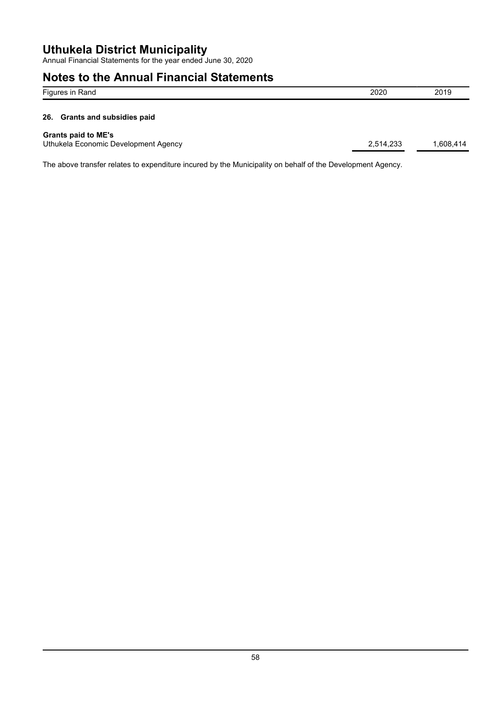Annual Financial Statements for the year ended June 30, 2020

## **Notes to the Annual Financial Statements**

| Figures in Rand                                                    | 2020      | 2019      |
|--------------------------------------------------------------------|-----------|-----------|
| 26. Grants and subsidies paid                                      |           |           |
| <b>Grants paid to ME's</b><br>Uthukela Economic Development Agency | 2,514,233 | 1,608,414 |

The above transfer relates to expenditure incured by the Municipality on behalf of the Development Agency.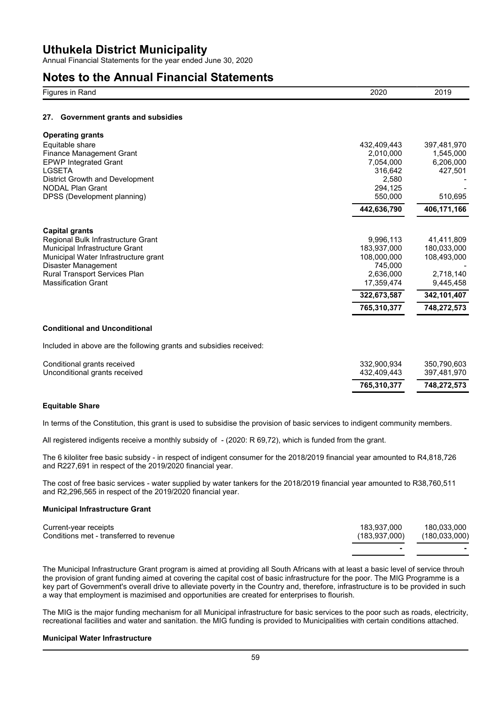Annual Financial Statements for the year ended June 30, 2020

## **Notes to the Annual Financial Statements**

| $-$<br>- --<br>FIUI<br>kan w<br> | ורחר<br><b>LULU</b> | ገ∩ 1<br>ZUIY |
|----------------------------------|---------------------|--------------|
|                                  |                     |              |

#### **27. Government grants and subsidies**

| <b>Operating grants</b>              |             |             |
|--------------------------------------|-------------|-------------|
| Equitable share                      | 432,409,443 | 397,481,970 |
| Finance Management Grant             | 2,010,000   | 1,545,000   |
| <b>EPWP Integrated Grant</b>         | 7.054.000   | 6,206,000   |
| <b>LGSETA</b>                        | 316,642     | 427,501     |
| District Growth and Development      | 2,580       |             |
| <b>NODAL Plan Grant</b>              | 294,125     |             |
| DPSS (Development planning)          | 550,000     | 510,695     |
|                                      | 442,636,790 | 406,171,166 |
| <b>Capital grants</b>                |             |             |
| Regional Bulk Infrastructure Grant   | 9,996,113   | 41,411,809  |
| Municipal Infrastructure Grant       | 183,937,000 | 180,033,000 |
| Municipal Water Infrastructure grant | 108,000,000 | 108,493,000 |
| Disaster Management                  | 745.000     |             |
| <b>Rural Transport Services Plan</b> | 2,636,000   | 2,718,140   |
| <b>Massification Grant</b>           | 17,359,474  | 9,445,458   |
|                                      | 322,673,587 | 342,101,407 |
|                                      | 765,310,377 | 748,272,573 |

#### **Conditional and Unconditional**

Included in above are the following grants and subsidies received:

| Conditional grants received<br>Unconditional grants received | 432.409.443 | 397.481.970 |
|--------------------------------------------------------------|-------------|-------------|
|                                                              | 765.310.377 | 748.272.573 |

#### **Equitable Share**

In terms of the Constitution, this grant is used to subsidise the provision of basic services to indigent community members.

All registered indigents receive a monthly subsidy of - (2020: R 69,72), which is funded from the grant.

The 6 kiloliter free basic subsidy - in respect of indigent consumer for the 2018/2019 financial year amounted to R4,818,726 and R227,691 in respect of the 2019/2020 financial year.

The cost of free basic services - water supplied by water tankers for the 2018/2019 financial year amounted to R38,760,511 and R2,296,565 in respect of the 2019/2020 financial year.

#### **Municipal Infrastructure Grant**

| Current-year receipts                   | 183.937.000   | 180.033.000   |
|-----------------------------------------|---------------|---------------|
| Conditions met - transferred to revenue | (183.937.000) | (180.033.000) |
|                                         |               |               |

The Municipal Infrastructure Grant program is aimed at providing all South Africans with at least a basic level of service throuh the provision of grant funding aimed at covering the capital cost of basic infrastructure for the poor. The MIG Programme is a key part of Government's overall drive to alleviate poverty in the Country and, therefore, infrastructure is to be provided in such a way that employment is mazimised and opportunities are created for enterprises to flourish.

The MIG is the major funding mechanism for all Municipal infrastructure for basic services to the poor such as roads, electricity, recreational facilities and water and sanitation. the MIG funding is provided to Municipalities with certain conditions attached.

#### **Municipal Water Infrastructure**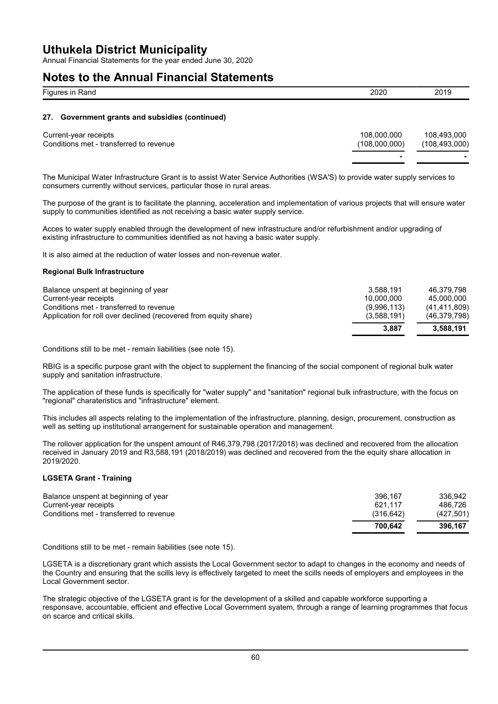Annual Financial Statements for the year ended June 30, 2020

### **Notes to the Annual Financial Statements**

| Figures in Rand                                 | 2020 | 2019 |
|-------------------------------------------------|------|------|
|                                                 |      |      |
| 27. Government grants and subsidies (continued) |      |      |

| Current-year receipts                   | 108.000.000   | 108.493.000     |
|-----------------------------------------|---------------|-----------------|
| Conditions met - transferred to revenue | (108.000.000) | (108, 493, 000) |
|                                         | -             |                 |

The Municipal Water Infrastructure Grant is to assist Water Service Authorities (WSA'S) to provide water supply services to consumers currently without services, particular those in rural areas.

The purpose of the grant is to facilitate the planning, acceleration and implementation of various projects that will ensure water supply to communities identified as not receiving a basic water supply service.

Acces to water supply enabled through the development of new infrastructure and/or refurbishment and/or upgrading of existing infrastructure to communities identified as not having a basic water supply.

It is also aimed at the reduction of water losses and non-revenue water.

#### **Regional Bulk Infrastructure**

|                                                                  | 3.887       | 3.588.191      |
|------------------------------------------------------------------|-------------|----------------|
| Application for roll over declined (recovered from equity share) | (3,588,191) | (46, 379, 798) |
| Conditions met - transferred to revenue                          | (9,996,113) | (41, 411, 809) |
| Current-year receipts                                            | 10.000.000  | 45.000.000     |
| Balance unspent at beginning of year                             | 3.588.191   | 46.379.798     |

Conditions still to be met - remain liabilities (see note 15).

RBIG is a specific purpose grant with the object to supplement the financing of the social component of regional bulk water supply and sanitation infrastructure.

The application of these funds is specifically for "water supply" and "sanitation" regional bulk infrastructure, with the focus on "regional" charateristics and "infrastructure" element.

This includes all aspects relating to the implementation of the infrastructure, planning, design, procurement, construction as well as setting up institutional arrangement for sustainable operation and management.

The rollover application for the unspent amount of R46,379,798 (2017/2018) was declined and recovered from the allocation received in January 2019 and R3,588,191 (2018/2019) was declined and recovered from the the equity share allocation in 2019/2020.

#### **LGSETA Grant - Training**

|                                                                  | 700.642              | 396.167              |
|------------------------------------------------------------------|----------------------|----------------------|
| Current-year receipts<br>Conditions met - transferred to revenue | 621.117<br>(316.642) | 486.726<br>(427.501) |
| Balance unspent at beginning of year                             | 396.167              | 336.942              |

Conditions still to be met - remain liabilities (see note 15).

LGSETA is a discretionary grant which assists the Local Government sector to adapt to changes in the economy and needs of the Country and ensuring that the scills levy is effectively targeted to meet the scills needs of employers and employees in the Local Government sector.

The strategic objective of the LGSETA grant is for the development of a skilled and capable workforce supporting a responsave, accountable, efficient and effective Local Government syatem, through a range of learning programmes that focus on scarce and critical skills.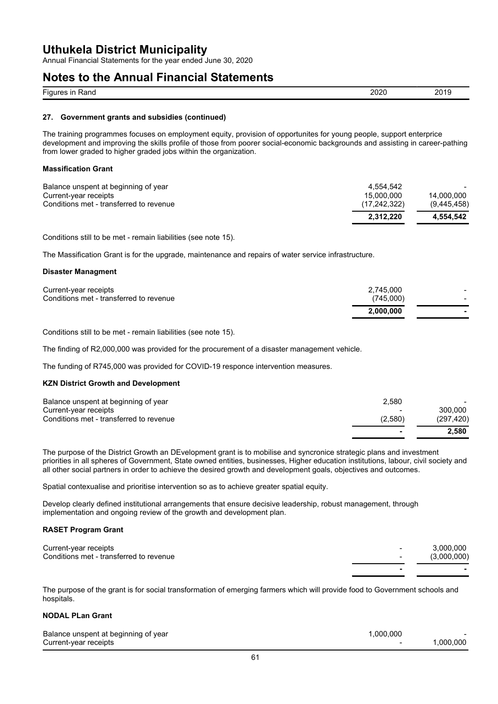Annual Financial Statements for the year ended June 30, 2020

### **Notes to the Annual Financial Statements**

| $\overline{\phantom{a}}$<br>- --<br>FIQL.<br>. .<br>1 al IV<br> | ້ |  |
|-----------------------------------------------------------------|---|--|
|                                                                 |   |  |

#### **27. Government grants and subsidies (continued)**

The training programmes focuses on employment equity, provision of opportunites for young people, support enterprice development and improving the skills profile of those from poorer social-economic backgrounds and assisting in career-pathing from lower graded to higher graded jobs within the organization.

#### **Massification Grant**

|                                                                  | 2.312.220                    | 4.554.542                 |
|------------------------------------------------------------------|------------------------------|---------------------------|
| Current-year receipts<br>Conditions met - transferred to revenue | 15.000.000<br>(17, 242, 322) | 14.000.000<br>(9,445,458) |
| Balance unspent at beginning of year                             | 4.554.542                    |                           |

Conditions still to be met - remain liabilities (see note 15).

The Massification Grant is for the upgrade, maintenance and repairs of water service infrastructure.

#### **Disaster Managment**

| 2.000.000 |           |
|-----------|-----------|
| (745.000) |           |
|           |           |
|           | 2.745.000 |

Conditions still to be met - remain liabilities (see note 15).

The finding of R2,000,000 was provided for the procurement of a disaster management vehicle.

The funding of R745,000 was provided for COVID-19 responce intervention measures.

#### **KZN District Growth and Development**

|                                         |         | 2.580      |
|-----------------------------------------|---------|------------|
| Conditions met - transferred to revenue | (2.580) | (297, 420) |
| Current-year receipts                   | $\,$    | 300.000    |
| Balance unspent at beginning of year    | 2.580   |            |

The purpose of the District Growth an DEvelopment grant is to mobilise and syncronice strategic plans and investment priorities in all spheres of Government, State owned entities, businesses, Higher education institutions, labour, civil society and all other social partners in order to achieve the desired growth and development goals, objectives and outcomes.

Spatial contexualise and prioritise intervention so as to achieve greater spatial equity.

Develop clearly defined institutional arrangements that ensure decisive leadership, robust management, through implementation and ongoing review of the growth and development plan.

#### **RASET Program Grant**

| Current-year receipts<br>Conditions met - transferred to revenue | $\sim$ | 3,000,000<br>(3,000,000) |
|------------------------------------------------------------------|--------|--------------------------|
|                                                                  |        |                          |

The purpose of the grant is for social transformation of emerging farmers which will provide food to Government schools and hospitals.

### **NODAL PLan Grant**

| Balance unspent at beginning of year | .000.000 |              |
|--------------------------------------|----------|--------------|
| Current-year receipts                |          | $.000.000$ . |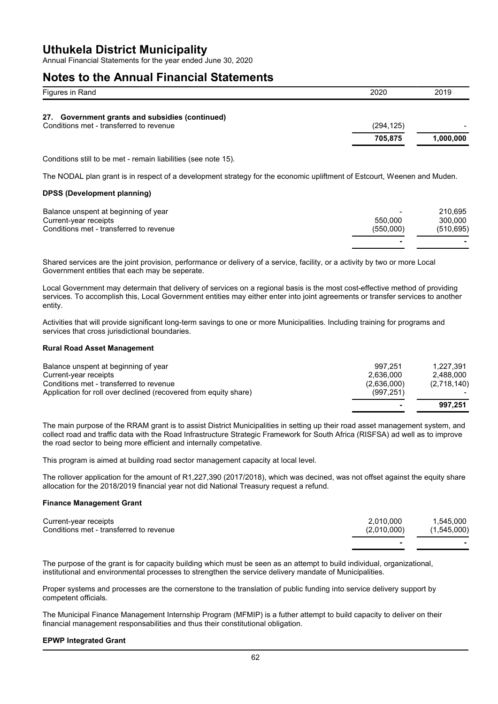Annual Financial Statements for the year ended June 30, 2020

### **Notes to the Annual Financial Statements**

| Figures in Rand                                                                            | 2020       | 2019      |
|--------------------------------------------------------------------------------------------|------------|-----------|
| 27. Government grants and subsidies (continued)<br>Conditions met - transferred to revenue | (294, 125) |           |
|                                                                                            | 705,875    | 1,000,000 |

Conditions still to be met - remain liabilities (see note 15).

The NODAL plan grant is in respect of a development strategy for the economic upliftment of Estcourt, Weenen and Muden.

#### **DPSS (Development planning)**

| Balance unspent at beginning of year    | $\overline{\phantom{a}}$ | 210.695    |
|-----------------------------------------|--------------------------|------------|
| Current-year receipts                   | 550.000                  | 300.000    |
| Conditions met - transferred to revenue | (550.000)                | (510, 695) |
|                                         |                          |            |

Shared services are the joint provision, performance or delivery of a service, facility, or a activity by two or more Local Government entities that each may be seperate.

Local Government may determain that delivery of services on a regional basis is the most cost-effective method of providing services. To accomplish this, Local Government entities may either enter into joint agreements or transfer services to another entity.

Activities that will provide significant long-term savings to one or more Municipalities. Including training for programs and services that cross jurisdictional boundaries.

#### **Rural Road Asset Management**

|                                                                                                             | $\blacksquare$            | 997.251                |
|-------------------------------------------------------------------------------------------------------------|---------------------------|------------------------|
| Conditions met - transferred to revenue<br>Application for roll over declined (recovered from equity share) | (2,636,000)<br>(997, 251) | (2,718,140)            |
| Balance unspent at beginning of year<br>Current-year receipts                                               | 997.251<br>2.636.000      | 1.227.391<br>2.488.000 |

The main purpose of the RRAM grant is to assist District Municipalities in setting up their road asset management system, and collect road and traffic data with the Road Infrastructure Strategic Framework for South Africa (RISFSA) ad well as to improve the road sector to being more efficient and internally competative.

This program is aimed at building road sector management capacity at local level.

The rollover application for the amount of R1,227,390 (2017/2018), which was decined, was not offset against the equity share allocation for the 2018/2019 financial year not did National Treasury request a refund.

#### **Finance Management Grant**

| Current-year receipts                   | 2.010.000   | 1.545.000   |
|-----------------------------------------|-------------|-------------|
| Conditions met - transferred to revenue | (2,010,000) | (1,545,000) |
|                                         |             |             |

The purpose of the grant is for capacity building which must be seen as an attempt to build individual, organizational, institutional and environmental processes to strengthen the service delivery mandate of Municipalities.

Proper systems and processes are the cornerstone to the translation of public funding into service delivery support by competent officials.

The Municipal Finance Management Internship Program (MFMIP) is a futher attempt to build capacity to deliver on their financial management responsabilities and thus their constitutional obligation.

#### **EPWP Integrated Grant**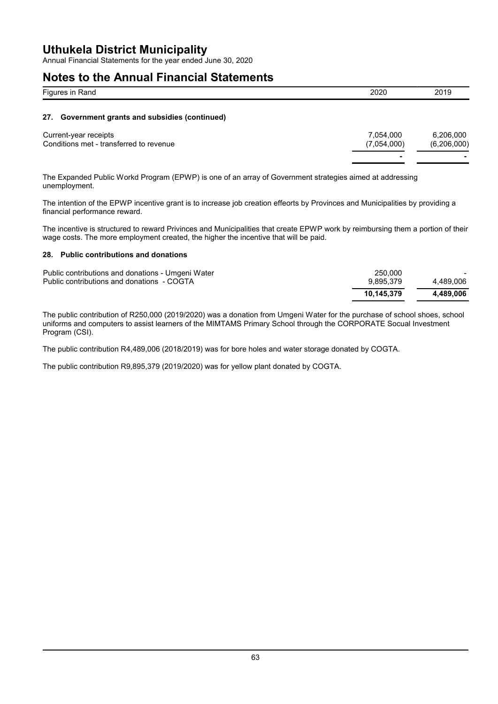Annual Financial Statements for the year ended June 30, 2020

### **Notes to the Annual Financial Statements**

| Figures in Rand                                 | 2020      | 2019      |
|-------------------------------------------------|-----------|-----------|
| 27. Government grants and subsidies (continued) |           |           |
| Current-year receipts                           | 7,054,000 | 6,206,000 |

**- -**

Conditions met - transferred to revenue (7,054,000) (6,206,000)

The Expanded Public Workd Program (EPWP) is one of an array of Government strategies aimed at addressing unemployment.

The intention of the EPWP incentive grant is to increase job creation effeorts by Provinces and Municipalities by providing a financial performance reward.

The incentive is structured to reward Privinces and Municipalities that create EPWP work by reimbursing them a portion of their wage costs. The more employment created, the higher the incentive that will be paid.

#### **28. Public contributions and donations**

| Public contributions and donations - Umgeni Water<br>Public contributions and donations - COGTA | 250,000<br>9.895.379 | 4.489.006 |
|-------------------------------------------------------------------------------------------------|----------------------|-----------|
|                                                                                                 | 10.145.379           | 4.489.006 |

The public contribution of R250,000 (2019/2020) was a donation from Umgeni Water for the purchase of school shoes, school uniforms and computers to assist learners of the MIMTAMS Primary School through the CORPORATE Socual Investment Program (CSI).

The public contribution R4,489,006 (2018/2019) was for bore holes and water storage donated by COGTA.

The public contribution R9,895,379 (2019/2020) was for yellow plant donated by COGTA.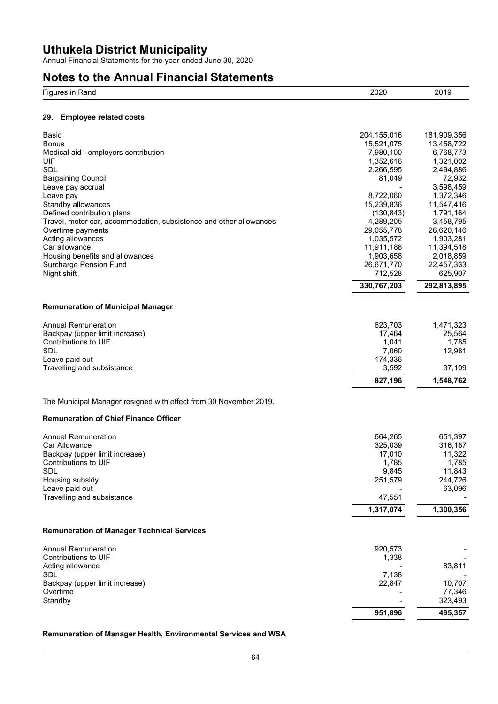Annual Financial Statements for the year ended June 30, 2020

## **Notes to the Annual Financial Statements**

| $- \cdot$<br>$-10$<br>≺anu | $-0$<br>$- - -$ | 201.<br>$- - -$ |
|----------------------------|-----------------|-----------------|
|                            |                 |                 |

### **29. Employee related costs**

| Basic<br><b>Bonus</b><br>Medical aid - employers contribution<br>UIF<br>SDL<br><b>Bargaining Council</b><br>Leave pay accrual<br>Leave pay<br>Standby allowances<br>Defined contribution plans<br>Travel, motor car, accommodation, subsistence and other allowances<br>Overtime payments<br>Acting allowances<br>Car allowance<br>Housing benefits and allowances<br>Surcharge Pension Fund<br>Night shift | 204,155,016<br>15,521,075<br>7,980,100<br>1,352,616<br>2,266,595<br>81,049<br>8,722,060<br>15,239,836<br>(130, 843)<br>4,289,205<br>29,055,778<br>1,035,572<br>11,911,188<br>1,903,658<br>26,671,770<br>712,528<br>330,767,203 | 181,909,356<br>13,458,722<br>6,768,773<br>1,321,002<br>2,494,886<br>72,932<br>3,598,459<br>1,372,346<br>11,547,416<br>1,791,164<br>3,458,795<br>26,620,146<br>1,903,281<br>11,394,518<br>2,018,859<br>22,457,333<br>625,907<br>292,813,895 |
|-------------------------------------------------------------------------------------------------------------------------------------------------------------------------------------------------------------------------------------------------------------------------------------------------------------------------------------------------------------------------------------------------------------|--------------------------------------------------------------------------------------------------------------------------------------------------------------------------------------------------------------------------------|--------------------------------------------------------------------------------------------------------------------------------------------------------------------------------------------------------------------------------------------|
|                                                                                                                                                                                                                                                                                                                                                                                                             |                                                                                                                                                                                                                                |                                                                                                                                                                                                                                            |
| <b>Remuneration of Municipal Manager</b>                                                                                                                                                                                                                                                                                                                                                                    |                                                                                                                                                                                                                                |                                                                                                                                                                                                                                            |
| <b>Annual Remuneration</b><br>Backpay (upper limit increase)<br>Contributions to UIF<br><b>SDL</b><br>Leave paid out<br>Travelling and subsistance                                                                                                                                                                                                                                                          | 623,703<br>17,464<br>1,041<br>7,060<br>174,336<br>3,592                                                                                                                                                                        | 1,471,323<br>25,564<br>1,785<br>12,981<br>37,109                                                                                                                                                                                           |
|                                                                                                                                                                                                                                                                                                                                                                                                             | 827,196                                                                                                                                                                                                                        | 1,548,762                                                                                                                                                                                                                                  |
| The Municipal Manager resigned with effect from 30 November 2019.<br><b>Remuneration of Chief Finance Officer</b><br><b>Annual Remuneration</b><br>Car Allowance<br>Backpay (upper limit increase)<br>Contributions to UIF<br>SDL<br>Housing subsidy<br>Leave paid out<br>Travelling and subsistance                                                                                                        | 664,265<br>325,039<br>17,010<br>1,785<br>9,845<br>251,579<br>47,551<br>1,317,074                                                                                                                                               | 651,397<br>316,187<br>11,322<br>1,785<br>11,843<br>244,726<br>63,096<br>1,300,356                                                                                                                                                          |
| <b>Remuneration of Manager Technical Services</b>                                                                                                                                                                                                                                                                                                                                                           |                                                                                                                                                                                                                                |                                                                                                                                                                                                                                            |
| <b>Annual Remuneration</b><br>Contributions to UIF<br>Acting allowance<br>SDL<br>Backpay (upper limit increase)<br>Overtime<br>Standby                                                                                                                                                                                                                                                                      | 920,573<br>1,338<br>7,138<br>22,847                                                                                                                                                                                            | 83,811<br>10,707<br>77,346<br>323,493                                                                                                                                                                                                      |
|                                                                                                                                                                                                                                                                                                                                                                                                             | 951,896                                                                                                                                                                                                                        | 495,357                                                                                                                                                                                                                                    |

### **Remuneration of Manager Health, Environmental Services and WSA**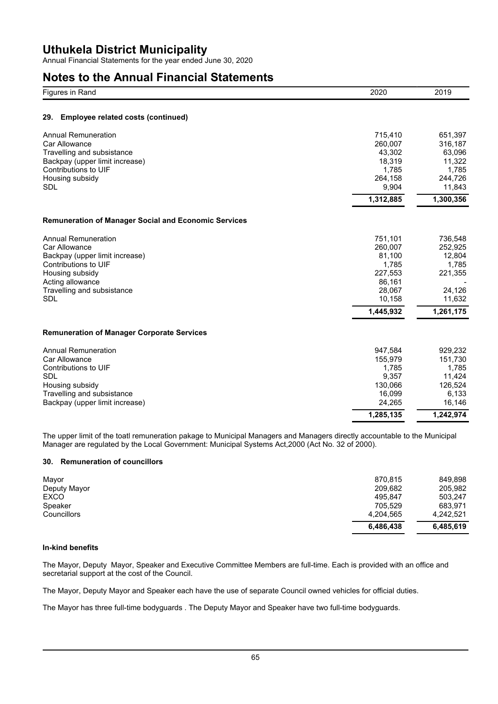Annual Financial Statements for the year ended June 30, 2020

## **Notes to the Annual Financial Statements**

| Figures in Rand                                             | 2020      | 2019      |
|-------------------------------------------------------------|-----------|-----------|
| Employee related costs (continued)<br>29.                   |           |           |
| <b>Annual Remuneration</b>                                  | 715,410   | 651,397   |
| Car Allowance                                               | 260,007   | 316,187   |
| Travelling and subsistance                                  | 43,302    | 63,096    |
| Backpay (upper limit increase)                              | 18,319    | 11,322    |
| Contributions to UIF                                        | 1,785     | 1,785     |
| Housing subsidy                                             | 264,158   | 244,726   |
| <b>SDL</b>                                                  | 9,904     | 11,843    |
|                                                             | 1,312,885 | 1,300,356 |
| <b>Remuneration of Manager Social and Economic Services</b> |           |           |
| <b>Annual Remuneration</b>                                  | 751,101   | 736,548   |
| Car Allowance                                               | 260,007   | 252,925   |
| Backpay (upper limit increase)                              | 81,100    | 12,804    |
| Contributions to UIF                                        | 1,785     | 1,785     |
| Housing subsidy                                             | 227,553   | 221,355   |
| Acting allowance                                            | 86,161    |           |
| Travelling and subsistance                                  | 28,067    | 24,126    |
| <b>SDL</b>                                                  | 10,158    | 11,632    |
|                                                             | 1,445,932 | 1,261,175 |
| <b>Remuneration of Manager Corporate Services</b>           |           |           |
| <b>Annual Remuneration</b>                                  | 947,584   | 929,232   |
| Car Allowance                                               | 155,979   | 151,730   |
| Contributions to UIF                                        | 1,785     | 1,785     |
| SDL                                                         | 9,357     | 11,424    |
| Housing subsidy                                             | 130,066   | 126,524   |
| Travelling and subsistance                                  | 16,099    | 6,133     |
| Backpay (upper limit increase)                              | 24,265    | 16,146    |
|                                                             | 1,285,135 | 1,242,974 |

The upper limit of the toatl remuneration pakage to Municipal Managers and Managers directly accountable to the Municipal Manager are regulated by the Local Government: Municipal Systems Act,2000 (Act No. 32 of 2000).

### **30. Remuneration of councillors**

| Mayor        | 870.815   | 849.898   |
|--------------|-----------|-----------|
| Deputy Mayor | 209.682   | 205,982   |
| <b>EXCO</b>  | 495.847   | 503.247   |
| Speaker      | 705.529   | 683.971   |
| Councillors  | 4,204,565 | 4.242.521 |
|              | 6,486,438 | 6,485,619 |

### **In-kind benefits**

The Mayor, Deputy Mayor, Speaker and Executive Committee Members are full-time. Each is provided with an office and secretarial support at the cost of the Council.

The Mayor, Deputy Mayor and Speaker each have the use of separate Council owned vehicles for official duties.

The Mayor has three full-time bodyguards . The Deputy Mayor and Speaker have two full-time bodyguards.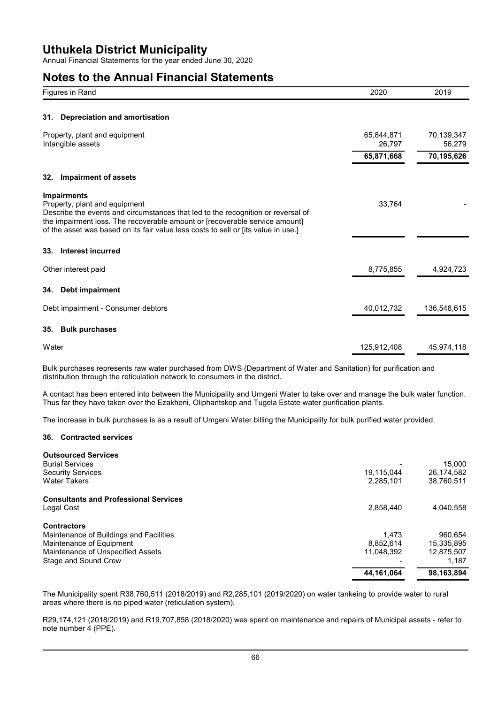Annual Financial Statements for the year ended June 30, 2020

## **Notes to the Annual Financial Statements**

| Figures in Rand                                                                                                                                                                                                                                                                                              | 2020                 | 2019                 |
|--------------------------------------------------------------------------------------------------------------------------------------------------------------------------------------------------------------------------------------------------------------------------------------------------------------|----------------------|----------------------|
|                                                                                                                                                                                                                                                                                                              |                      |                      |
| Depreciation and amortisation<br>31.                                                                                                                                                                                                                                                                         |                      |                      |
| Property, plant and equipment<br>Intangible assets                                                                                                                                                                                                                                                           | 65,844,871<br>26,797 | 70,139,347<br>56,279 |
|                                                                                                                                                                                                                                                                                                              | 65,871,668           | 70,195,626           |
| <b>Impairment of assets</b><br>32.                                                                                                                                                                                                                                                                           |                      |                      |
| <b>Impairments</b><br>Property, plant and equipment<br>Describe the events and circumstances that led to the recognition or reversal of<br>the impairment loss. The recoverable amount or [recoverable service amount]<br>of the asset was based on its fair value less costs to sell or [its value in use.] | 33,764               |                      |
| Interest incurred<br>33.                                                                                                                                                                                                                                                                                     |                      |                      |
| Other interest paid                                                                                                                                                                                                                                                                                          | 8,775,855            | 4,924,723            |
| Debt impairment<br>34.                                                                                                                                                                                                                                                                                       |                      |                      |
| Debt impairment - Consumer debtors                                                                                                                                                                                                                                                                           | 40,012,732           | 136,548,615          |
| <b>Bulk purchases</b><br>35.                                                                                                                                                                                                                                                                                 |                      |                      |
| Water                                                                                                                                                                                                                                                                                                        | 125,912,408          | 45,974,118           |

Bulk purchases represents raw water purchased from DWS (Department of Water and Sanitation) for purification and distribution through the reticulation network to consumers in the district.

A contact has been entered into between the Municipality and Umgeni Water to take over and manage the bulk water function. Thus far they have taken over the Ezakheni, Oliphantskop and Tugela Estate water purification plants.

The increase in bulk purchases is as a result of Umgeni Water billing the Municipality for bulk purified water provided.

### **36. Contracted services**

| <b>Outsourced Services</b>                   |            |            |
|----------------------------------------------|------------|------------|
| <b>Burial Services</b>                       |            | 15.000     |
| <b>Security Services</b>                     | 19,115,044 | 26,174,582 |
| <b>Water Takers</b>                          | 2,285,101  | 38,760,511 |
| <b>Consultants and Professional Services</b> |            |            |
| Legal Cost                                   | 2,858,440  | 4,040,558  |
| <b>Contractors</b>                           |            |            |
| Maintenance of Buildings and Facilities      | 1.473      | 960.654    |
| Maintenance of Equipment                     | 8.852.614  | 15,335,895 |
| Maintenance of Unspecified Assets            | 11.048.392 | 12.875.507 |
| Stage and Sound Crew                         |            | 1,187      |
|                                              | 44,161,064 | 98,163,894 |

The Municipality spent R38,760,511 (2018/2019) and R2,285,101 (2019/2020) on water tankeing to provide water to rural areas where there is no piped water (reticulation system).

R29,174,121 (2018/2019) and R19,707,858 (2018/2020) was spent on maintenance and repairs of Municipal assets - refer to note number 4 (PPE).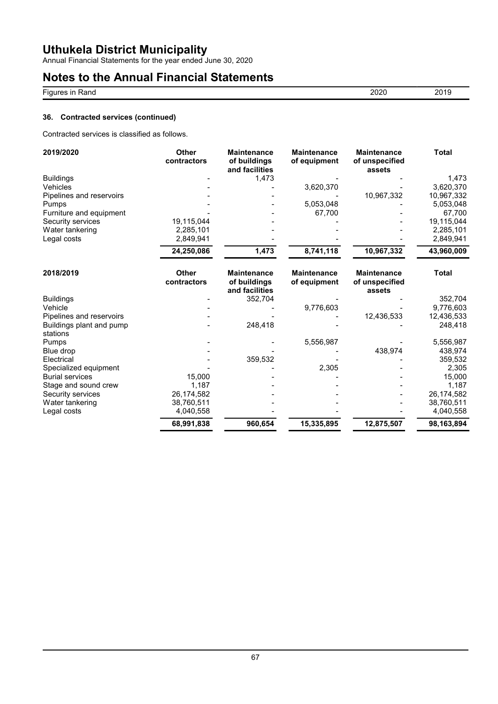Annual Financial Statements for the year ended June 30, 2020

## **Notes to the Annual Financial Statements**

| Figures in Rand | 2020 | 2019 |
|-----------------|------|------|
|                 |      |      |

### **36. Contracted services (continued)**

Contracted services is classified as follows.

| 2019/2020                            | <b>Other</b><br>contractors | <b>Maintenance</b><br>of buildings<br>and facilities | <b>Maintenance</b><br>of equipment | <b>Maintenance</b><br>of unspecified<br>assets | <b>Total</b> |
|--------------------------------------|-----------------------------|------------------------------------------------------|------------------------------------|------------------------------------------------|--------------|
| <b>Buildings</b>                     |                             | 1,473                                                |                                    |                                                | 1,473        |
| Vehicles                             |                             |                                                      | 3,620,370                          |                                                | 3,620,370    |
| Pipelines and reservoirs             |                             |                                                      |                                    | 10,967,332                                     | 10,967,332   |
| Pumps                                |                             |                                                      | 5,053,048                          |                                                | 5,053,048    |
| Furniture and equipment              |                             |                                                      | 67,700                             |                                                | 67,700       |
| Security services                    | 19,115,044                  |                                                      |                                    |                                                | 19,115,044   |
| Water tankering                      | 2,285,101                   |                                                      |                                    |                                                | 2,285,101    |
| Legal costs                          | 2,849,941                   |                                                      |                                    |                                                | 2,849,941    |
|                                      | 24,250,086                  | 1,473                                                | 8,741,118                          | 10,967,332                                     | 43,960,009   |
| 2018/2019                            | <b>Other</b><br>contractors | <b>Maintenance</b><br>of buildings<br>and facilities | <b>Maintenance</b><br>of equipment | <b>Maintenance</b><br>of unspecified<br>assets | <b>Total</b> |
| <b>Buildings</b>                     |                             | 352,704                                              |                                    |                                                | 352,704      |
| Vehicle                              |                             |                                                      | 9,776,603                          |                                                | 9,776,603    |
| Pipelines and reservoirs             |                             |                                                      |                                    | 12,436,533                                     | 12,436,533   |
| Buildings plant and pump<br>stations |                             | 248,418                                              |                                    |                                                | 248,418      |
| Pumps                                |                             |                                                      | 5,556,987                          |                                                | 5,556,987    |
| Blue drop                            |                             |                                                      |                                    | 438,974                                        | 438,974      |
| Electrical                           |                             | 359,532                                              |                                    |                                                | 359,532      |
| Specialized equipment                |                             |                                                      | 2,305                              |                                                | 2,305        |
| <b>Burial services</b>               | 15,000                      |                                                      |                                    |                                                | 15,000       |
| Stage and sound crew                 | 1,187                       |                                                      |                                    |                                                | 1,187        |
| Security services                    | 26,174,582                  |                                                      |                                    |                                                | 26,174,582   |
| Water tankering                      | 38,760,511                  |                                                      |                                    |                                                | 38,760,511   |
| Legal costs                          | 4,040,558                   |                                                      |                                    |                                                | 4,040,558    |
|                                      | 68,991,838                  | 960,654                                              | 15,335,895                         | 12,875,507                                     | 98,163,894   |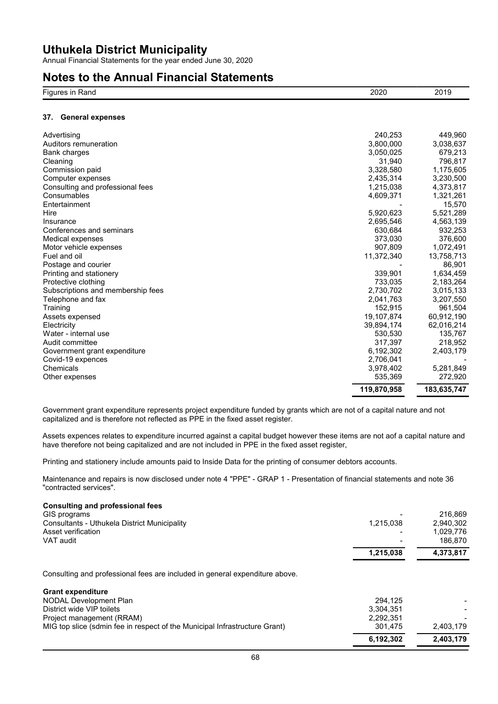Annual Financial Statements for the year ended June 30, 2020

### **Notes to the Annual Financial Statements**

| $- \cdot$<br>Fiau'<br>$  -$<br>≺ano<br>. . | ורחכ<br><b>LULU</b> | 201<br><b>ZUI</b> |
|--------------------------------------------|---------------------|-------------------|
|                                            |                     |                   |

#### **37. General expenses**

| Advertising                       | 240,253     | 449,960     |
|-----------------------------------|-------------|-------------|
| Auditors remuneration             | 3.800.000   | 3,038,637   |
| <b>Bank charges</b>               | 3,050,025   | 679,213     |
| Cleaning                          | 31,940      | 796,817     |
| Commission paid                   | 3,328,580   | 1,175,605   |
| Computer expenses                 | 2,435,314   | 3,230,500   |
| Consulting and professional fees  | 1,215,038   | 4,373,817   |
| Consumables                       | 4,609,371   | 1,321,261   |
| Entertainment                     |             | 15,570      |
| Hire                              | 5,920,623   | 5,521,289   |
| Insurance                         | 2,695,546   | 4,563,139   |
| Conferences and seminars          | 630,684     | 932,253     |
| Medical expenses                  | 373,030     | 376,600     |
| Motor vehicle expenses            | 907,809     | 1,072,491   |
| Fuel and oil                      | 11,372,340  | 13,758,713  |
| Postage and courier               |             | 86,901      |
| Printing and stationery           | 339.901     | 1,634,459   |
| Protective clothing               | 733,035     | 2,183,264   |
| Subscriptions and membership fees | 2,730,702   | 3,015,133   |
| Telephone and fax                 | 2,041,763   | 3,207,550   |
| Training                          | 152,915     | 961,504     |
| Assets expensed                   | 19,107,874  | 60,912,190  |
| Electricity                       | 39,894,174  | 62,016,214  |
| Water - internal use              | 530,530     | 135,767     |
| Audit committee                   | 317,397     | 218.952     |
| Government grant expenditure      | 6,192,302   | 2,403,179   |
| Covid-19 expences                 | 2,706,041   |             |
| Chemicals                         | 3,978,402   | 5,281,849   |
| Other expenses                    | 535,369     | 272,920     |
|                                   | 119,870,958 | 183,635,747 |

Government grant expenditure represents project expenditure funded by grants which are not of a capital nature and not capitalized and is therefore not reflected as PPE in the fixed asset register.

Assets expences relates to expenditure incurred against a capital budget however these items are not aof a capital nature and have therefore not being capitalized and are not included in PPE in the fixed asset register,

Printing and stationery include amounts paid to Inside Data for the printing of consumer debtors accounts.

Maintenance and repairs is now disclosed under note 4 "PPE" - GRAP 1 - Presentation of financial statements and note 36 "contracted services".

#### **Consulting and professional fees**

|                                                                             | 6,192,302 | 2,403,179 |
|-----------------------------------------------------------------------------|-----------|-----------|
| MIG top slice (sdmin fee in respect of the Municipal Infrastructure Grant)  | 301.475   | 2,403,179 |
| Project management (RRAM)                                                   | 2,292,351 |           |
| District wide VIP toilets                                                   | 3.304.351 |           |
| NODAL Development Plan                                                      | 294.125   |           |
| <b>Grant expenditure</b>                                                    |           |           |
| Consulting and professional fees are included in general expenditure above. |           |           |
|                                                                             | 1,215,038 | 4,373,817 |
| VAT audit                                                                   |           | 186.870   |
| Asset verification                                                          |           | 1,029,776 |
| <b>Consultants - Uthukela District Municipality</b>                         | 1,215,038 | 2,940,302 |
| GIS programs                                                                |           | 216.869   |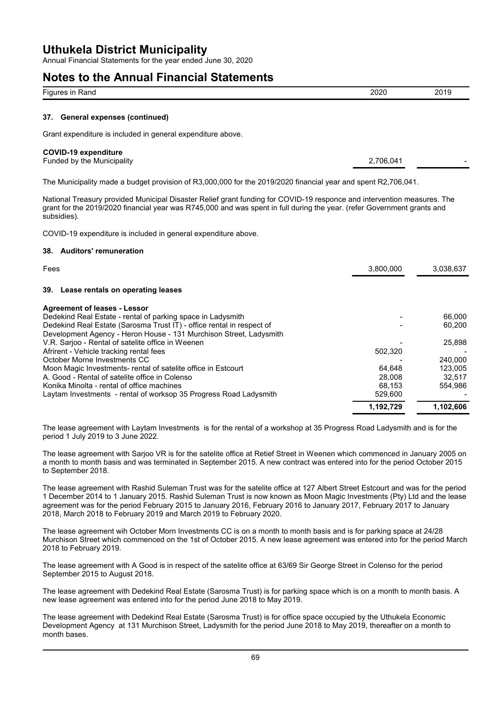Annual Financial Statements for the year ended June 30, 2020

### **Notes to the Annual Financial Statements**

| Figur.<br>Rand<br>'au | 2020<br>_____ | . .<br>--<br>__ |
|-----------------------|---------------|-----------------|
|                       |               |                 |

#### **37. General expenses (continued)**

Grant expenditure is included in general expenditure above.

#### **COVID-19 expenditure**

Funded by the Municipality 2,706,041

The Municipality made a budget provision of R3,000,000 for the 2019/2020 financial year and spent R2,706,041.

National Treasury provided Municipal Disaster Relief grant funding for COVID-19 responce and intervention measures. The grant for the 2019/2020 financial year was R745,000 and was spent in full during the year. (refer Government grants and subsidies).

COVID-19 expenditure is included in general expenditure above.

#### **38. Auditors' remuneration**

| Fees                                                                  | 3,800,000 | 3,038,637 |
|-----------------------------------------------------------------------|-----------|-----------|
| 39. Lease rentals on operating leases                                 |           |           |
| <b>Agreement of leases - Lessor</b>                                   |           |           |
| Dedekind Real Estate - rental of parking space in Ladysmith           |           | 66,000    |
| Dedekind Real Estate (Sarosma Trust IT) - office rental in respect of |           | 60.200    |
| Development Agency - Heron House - 131 Murchison Street, Ladysmith    |           |           |
| V.R. Sarjoo - Rental of satelite office in Weenen                     |           | 25,898    |
| Afrirent - Vehicle tracking rental fees                               | 502,320   |           |
| October Morne Investments CC                                          |           | 240.000   |
| Moon Magic Investments- rental of satelite office in Estcourt         | 64.648    | 123.005   |
| A. Good - Rental of satelite office in Colenso                        | 28,008    | 32.517    |
| Konika Minolta - rental of office machines                            | 68.153    | 554.986   |
| Laytam Investments - rental of worksop 35 Progress Road Ladysmith     | 529,600   |           |
|                                                                       | 1,192,729 | 1,102,606 |

The lease agreement with Laytam Investments is for the rental of a workshop at 35 Progress Road Ladysmith and is for the period 1 July 2019 to 3 June 2022.

The lease agreement with Sarjoo VR is for the satelite office at Retief Street in Weenen which commenced in January 2005 on a month to month basis and was terminated in September 2015. A new contract was entered into for the period October 2015 to September 2018.

The lease agreement with Rashid Suleman Trust was for the satelite office at 127 Albert Street Estcourt and was for the period 1 December 2014 to 1 January 2015. Rashid Suleman Trust is now known as Moon Magic Investments (Pty) Ltd and the lease agreement was for the period February 2015 to January 2016, February 2016 to January 2017, February 2017 to January 2018, March 2018 to February 2019 and March 2019 to February 2020.

The lease agreement wih October Morn Investments CC is on a month to month basis and is for parking space at 24/28 Murchison Street which commenced on the 1st of October 2015. A new lease agreement was entered into for the period March 2018 to February 2019.

The lease agreement with A Good is in respect of the satelite office at 63/69 Sir George Street in Colenso for the period September 2015 to August 2018.

The lease agreement with Dedekind Real Estate (Sarosma Trust) is for parking space which is on a month to month basis. A new lease agreement was entered into for the period June 2018 to May 2019.

The lease agreement with Dedekind Real Estate (Sarosma Trust) is for office space occupied by the Uthukela Economic Development Agency at 131 Murchison Street, Ladysmith for the period June 2018 to May 2019, thereafter on a month to month bases.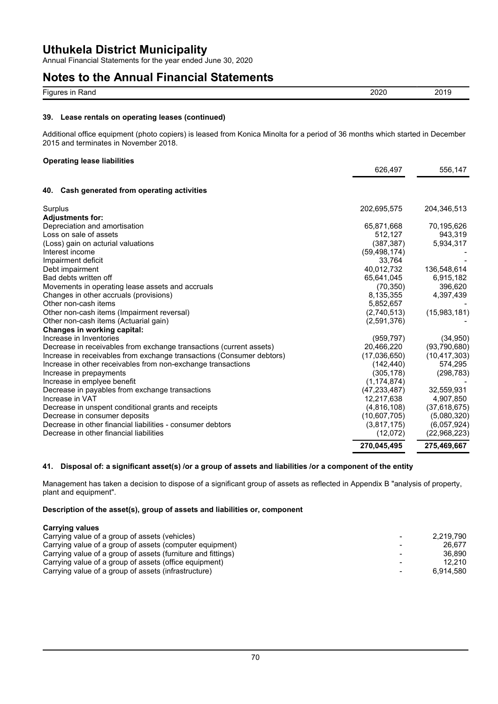Annual Financial Statements for the year ended June 30, 2020

### **Notes to the Annual Financial Statements**

| $- \cdot$<br>≺ano<br>$\overline{\phantom{a}}$<br>Figur<br>- 11 1<br>. | nnnr<br>-21<br>.v. | $-\sqrt{2}$ |
|-----------------------------------------------------------------------|--------------------|-------------|

#### **39. Lease rentals on operating leases (continued)**

Additional office equipment (photo copiers) is leased from Konica Minolta for a period of 36 months which started in December 2015 and terminates in November 2018.

### **Operating lease liabilities**

|                                                                       | 626,497        | 556,147        |
|-----------------------------------------------------------------------|----------------|----------------|
|                                                                       |                |                |
| Cash generated from operating activities<br>40.                       |                |                |
| Surplus                                                               | 202,695,575    | 204,346,513    |
| <b>Adjustments for:</b>                                               |                |                |
| Depreciation and amortisation                                         | 65,871,668     | 70,195,626     |
| Loss on sale of assets                                                | 512,127        | 943,319        |
| (Loss) gain on acturial valuations                                    | (387, 387)     | 5,934,317      |
| Interest income                                                       | (59, 498, 174) |                |
| Impairment deficit                                                    | 33,764         |                |
| Debt impairment                                                       | 40,012,732     | 136,548,614    |
| Bad debts written off                                                 | 65,641,045     | 6,915,182      |
| Movements in operating lease assets and accruals                      | (70, 350)      | 396,620        |
| Changes in other accruals (provisions)                                | 8,135,355      | 4,397,439      |
| Other non-cash items                                                  | 5,852,657      |                |
| Other non-cash items (Impairment reversal)                            | (2,740,513)    | (15,983,181)   |
| Other non-cash items (Actuarial gain)                                 | (2,591,376)    |                |
| Changes in working capital:                                           |                |                |
| Increase in Inventories                                               | (959, 797)     | (34, 950)      |
| Decrease in receivables from exchange transactions (current assets)   | 20,466,220     | (93,790,680)   |
| Increase in receivables from exchange transactions (Consumer debtors) | (17,036,650)   | (10, 417, 303) |
| Increase in other receivables from non-exchange transactions          | (142,440)      | 574,295        |
| Increase in prepayments                                               | (305,178)      | (298, 783)     |
| Increase in emplyee benefit                                           | (1, 174, 874)  |                |
| Decrease in payables from exchange transactions                       | (47, 233, 487) | 32,559,931     |
| Increase in VAT                                                       | 12,217,638     | 4,907,850      |
| Decrease in unspent conditional grants and receipts                   | (4,816,108)    | (37,618,675)   |
| Decrease in consumer deposits                                         | (10,607,705)   | (5,080,320)    |
| Decrease in other financial liabilities - consumer debtors            | (3,817,175)    | (6,057,924)    |
| Decrease in other financial liabilities                               | (12,072)       | (22,968,223)   |
|                                                                       | 270,045,495    | 275,469,667    |

#### **41. Disposal of: a significant asset(s) /or a group of assets and liabilities /or a component of the entity**

Management has taken a decision to dispose of a significant group of assets as reflected in Appendix B "analysis of property, plant and equipment".

#### **Description of the asset(s), group of assets and liabilities or, component**

**Carrying values** Carrying value of a group of assets (vehicles)<br>Carrying value of a group of assets (computer equipment)  $\qquad \qquad \qquad$  26,677 Carrying value of a group of assets (computer equipment)  $\overline{a}$ Carrying value of a group of assets (furniture and fittings)<br>
Carrying value of a group of assets (office equipment) 
<br>
2.210 Carrying value of a group of assets (office equipment)  $\overline{\phantom{a}}$  (and the contract of a group of assets (infrastructure)  $\overline{\phantom{a}}$  (2,210) Carrying value of a group of assets (infrastructure)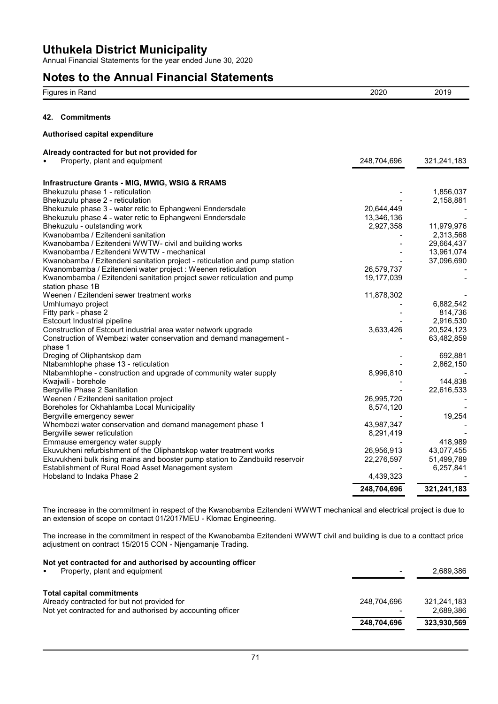Annual Financial Statements for the year ended June 30, 2020

## **Notes to the Annual Financial Statements**

| Figures in Rand                                                              | 2020        | 2019                    |
|------------------------------------------------------------------------------|-------------|-------------------------|
| 42. Commitments                                                              |             |                         |
| Authorised capital expenditure                                               |             |                         |
| Already contracted for but not provided for                                  |             |                         |
| Property, plant and equipment                                                | 248,704,696 | 321,241,183             |
| Infrastructure Grants - MIG, MWIG, WSIG & RRAMS                              |             |                         |
| Bhekuzulu phase 1 - reticulation                                             |             | 1,856,037               |
| Bhekuzulu phase 2 - reticulation                                             |             | 2,158,881               |
| Bhekuzule phase 3 - water retic to Ephangweni Enndersdale                    | 20,644,449  |                         |
| Bhekuzulu phase 4 - water retic to Ephangweni Enndersdale                    | 13,346,136  |                         |
| Bhekuzulu - outstanding work                                                 | 2,927,358   | 11,979,976              |
| Kwanobamba / Ezitendeni sanitation                                           |             | 2,313,568               |
| Kwanobamba / Ezitendeni WWTW- civil and building works                       |             | 29,664,437              |
| Kwanobamba / Ezitendeni WWTW - mechanical                                    |             | 13,961,074              |
| Kwanobamba / Ezitendeni sanitation project - reticulation and pump station   |             | 37,096,690              |
| Kwanombamba / Ezitendeni water project : Weenen reticulation                 | 26,579,737  |                         |
| Kwanombamba / Ezitendeni sanitation project sewer reticulation and pump      | 19,177,039  |                         |
| station phase 1B                                                             |             |                         |
| Weenen / Ezitendeni sewer treatment works                                    | 11,878,302  |                         |
| Umhlumayo project                                                            |             | 6,882,542               |
| Fitty park - phase 2                                                         |             | 814,736                 |
| Estcourt Industrial pipeline                                                 |             | 2,916,530<br>20,524,123 |
| Construction of Estcourt industrial area water network upgrade               | 3,633,426   |                         |
| Construction of Wembezi water conservation and demand management -           |             | 63,482,859              |
| phase 1<br>Dreging of Oliphantskop dam                                       |             | 692,881                 |
| Ntabamhlophe phase 13 - reticulation                                         |             | 2,862,150               |
| Ntabamhlophe - construction and upgrade of community water supply            | 8,996,810   |                         |
| Kwajwili - borehole                                                          |             | 144,838                 |
| Bergville Phase 2 Sanitation                                                 |             | 22,616,533              |
| Weenen / Ezitendeni sanitation project                                       | 26,995,720  |                         |
| Boreholes for Okhahlamba Local Municipality                                  | 8,574,120   |                         |
| Bergville emergency sewer                                                    |             | 19,254                  |
| Whembezi water conservation and demand management phase 1                    | 43,987,347  |                         |
| Bergville sewer reticulation                                                 | 8,291,419   |                         |
| Emmause emergency water supply                                               |             | 418,989                 |
| Ekuvukheni refurbishment of the Oliphantskop water treatment works           | 26,956,913  | 43,077,455              |
| Ekuvukheni bulk rising mains and booster pump station to Zandbuild reservoir | 22,276,597  | 51,499,789              |
| Establishment of Rural Road Asset Management system                          |             | 6,257,841               |
| Hobsland to Indaka Phase 2                                                   | 4,439,323   |                         |
|                                                                              | 248,704,696 | 321,241,183             |
|                                                                              |             |                         |

The increase in the commitment in respect of the Kwanobamba Ezitendeni WWWT mechanical and electrical project is due to an extension of scope on contact 01/2017MEU - Klomac Engineering.

The increase in the commitment in respect of the Kwanobamba Ezitendeni WWWT civil and building is due to a conttact price adjustment on contract 15/2015 CON - Njengamanje Trading.

### **Not yet contracted for and authorised by accounting officer** Property, plant and equipment  $\overline{ }$  2,689,386 **Total capital commitments**

| Total capital commitments                                   |             |             |
|-------------------------------------------------------------|-------------|-------------|
| Already contracted for but not provided for                 | 248.704.696 | 321.241.183 |
| Not yet contracted for and authorised by accounting officer |             | 2.689.386   |
|                                                             | 248.704.696 | 323.930.569 |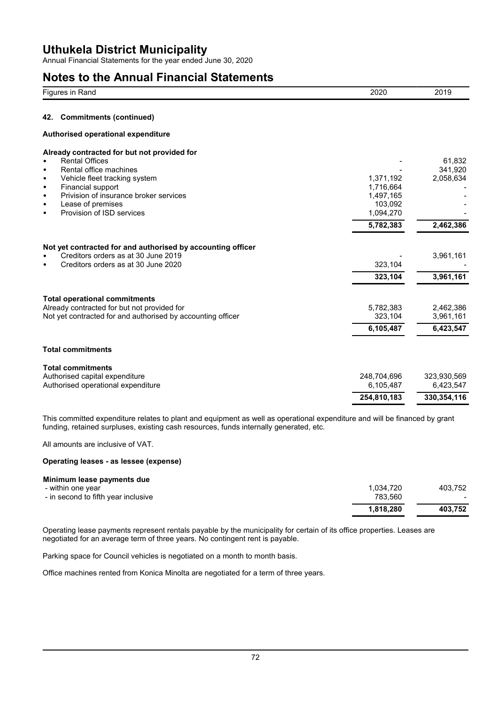Annual Financial Statements for the year ended June 30, 2020

# **Notes to the Annual Financial Statements**

| Figures in Rand                                                                                                                                                                                                                                                      | 2020                                                        | 2019                                    |
|----------------------------------------------------------------------------------------------------------------------------------------------------------------------------------------------------------------------------------------------------------------------|-------------------------------------------------------------|-----------------------------------------|
| <b>Commitments (continued)</b><br>42.                                                                                                                                                                                                                                |                                                             |                                         |
| Authorised operational expenditure                                                                                                                                                                                                                                   |                                                             |                                         |
| Already contracted for but not provided for<br><b>Rental Offices</b><br>Rental office machines<br>٠<br>Vehicle fleet tracking system<br>٠<br>Financial support<br>٠<br>Privision of insurance broker services<br>٠<br>Lease of premises<br>Provision of ISD services | 1,371,192<br>1,716,664<br>1,497,165<br>103,092<br>1,094,270 | 61.832<br>341,920<br>2,058,634          |
|                                                                                                                                                                                                                                                                      | 5,782,383                                                   | 2,462,386                               |
| Not yet contracted for and authorised by accounting officer<br>Creditors orders as at 30 June 2019<br>Creditors orders as at 30 June 2020                                                                                                                            | 323,104<br>323,104                                          | 3,961,161<br>3,961,161                  |
| <b>Total operational commitments</b><br>Already contracted for but not provided for<br>Not yet contracted for and authorised by accounting officer                                                                                                                   | 5,782,383<br>323,104<br>6,105,487                           | 2,462,386<br>3,961,161<br>6,423,547     |
| <b>Total commitments</b>                                                                                                                                                                                                                                             |                                                             |                                         |
| <b>Total commitments</b><br>Authorised capital expenditure<br>Authorised operational expenditure                                                                                                                                                                     | 248,704,696<br>6,105,487<br>254,810,183                     | 323,930,569<br>6,423,547<br>330,354,116 |

This committed expenditure relates to plant and equipment as well as operational expenditure and will be financed by grant funding, retained surpluses, existing cash resources, funds internally generated, etc.

All amounts are inclusive of VAT.

#### **Operating leases - as lessee (expense)**

|                                     | 1.818.280 | 403.752 |
|-------------------------------------|-----------|---------|
| - in second to fifth year inclusive | 783.560   |         |
| - within one year                   | 1.034.720 | 403.752 |
| Minimum lease payments due          |           |         |

Operating lease payments represent rentals payable by the municipality for certain of its office properties. Leases are negotiated for an average term of three years. No contingent rent is payable.

Parking space for Council vehicles is negotiated on a month to month basis.

Office machines rented from Konica Minolta are negotiated for a term of three years.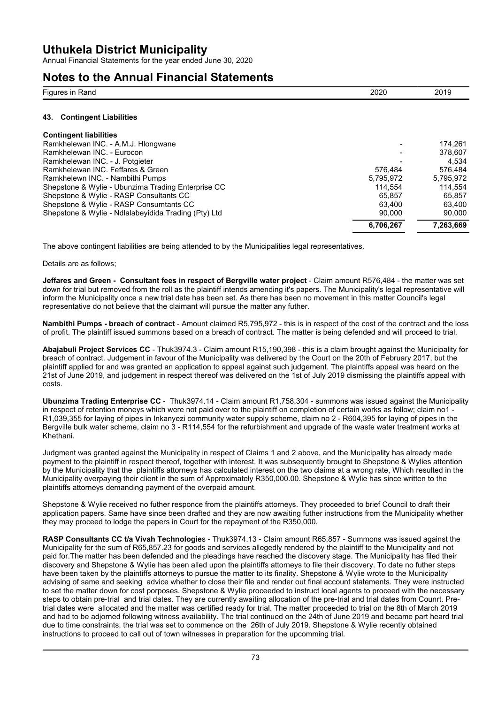Annual Financial Statements for the year ended June 30, 2020

### **Notes to the Annual Financial Statements**

| Figures in Rand                                      | 2020      | 2019      |
|------------------------------------------------------|-----------|-----------|
| <b>Contingent Liabilities</b><br>43.                 |           |           |
| <b>Contingent liabilities</b>                        |           |           |
| Ramkhelewan INC. - A.M.J. Hlongwane                  |           | 174.261   |
| Ramkhelewan INC. - Eurocon                           |           | 378.607   |
| Ramkhelewan INC. - J. Potgieter                      |           | 4.534     |
| Ramkhelewan INC. Feffares & Green                    | 576.484   | 576.484   |
| Ramkhelewn INC. - Nambithi Pumps                     | 5.795.972 | 5.795.972 |
| Shepstone & Wylie - Ubunzima Trading Enterprise CC   | 114.554   | 114.554   |
| Shepstone & Wylie - RASP Consultants CC              | 65.857    | 65.857    |
| Shepstone & Wylie - RASP Consumtants CC              | 63,400    | 63,400    |
| Shepstone & Wylie - Ndlalabeyidida Trading (Pty) Ltd | 90,000    | 90,000    |
|                                                      | 6,706,267 | 7,263,669 |

The above contingent liabilities are being attended to by the Municipalities legal representatives.

Details are as follows;

**Jeffares and Green - Consultant fees in respect of Bergville water project** - Claim amount R576,484 - the matter was set down for trial but removed from the roll as the plaintiff intends amending it's papers. The Municipality's legal representative will inform the Municipality once a new trial date has been set. As there has been no movement in this matter Council's legal representative do not believe that the claimant will pursue the matter any futher.

**Nambithi Pumps - breach of contract** - Amount claimed R5,795,972 - this is in respect of the cost of the contract and the loss of profit. The plaintiff issued summons based on a breach of contract. The matter is being defended and will proceed to trial.

**Abajabuli Project Services CC** - Thuk3974.3 - Claim amount R15,190,398 - this is a claim brought against the Municipality for breach of contract. Judgement in favour of the Municipality was delivered by the Court on the 20th of February 2017, but the plaintiff applied for and was granted an application to appeal against such judgement. The plaintiffs appeal was heard on the 21st of June 2019, and judgement in respect thereof was delivered on the 1st of July 2019 dismissing the plaintiffs appeal with costs.

**Ubunzima Trading Enterprise CC** - Thuk3974.14 - Claim amount R1,758,304 - summons was issued against the Municipality in respect of retention moneys which were not paid over to the plaintiff on completion of certain works as follow; claim no1 - R1,039,355 for laying of pipes in Inkanyezi community water supply scheme, claim no 2 - R604,395 for laying of pipes in the Bergville bulk water scheme, claim no 3 - R114,554 for the refurbishment and upgrade of the waste water treatment works at Khethani.

Judgment was granted against the Municipality in respect of Claims 1 and 2 above, and the Municipality has already made payment to the plaintiff in respect thereof, together with interest. It was subsequently brought to Shepstone & Wylies attention by the Municipality that the plaintiffs attorneys has calculated interest on the two claims at a wrong rate, Which resulted in the Municipality overpaying their client in the sum of Approximately R350,000.00. Shepstone & Wylie has since written to the plaintiffs attorneys demanding payment of the overpaid amount.

Shepstone & Wylie received no futher responce from the plaintiffs attorneys. They proceeded to brief Council to draft their application papers. Same have since been drafted and they are now awaiting futher instructions from the Municipality whether they may proceed to lodge the papers in Court for the repayment of the R350,000.

**RASP Consultants CC t/a Vivah Technologie**s - Thuk3974.13 - Claim amount R65,857 - Summons was issued against the Municipality for the sum of R65,857.23 for goods and services allegedly rendered by the plaintiff to the Municipality and not paid for.The matter has been defended and the pleadings have reached the discovery stage. The Municipality has filed their discovery and Shepstone & Wylie has been alled upon the plaintiffs attorneys to file their discovery. To date no futher steps have been taken by the plaintiffs attorneys to pursue the matter to its finality. Shepstone & Wylie wrote to the Municipality advising of same and seeking advice whether to close their file and render out final account statements. They were instructed to set the matter down for cost porposes. Shepstone & Wylie proceeded to instruct local agents to proceed with the necessary steps to obtain pre-trial and trial dates. They are currently awaiting allocation of the pre-trial and trial dates from Counrt. Pretrial dates were allocated and the matter was certified ready for trial. The matter proceeded to trial on the 8th of March 2019 and had to be adjorned following witness availability. The trial continued on the 24th of June 2019 and became part heard trial due to time constraints, the trial was set to commence on the 26th of July 2019. Shepstone & Wylie recently obtained instructions to proceed to call out of town witnesses in preparation for the upcomming trial.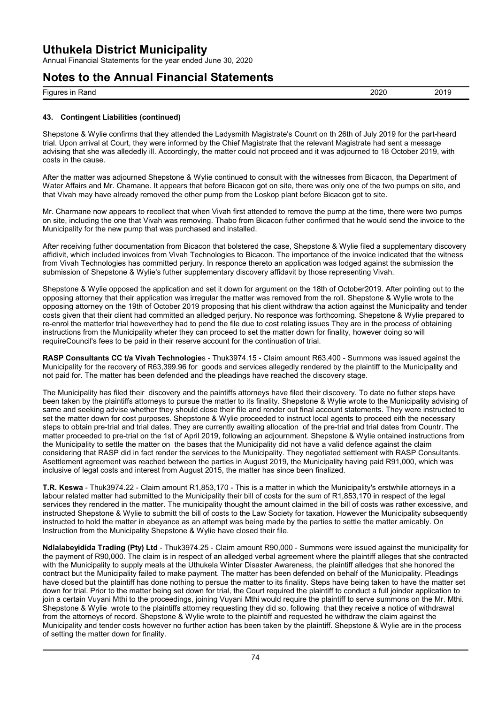Annual Financial Statements for the year ended June 30, 2020

### **Notes to the Annual Financial Statements**

| Figures in Rand | 2020 | 2019 |
|-----------------|------|------|
|                 |      |      |

#### **43. Contingent Liabilities (continued)**

Shepstone & Wylie confirms that they attended the Ladysmith Magistrate's Counrt on th 26th of July 2019 for the part-heard trial. Upon arrival at Court, they were informed by the Chief Magistrate that the relevant Magistrate had sent a message advising that she was allededly ill. Accordingly, the matter could not proceed and it was adjourned to 18 October 2019, with costs in the cause.

After the matter was adjourned Shepstone & Wylie continued to consult with the witnesses from Bicacon, tha Department of Water Affairs and Mr. Chamane. It appears that before Bicacon got on site, there was only one of the two pumps on site, and that Vivah may have already removed the other pump from the Loskop plant before Bicacon got to site.

Mr. Charmane now appears to recollect that when Vivah first attended to remove the pump at the time, there were two pumps on site, including the one that Vivah was removing. Thabo from Bicacon futher confirmed that he would send the invoice to the Municipality for the new pump that was purchased and installed.

After receiving futher documentation from Bicacon that bolstered the case, Shepstone & Wylie filed a supplementary discovery affidivit, which included invoices from Vivah Technologies to Bicacon. The importance of the invoice indicated that the witness from Vivah Technologies has committed periury. In responce thereto an application was lodged against the submission the submission of Shepstone & Wylie's futher supplementary discovery affidavit by those representing Vivah.

Shepstone & Wylie opposed the application and set it down for argument on the 18th of October2019. After pointing out to the opposing attorney that their application was irregular the matter was removed from the roll. Shepstone & Wylie wrote to the opposing attorney on the 19th of October 2019 proposing that his client withdraw tha action against the Municipality and tender costs given that their client had committed an alledged perjury. No responce was forthcoming. Shepstone & Wylie prepared to re-enrol the matterfor trial howeverthey had to pend the file due to cost relating issues They are in the process of obtaining instructions from the Municipality wheter they can proceed to set the matter down for finality, however doing so will requireCouncil's fees to be paid in their reserve account for the continuation of trial.

**RASP Consultants CC t/a Vivah Technologie**s - Thuk3974.15 - Claim amount R63,400 - Summons was issued against the Municipality for the recovery of R63,399.96 for goods and services allegedly rendered by the plaintiff to the Municipality and not paid for. The matter has been defended and the pleadings have reached the discovery stage.

The Municipality has filed their discovery and the paintiffs attorneys have filed their discovery. To date no futher steps have been taken by the plaintiffs attorneys to pursue the matter to its finality. Shepstone & Wylie wrote to the Municipality advising of same and seeking advise whether they should close their file and render out final account statements. They were instructed to set the matter down for cost purposes. Shepstone & Wylie proceeded to instruct local agents to proceed eith the necessary steps to obtain pre-trial and trial dates. They are currently awaiting allocation of the pre-trial and trial dates from Countr. The matter proceeded to pre-trial on the 1st of April 2019, following an adjournment. Shepstone & Wylie ontained instructions from the Municipality to settle the matter on the bases that the Municipality did not have a valid defence against the claim considering that RASP did in fact render the services to the Municipality. They negotiated settlement with RASP Consultants. Asettlement agreement was reached between the parties in August 2019, the Municipality having paid R91,000, which was inclusive of legal costs and interest from August 2015, the matter has since been finalized.

**T.R. Keswa** - Thuk3974.22 - Claim amount R1,853,170 - This is a matter in which the Municipality's erstwhile attorneys in a labour related matter had submitted to the Municipality their bill of costs for the sum of R1,853,170 in respect of the legal services they rendered in the matter. The municipality thought the amount claimed in the bill of costs was rather excessive, and instructed Shepstone & Wylie to submitt the bill of costs to the Law Society for taxation. However the Municipality subsequently instructed to hold the matter in abeyance as an attempt was being made by the parties to settle the matter amicably. On Instruction from the Municipality Shepstone & Wylie have closed their file.

**Ndlalabeyidida Trading (Pty) Ltd** - Thuk3974.25 - Claim amount R90,000 - Summons were issued against the municipality for the payment of R90,000. The claim is in respect of an alledged verbal agreement where the plaintiff alleges that she contracted with the Municipality to supply meals at the Uthukela Winter Disaster Awareness, the plaintiff alledges that she honored the contract but the Municipality failed to make payment. The matter has been defended on behalf of the Municipality. Pleadings have closed but the plaintiff has done nothing to persue the matter to its finality. Steps have being taken to have the matter set down for trial. Prior to the matter being set down for trial, the Court required the plaintiff to conduct a full joinder application to join a certain Vuyani Mthi to the proceedings, joining Vuyani Mthi would require the plaintiff to serve summons on the Mr. Mthi. Shepstone & Wylie wrote to the plaintiffs attorney requesting they did so, following that they receive a notice of withdrawal from the attorneys of record. Shepstone & Wylie wrote to the plaintiff and requested he withdraw the claim against the Municipality and tender costs however no further action has been taken by the plaintiff. Shepstone & Wylie are in the process of setting the matter down for finality.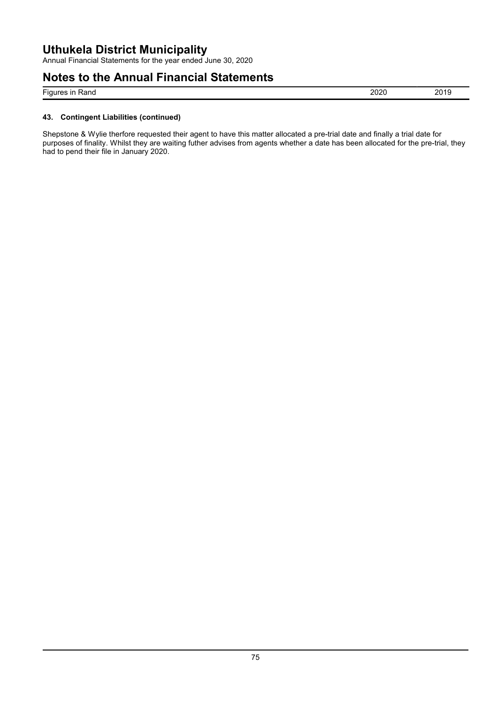Annual Financial Statements for the year ended June 30, 2020

### **Notes to the Annual Financial Statements**

Figures in Rand 2019

#### **43. Contingent Liabilities (continued)**

Shepstone & Wylie therfore requested their agent to have this matter allocated a pre-trial date and finally a trial date for purposes of finality. Whilst they are waiting futher advises from agents whether a date has been allocated for the pre-trial, they had to pend their file in January 2020.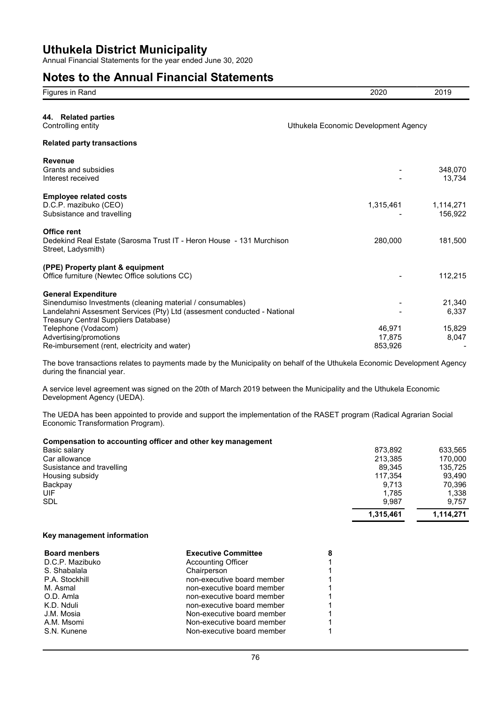Annual Financial Statements for the year ended June 30, 2020

### **Notes to the Annual Financial Statements**

| Figures in Rand                                                                                                                                                                                            | 2020                                 | 2019                 |
|------------------------------------------------------------------------------------------------------------------------------------------------------------------------------------------------------------|--------------------------------------|----------------------|
| 44. Related parties<br>Controlling entity                                                                                                                                                                  | Uthukela Economic Development Agency |                      |
| <b>Related party transactions</b>                                                                                                                                                                          |                                      |                      |
| <b>Revenue</b><br>Grants and subsidies<br>Interest received                                                                                                                                                |                                      | 348,070<br>13,734    |
| <b>Employee related costs</b><br>D.C.P. mazibuko (CEO)<br>Subsistance and travelling                                                                                                                       | 1,315,461                            | 1,114,271<br>156,922 |
| Office rent<br>Dedekind Real Estate (Sarosma Trust IT - Heron House - 131 Murchison<br>Street, Ladysmith)                                                                                                  | 280,000                              | 181,500              |
| (PPE) Property plant & equipment<br>Office furniture (Newtec Office solutions CC)                                                                                                                          |                                      | 112,215              |
| <b>General Expenditure</b><br>Sinendumiso Investments (cleaning material / consumables)<br>Landelahni Assesment Services (Pty) Ltd (assesment conducted - National<br>Treasury Central Suppliers Database) |                                      | 21,340<br>6,337      |
| Telephone (Vodacom)<br>Advertising/promotions<br>Re-imbursement (rent, electricity and water)                                                                                                              | 46.971<br>17,875<br>853,926          | 15,829<br>8,047      |

The bove transactions relates to payments made by the Municipality on behalf of the Uthukela Economic Development Agency during the financial year.

A service level agreement was signed on the 20th of March 2019 between the Municipality and the Uthukela Economic Development Agency (UEDA).

The UEDA has been appointed to provide and support the implementation of the RASET program (Radical Agrarian Social Economic Transformation Program).

#### **Compensation to accounting officer and other key management**

|                           | 1,315,461 | 1,114,271 |
|---------------------------|-----------|-----------|
| <b>SDL</b>                | 9.987     | 9.757     |
| UIF                       | 1,785     | 1,338     |
| Backpay                   | 9.713     | 70,396    |
| Housing subsidy           | 117,354   | 93.490    |
| Susistance and travelling | 89,345    | 135,725   |
| Car allowance             | 213.385   | 170.000   |
| Basic salary              | 873,892   | 633,565   |
|                           | $\sim$    |           |

#### **Key management information**

| <b>Board menbers</b> | <b>Executive Committee</b> | 8 |
|----------------------|----------------------------|---|
| D.C.P. Mazibuko      | <b>Accounting Officer</b>  |   |
| S. Shabalala         | Chairperson                |   |
| P.A. Stockhill       | non-executive board member |   |
| M. Asmal             | non-executive board member |   |
| O.D. Amla            | non-executive board member |   |
| K.D. Nduli           | non-executive board member |   |
| J.M. Mosia           | Non-executive board member |   |
| A.M. Msomi           | Non-executive board member |   |
| S.N. Kunene          | Non-executive board member |   |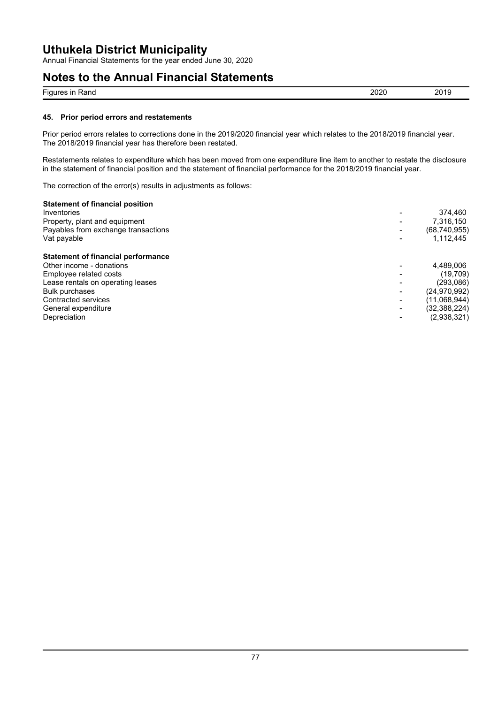Annual Financial Statements for the year ended June 30, 2020

# **Notes to the Annual Financial Statements**

| $- \cdot$<br>$\overline{1}$<br>Rand<br>Figur<br>ш | $\sim$<br>--<br>- - | ∍∼<br>___ |
|---------------------------------------------------|---------------------|-----------|
|                                                   |                     |           |

#### **45. Prior period errors and restatements**

Prior period errors relates to corrections done in the 2019/2020 financial year which relates to the 2018/2019 financial year. The 2018/2019 financial year has therefore been restated.

Restatements relates to expenditure which has been moved from one expenditure line item to another to restate the disclosure in the statement of financial position and the statement of financiial performance for the 2018/2019 financial year.

The correction of the error(s) results in adjustments as follows:

#### **Statement of financial position**

| Inventories<br>Property, plant and equipment<br>Payables from exchange transactions<br>Vat payable                                                                                                                          | $\overline{\phantom{a}}$<br>$\blacksquare$<br>$\overline{\phantom{a}}$                                                         | 374.460<br>7,316,150<br>(68,740,955)<br>1,112,445                                                     |
|-----------------------------------------------------------------------------------------------------------------------------------------------------------------------------------------------------------------------------|--------------------------------------------------------------------------------------------------------------------------------|-------------------------------------------------------------------------------------------------------|
| <b>Statement of financial performance</b><br>Other income - donations<br>Employee related costs<br>Lease rentals on operating leases<br><b>Bulk purchases</b><br>Contracted services<br>General expenditure<br>Depreciation | $\overline{\phantom{0}}$<br>$\overline{\phantom{a}}$<br>$\blacksquare$<br>$\overline{\phantom{a}}$<br>$\overline{\phantom{a}}$ | 4,489,006<br>(19,709)<br>(293,086)<br>(24, 970, 992)<br>(11,068,944)<br>(32, 388, 224)<br>(2,938,321) |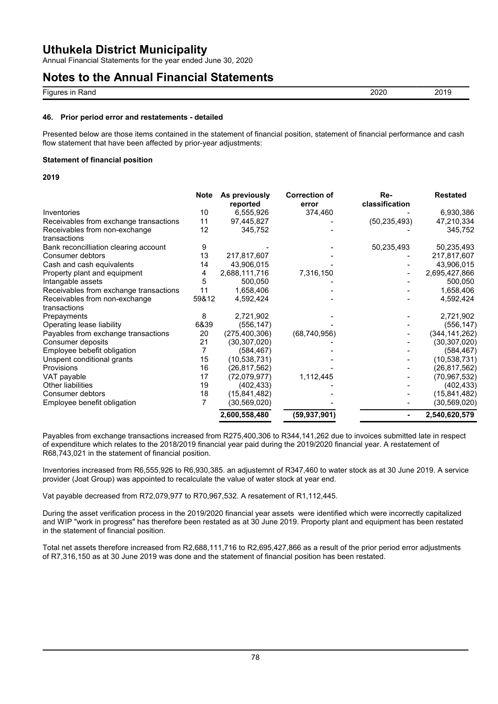Annual Financial Statements for the year ended June 30, 2020

### **Notes to the Annual Financial Statements**

| $- \cdot$<br>es in<br>≺and<br><b>Figure</b> | מממ<br>∽∪∠∪<br>$- - -$ | ∩∩<br>— V<br>$\sim$ |
|---------------------------------------------|------------------------|---------------------|
|                                             |                        |                     |

#### **46. Prior period error and restatements - detailed**

Presented below are those items contained in the statement of financial position, statement of financial performance and cash flow statement that have been affected by prior-year adjustments:

#### **Statement of financial position**

#### **2019**

|                                        | <b>Note</b> | As previously<br>reported | <b>Correction of</b><br>error | Re-<br>classification | <b>Restated</b> |
|----------------------------------------|-------------|---------------------------|-------------------------------|-----------------------|-----------------|
| Inventories                            | 10          | 6,555,926                 | 374,460                       |                       | 6,930,386       |
| Receivables from exchange transactions | 11          | 97,445,827                |                               | (50, 235, 493)        | 47,210,334      |
| Receivables from non-exchange          | 12          | 345,752                   |                               |                       | 345,752         |
| transactions                           |             |                           |                               |                       |                 |
| Bank reconcilliation clearing account  | 9           |                           |                               | 50,235,493            | 50,235,493      |
| Consumer debtors                       | 13          | 217,817,607               |                               |                       | 217,817,607     |
| Cash and cash equivalents              | 14          | 43,906,015                |                               |                       | 43,906,015      |
| Property plant and equipment           | 4           | 2,688,111,716             | 7,316,150                     |                       | 2,695,427,866   |
| Intangable assets                      | 5           | 500,050                   |                               |                       | 500,050         |
| Receivables from exchange transactions | 11          | 1,658,406                 |                               |                       | 1,658,406       |
| Receivables from non-exchange          | 59&12       | 4,592,424                 |                               |                       | 4,592,424       |
| transactions                           |             |                           |                               |                       |                 |
| Prepayments                            | 8           | 2,721,902                 |                               |                       | 2,721,902       |
| Operating lease liability              | 6&39        | (556, 147)                |                               |                       | (556, 147)      |
| Payables from exchange transactions    | 20          | (275, 400, 306)           | (68, 740, 956)                |                       | (344, 141, 262) |
| Consumer deposits                      | 21          | (30,307,020)              |                               |                       | (30, 307, 020)  |
| Employee bebefit obligation            | 7           | (584, 467)                |                               |                       | (584, 467)      |
| Unspent conditional grants             | 15          | (10,538,731)              |                               |                       | (10, 538, 731)  |
| Provisions                             | 16          | (26, 817, 562)            |                               |                       | (26, 817, 562)  |
| VAT payable                            | 17          | (72,079,977)              | 1,112,445                     |                       | (70, 967, 532)  |
| Other liabilities                      | 19          | (402, 433)                |                               |                       | (402, 433)      |
| Consumer debtors                       | 18          | (15, 841, 482)            |                               |                       | (15, 841, 482)  |
| Employee benefit obligation            |             | (30, 569, 020)            |                               |                       | (30, 569, 020)  |
|                                        |             | 2,600,558,480             | (59, 937, 901)                |                       | 2,540,620,579   |

Payables from exchange transactions increased from R275,400,306 to R344,141,262 due to invoices submitted late in respect of expenditure which relates to the 2018/2019 financial year paid during the 2019/2020 financial year. A restatement of R68,743,021 in the statement of financial position.

Inventories increased from R6,555,926 to R6,930,385. an adjustemnt of R347,460 to water stock as at 30 June 2019. A service provider (Joat Group) was appointed to recalculate the value of water stock at year end.

Vat payable decreased from R72,079,977 to R70,967,532. A resatement of R1,112,445.

During the asset verification process in the 2019/2020 financial year assets were identified which were incorrectly capitalized and WIP "work in progress" has therefore been restated as at 30 June 2019. Proporty plant and equipment has been restated in the statement of financial position.

Total net assets therefore increased from R2,688,111,716 to R2,695,427,866 as a result of the prior period error adjustments of R7,316,150 as at 30 June 2019 was done and the statement of financial position has been restated.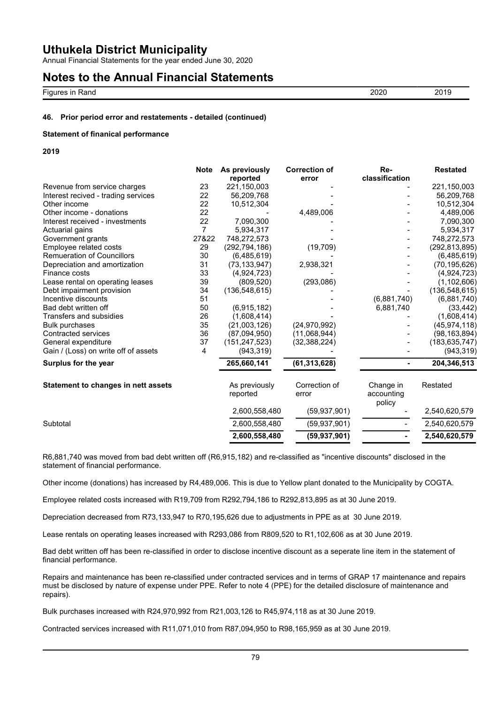Annual Financial Statements for the year ended June 30, 2020

### **Notes to the Annual Financial Statements**

Figures in Rand 2020 2019

#### **46. Prior period error and restatements - detailed (continued)**

#### **Statement of finanical performance**

**2019**

|                                      | <b>Note</b>    | As previously<br>reported | <b>Correction of</b><br>error | Re-<br>classification             | <b>Restated</b> |
|--------------------------------------|----------------|---------------------------|-------------------------------|-----------------------------------|-----------------|
| Revenue from service charges         | 23             | 221,150,003               |                               |                                   | 221,150,003     |
| Interest recived - trading services  | 22             | 56,209,768                |                               |                                   | 56,209,768      |
| Other income                         | 22             | 10,512,304                |                               |                                   | 10,512,304      |
| Other income - donations             | 22             |                           | 4,489,006                     |                                   | 4,489,006       |
| Interest received - investments      | 22             | 7,090,300                 |                               |                                   | 7,090,300       |
| Actuarial gains                      | $\overline{7}$ | 5,934,317                 |                               |                                   | 5,934,317       |
| Government grants                    | 27&22          | 748,272,573               |                               |                                   | 748,272,573     |
| Employee related costs               | 29             | (292, 794, 186)           | (19, 709)                     |                                   | (292, 813, 895) |
| <b>Remueration of Councillors</b>    | 30             | (6,485,619)               |                               |                                   | (6,485,619)     |
| Depreciation and amortization        | 31             | (73, 133, 947)            | 2,938,321                     |                                   | (70, 195, 626)  |
| Finance costs                        | 33             | (4,924,723)               |                               |                                   | (4,924,723)     |
| Lease rental on operating leases     | 39             | (809, 520)                | (293,086)                     |                                   | (1, 102, 606)   |
| Debt impairment provision            | 34             | (136, 548, 615)           |                               |                                   | (136, 548, 615) |
| Incentive discounts                  | 51             |                           |                               | (6,881,740)                       | (6,881,740)     |
| Bad debt written off                 | 50             | (6,915,182)               |                               | 6,881,740                         | (33, 442)       |
| Transfers and subsidies              | 26             | (1,608,414)               |                               |                                   | (1,608,414)     |
| <b>Bulk purchases</b>                | 35             | (21,003,126)              | (24, 970, 992)                |                                   | (45, 974, 118)  |
| <b>Contracted services</b>           | 36             | (87,094,950)              | (11,068,944)                  |                                   | (98, 163, 894)  |
| General expenditure                  | 37             | (151, 247, 523)           | (32, 388, 224)                |                                   | (183, 635, 747) |
| Gain / (Loss) on write off of assets | 4              | (943, 319)                |                               |                                   | (943, 319)      |
| Surplus for the year                 |                | 265,660,141               | (61, 313, 628)                |                                   | 204,346,513     |
| Statement to changes in nett assets  |                | As previously<br>reported | Correction of<br>error        | Change in<br>accounting<br>policy | Restated        |
|                                      |                | 2,600,558,480             | (59, 937, 901)                |                                   | 2,540,620,579   |
| Subtotal                             |                | 2,600,558,480             | (59, 937, 901)                |                                   | 2,540,620,579   |
|                                      |                | 2,600,558,480             | (59, 937, 901)                |                                   | 2,540,620,579   |

R6,881,740 was moved from bad debt written off (R6,915,182) and re-classified as "incentive discounts" disclosed in the statement of financial performance.

Other income (donations) has increased by R4,489,006. This is due to Yellow plant donated to the Municipality by COGTA.

Employee related costs increased with R19,709 from R292,794,186 to R292,813,895 as at 30 June 2019.

Depreciation decreased from R73,133,947 to R70,195,626 due to adjustments in PPE as at 30 June 2019.

Lease rentals on operating leases increased with R293,086 from R809,520 to R1,102,606 as at 30 June 2019.

Bad debt written off has been re-classified in order to disclose incentive discount as a seperate line item in the statement of financial performance.

Repairs and maintenance has been re-classified under contracted services and in terms of GRAP 17 maintenance and repairs must be disclosed by nature of expense under PPE. Refer to note 4 (PPE) for the detailed disclosure of maintenance and repairs).

Bulk purchases increased with R24,970,992 from R21,003,126 to R45,974,118 as at 30 June 2019.

Contracted services increased with R11,071,010 from R87,094,950 to R98,165,959 as at 30 June 2019.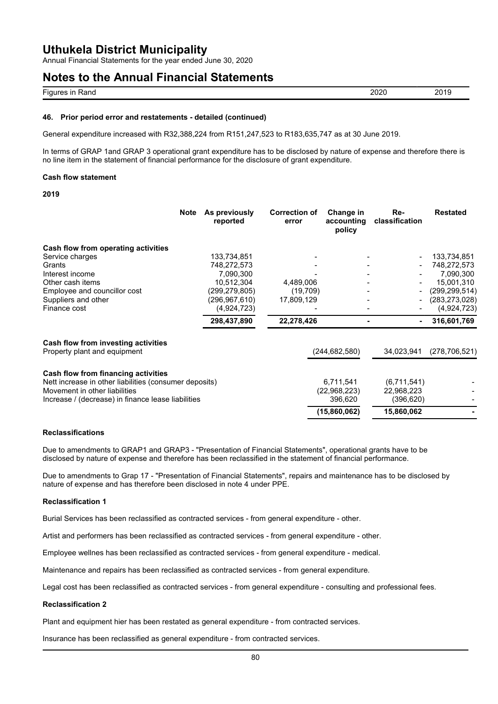Annual Financial Statements for the year ended June 30, 2020

### **Notes to the Annual Financial Statements**

| $- \cdot$<br>.<br>Fiau<br><br>Rang<br>-114 | LULV | ״<br>____ |
|--------------------------------------------|------|-----------|
|                                            |      |           |

#### **46. Prior period error and restatements - detailed (continued)**

General expenditure increased with R32,388,224 from R151,247,523 to R183,635,747 as at 30 June 2019.

In terms of GRAP 1and GRAP 3 operational grant expenditure has to be disclosed by nature of expense and therefore there is no line item in the statement of financial performance for the disclosure of grant expenditure.

#### **Cash flow statement**

#### **2019**

|                                                                     | <b>Note</b><br>As previously<br>reported | <b>Correction of</b><br>error | Change in<br>accounting<br>policy | Re-<br>classification | <b>Restated</b> |
|---------------------------------------------------------------------|------------------------------------------|-------------------------------|-----------------------------------|-----------------------|-----------------|
| Cash flow from operating activities                                 |                                          |                               |                                   |                       |                 |
| Service charges                                                     | 133,734,851                              |                               |                                   |                       | 133,734,851     |
| Grants                                                              | 748,272,573                              |                               |                                   |                       | 748,272,573     |
| Interest income                                                     | 7,090,300                                |                               |                                   |                       | 7,090,300       |
| Other cash items                                                    | 10,512,304                               | 4,489,006                     |                                   |                       | 15,001,310      |
| Employee and councillor cost                                        | (299, 279, 805)                          | (19,709)                      |                                   |                       | (299, 299, 514) |
| Suppliers and other                                                 | (296,967,610)                            | 17,809,129                    |                                   |                       | (283, 273, 028) |
| Finance cost                                                        | (4,924,723)                              |                               |                                   |                       | (4,924,723)     |
|                                                                     | 298,437,890                              | 22,278,426                    |                                   |                       | 316,601,769     |
| Cash flow from investing activities<br>Property plant and equipment |                                          |                               | (244,682,580)                     | 34,023,941            | (278, 706, 521) |
| Cash flow from financing activities                                 |                                          |                               |                                   |                       |                 |
| Nett increase in other liabilities (consumer deposits)              |                                          |                               | 6,711,541                         | (6,711,541)           |                 |
| Movement in other liabilities                                       |                                          |                               | (22,968,223)                      | 22,968,223            |                 |
| Increase / (decrease) in finance lease liabilities                  |                                          |                               | 396,620                           | (396, 620)            |                 |
|                                                                     |                                          |                               | (15,860,062)                      | 15,860,062            |                 |

#### **Reclassifications**

Due to amendments to GRAP1 and GRAP3 - "Presentation of Financial Statements", operational grants have to be disclosed by nature of expense and therefore has been reclassified in the statement of financial performance.

Due to amendments to Grap 17 - "Presentation of Financial Statements", repairs and maintenance has to be disclosed by nature of expense and has therefore been disclosed in note 4 under PPE.

#### **Reclassification 1**

Burial Services has been reclassified as contracted services - from general expenditure - other.

Artist and performers has been reclassified as contracted services - from general expenditure - other.

Employee wellnes has been reclassified as contracted services - from general expenditure - medical.

Maintenance and repairs has been reclassified as contracted services - from general expenditure.

Legal cost has been reclassified as contracted services - from general expenditure - consulting and professional fees.

#### **Reclassification 2**

Plant and equipment hier has been restated as general expenditure - from contracted services.

Insurance has been reclassified as general expenditure - from contracted services.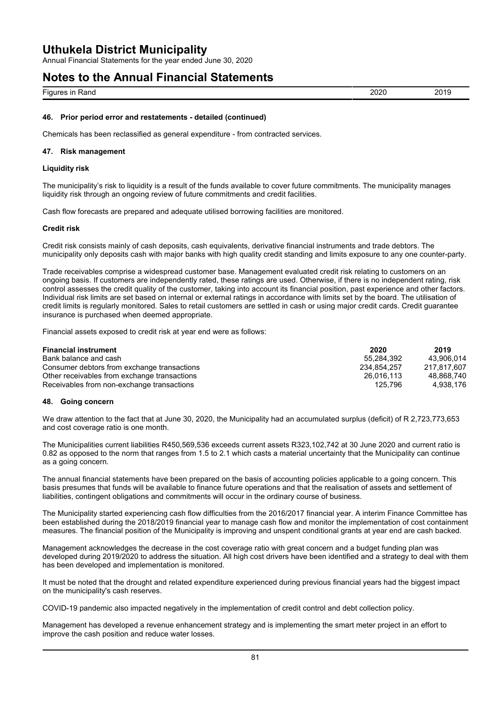Annual Financial Statements for the year ended June 30, 2020

### **Notes to the Annual Financial Statements**

Figures in Rand 2020 2019

#### **46. Prior period error and restatements - detailed (continued)**

Chemicals has been reclassified as general expenditure - from contracted services.

#### **47. Risk management**

#### **Liquidity risk**

The municipality's risk to liquidity is a result of the funds available to cover future commitments. The municipality manages liquidity risk through an ongoing review of future commitments and credit facilities.

Cash flow forecasts are prepared and adequate utilised borrowing facilities are monitored.

#### **Credit risk**

Credit risk consists mainly of cash deposits, cash equivalents, derivative financial instruments and trade debtors. The municipality only deposits cash with major banks with high quality credit standing and limits exposure to any one counter-party.

Trade receivables comprise a widespread customer base. Management evaluated credit risk relating to customers on an ongoing basis. If customers are independently rated, these ratings are used. Otherwise, if there is no independent rating, risk control assesses the credit quality of the customer, taking into account its financial position, past experience and other factors. Individual risk limits are set based on internal or external ratings in accordance with limits set by the board. The utilisation of credit limits is regularly monitored. Sales to retail customers are settled in cash or using major credit cards. Credit guarantee insurance is purchased when deemed appropriate.

Financial assets exposed to credit risk at year end were as follows:

| <b>Financial instrument</b>                  | 2020        | 2019        |
|----------------------------------------------|-------------|-------------|
| Bank balance and cash                        | 55.284.392  | 43.906.014  |
| Consumer debtors from exchange transactions  | 234.854.257 | 217.817.607 |
| Other receivables from exchange transactions | 26.016.113  | 48.868.740  |
| Receivables from non-exchange transactions   | 125.796     | 4,938,176   |

#### **48. Going concern**

We draw attention to the fact that at June 30, 2020, the Municipality had an accumulated surplus (deficit) of R 2,723,773,653 and cost coverage ratio is one month.

The Municipalities current liabilities R450,569,536 exceeds current assets R323,102,742 at 30 June 2020 and current ratio is 0.82 as opposed to the norm that ranges from 1.5 to 2.1 which casts a material uncertainty that the Municipality can continue as a going concern.

The annual financial statements have been prepared on the basis of accounting policies applicable to a going concern. This basis presumes that funds will be available to finance future operations and that the realisation of assets and settlement of liabilities, contingent obligations and commitments will occur in the ordinary course of business.

The Municipality started experiencing cash flow difficulties from the 2016/2017 financial year. A interim Finance Committee has been established during the 2018/2019 financial year to manage cash flow and monitor the implementation of cost containment measures. The financial position of the Municipality is improving and unspent conditional grants at year end are cash backed.

Management acknowledges the decrease in the cost coverage ratio with great concern and a budget funding plan was developed during 2019/2020 to address the situation. All high cost drivers have been identified and a strategy to deal with them has been developed and implementation is monitored.

It must be noted that the drought and related expenditure experienced during previous financial years had the biggest impact on the municipality's cash reserves.

COVID-19 pandemic also impacted negatively in the implementation of credit control and debt collection policy.

Management has developed a revenue enhancement strategy and is implementing the smart meter project in an effort to improve the cash position and reduce water losses.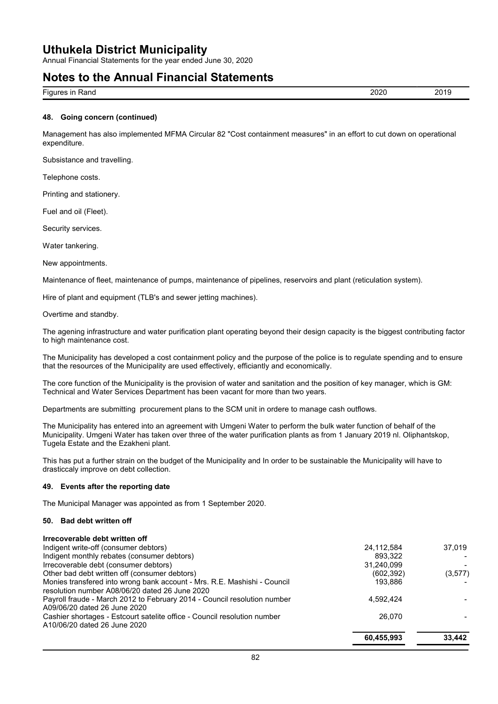Annual Financial Statements for the year ended June 30, 2020

### **Notes to the Annual Financial Statements**

| $- \cdot$<br>$  -$<br><b>FIGL</b><br>Ranc<br>.<br>. . | חרחנ<br>.v∠u | חר<br>- 2 |
|-------------------------------------------------------|--------------|-----------|
|                                                       |              |           |

#### **48. Going concern (continued)**

Management has also implemented MFMA Circular 82 "Cost containment measures" in an effort to cut down on operational expenditure.

Subsistance and travelling.

Telephone costs.

Printing and stationery.

Fuel and oil (Fleet).

Security services.

Water tankering.

New appointments.

Maintenance of fleet, maintenance of pumps, maintenance of pipelines, reservoirs and plant (reticulation system).

Hire of plant and equipment (TLB's and sewer jetting machines).

Overtime and standby.

The agening infrastructure and water purification plant operating beyond their design capacity is the biggest contributing factor to high maintenance cost.

The Municipality has developed a cost containment policy and the purpose of the police is to regulate spending and to ensure that the resources of the Municipality are used effectively, efficiantly and economically.

The core function of the Municipality is the provision of water and sanitation and the position of key manager, which is GM: Technical and Water Services Department has been vacant for more than two years.

Departments are submitting procurement plans to the SCM unit in ordere to manage cash outflows.

The Municipality has entered into an agreement with Umgeni Water to perform the bulk water function of behalf of the Municipality. Umgeni Water has taken over three of the water purification plants as from 1 January 2019 nl. Oliphantskop, Tugela Estate and the Ezakheni plant.

This has put a further strain on the budget of the Municipality and In order to be sustainable the Municipality will have to drasticcaly improve on debt collection.

#### **49. Events after the reporting date**

The Municipal Manager was appointed as from 1 September 2020.

#### **50. Bad debt written off**

| Irrecoverable debt written off                                           |            |         |
|--------------------------------------------------------------------------|------------|---------|
| Indigent write-off (consumer debtors)                                    | 24,112,584 | 37.019  |
| Indigent monthly rebates (consumer debtors)                              | 893.322    |         |
| Irrecoverable debt (consumer debtors)                                    | 31,240,099 |         |
| Other bad debt written off (consumer debtors)                            | (602, 392) | (3,577) |
| Monies transfered into wrong bank account - Mrs. R.E. Mashishi - Council | 193.886    |         |
| resolution number A08/06/20 dated 26 June 2020                           |            |         |
| Payroll fraude - March 2012 to February 2014 - Council resolution number | 4,592,424  |         |
| A09/06/20 dated 26 June 2020                                             |            |         |
| Cashier shortages - Estcourt satelite office - Council resolution number | 26,070     |         |
| A10/06/20 dated 26 June 2020                                             |            |         |
|                                                                          | 60.455.993 | 33.442  |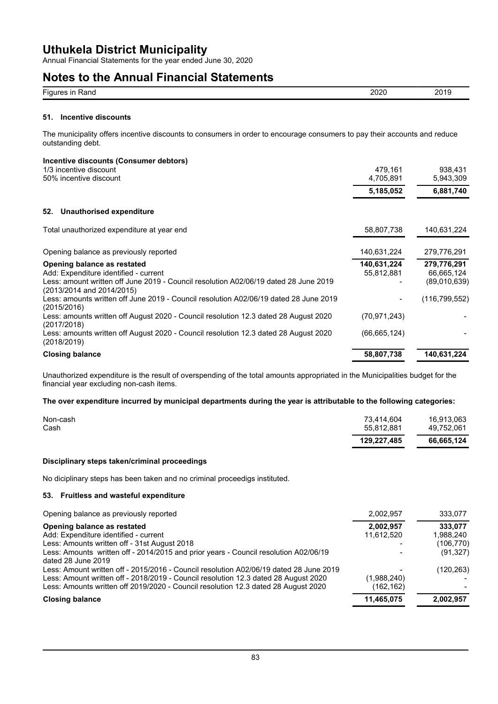Annual Financial Statements for the year ended June 30, 2020

### **Notes to the Annual Financial Statements**

| $-$<br>.<br>Figure.<br>≺ano<br>- 11 1<br>$\cdots$ | 2020<br>∼<br>$- - -$ | ``<br>–∾<br>. .<br>____ |
|---------------------------------------------------|----------------------|-------------------------|
|                                                   |                      |                         |

#### **51. Incentive discounts**

The municipality offers incentive discounts to consumers in order to encourage consumers to pay their accounts and reduce outstanding debt.

#### **Incentive discounts (Consumer debtors)**

| 1/3 incentive discount<br>50% incentive discount                                                                                                                                          | 479.161<br>4,705,891      | 938,431<br>5,943,309                      |
|-------------------------------------------------------------------------------------------------------------------------------------------------------------------------------------------|---------------------------|-------------------------------------------|
|                                                                                                                                                                                           | 5,185,052                 | 6,881,740                                 |
| Unauthorised expenditure<br>52.                                                                                                                                                           |                           |                                           |
| Total unauthorized expenditure at year end                                                                                                                                                | 58,807,738                | 140,631,224                               |
| Opening balance as previously reported                                                                                                                                                    | 140,631,224               | 279,776,291                               |
| Opening balance as restated<br>Add: Expenditure identified - current<br>Less: amount written off June 2019 - Council resolution A02/06/19 dated 28 June 2019<br>(2013/2014 and 2014/2015) | 140,631,224<br>55,812,881 | 279,776,291<br>66,665,124<br>(89,010,639) |
| Less: amounts written off June 2019 - Council resolution A02/06/19 dated 28 June 2019<br>(2015/2016)                                                                                      |                           | (116, 799, 552)                           |
| Less: amounts written off August 2020 - Council resolution 12.3 dated 28 August 2020<br>(2017/2018)                                                                                       | (70, 971, 243)            |                                           |
| Less: amounts written off August 2020 - Council resolution 12.3 dated 28 August 2020<br>(2018/2019)                                                                                       | (66,665,124)              |                                           |
| <b>Closing balance</b>                                                                                                                                                                    | 58,807,738                | 140,631,224                               |

Unauthorized expenditure is the result of overspending of the total amounts appropriated in the Municipalities budget for the financial year excluding non-cash items.

#### **The over expenditure incurred by municipal departments during the year is attributable to the following categories:**

|          | 129,227,485 | 66,665,124 |
|----------|-------------|------------|
| Cash     | 55.812.881  | 49.752.061 |
| Non-cash | 73,414,604  | 16,913,063 |

#### **Disciplinary steps taken/criminal proceedings**

No diciplinary steps has been taken and no criminal proceedigs instituted.

#### **53. Fruitless and wasteful expenditure**

| Opening balance as previously reported                                                                                                                                    | 2,002,957                | 333,077                 |
|---------------------------------------------------------------------------------------------------------------------------------------------------------------------------|--------------------------|-------------------------|
| Opening balance as restated<br>Add: Expenditure identified - current                                                                                                      | 2,002,957<br>11,612,520  | 333.077<br>1,988,240    |
| Less: Amounts written off - 31st August 2018<br>Less: Amounts written off - 2014/2015 and prior years - Council resolution A02/06/19                                      |                          | (106, 770)<br>(91, 327) |
| dated 28 June 2019<br>Less: Amount written off - 2015/2016 - Council resolution A02/06/19 dated 28 June 2019                                                              |                          | (120, 263)              |
| Less: Amount written off - 2018/2019 - Council resolution 12.3 dated 28 August 2020<br>Less: Amounts written off 2019/2020 - Council resolution 12.3 dated 28 August 2020 | (1,988,240)<br>(162,162) |                         |
| <b>Closing balance</b>                                                                                                                                                    | 11,465,075               | 2,002,957               |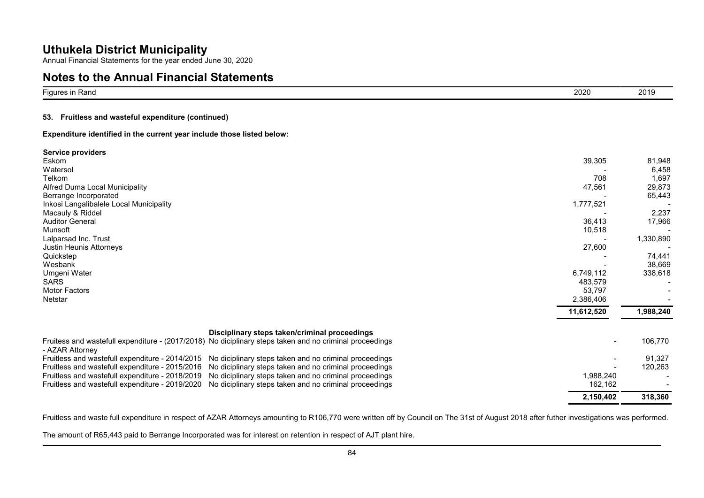Annual Financial Statements for the year ended June 30, 2020

### **Notes to the Annual Financial Statements**

| $- \cdot$<br><b>Figures</b><br>Rand<br>- 11 1 | $\sim$<br>ZUZU | - - -<br>2019 |
|-----------------------------------------------|----------------|---------------|

#### **53. Fruitless and wasteful expenditure (continued)**

**Expenditure identified in the current year include those listed below:**

| Service providers<br>39,305<br>Eskom<br>Watersol<br>708<br>Telkom<br>47,561<br>Alfred Duma Local Municipality<br>Berrange Incorporated<br>1,777,521<br>Inkosi Langalibalele Local Municipality<br>Macauly & Riddel<br><b>Auditor General</b><br>36,413<br>10,518<br>Munsoft<br>Lalparsad Inc. Trust<br>27,600<br>Justin Heunis Attorneys<br>Quickstep<br>Wesbank<br>Umgeni Water<br>6,749,112<br><b>SARS</b><br>483.579<br><b>Motor Factors</b><br>53,797<br>2,386,406<br>Netstar<br>11,612,520          | 81,948<br>6,458<br>1,697<br>29,873<br>65,443<br>2,237<br>17,966<br>1,330,890<br>74,441<br>38,669<br>338,618<br>1,988,240 |
|----------------------------------------------------------------------------------------------------------------------------------------------------------------------------------------------------------------------------------------------------------------------------------------------------------------------------------------------------------------------------------------------------------------------------------------------------------------------------------------------------------|--------------------------------------------------------------------------------------------------------------------------|
| Disciplinary steps taken/criminal proceedings<br>Fruitess and wastefull expenditure - (2017/2018) No diciplinary steps taken and no criminal proceedings                                                                                                                                                                                                                                                                                                                                                 | 106,770                                                                                                                  |
| - AZAR Attorney<br>Fruitless and wastefull expenditure - 2014/2015<br>No diciplinary steps taken and no criminal proceedings<br>Fruitless and wastefull expenditure - 2015/2016<br>No diciplinary steps taken and no criminal proceedings<br>1,988,240<br>Fruitless and wastefull expenditure - 2018/2019<br>No diciplinary steps taken and no criminal proceedings<br>No diciplinary steps taken and no criminal proceedings<br>162,162<br>Fruitless and wastefull expenditure - 2019/2020<br>2,150,402 | 91,327<br>120,263<br>318,360                                                                                             |

Fruitless and waste full expenditure in respect of AZAR Attorneys amounting to R106,770 were written off by Council on The 31st of August 2018 after futher investigations was performed.

The amount of R65,443 paid to Berrange Incorporated was for interest on retention in respect of AJT plant hire.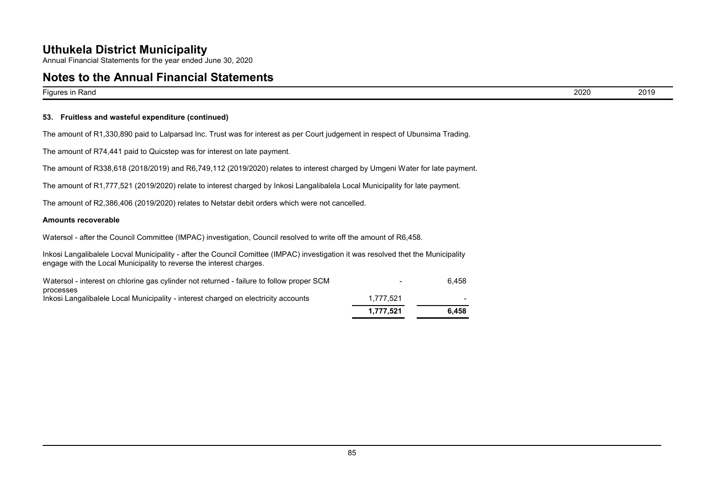Annual Financial Statements for the year ended June 30, 2020

### **Notes to the Annual Financial Statements**

Figures in Rand 2020 2019

#### **53. Fruitless and wasteful expenditure (continued)**

The amount of R1,330,890 paid to Lalparsad Inc. Trust was for interest as per Court judgement in respect of Ubunsima Trading.

The amount of R74,441 paid to Quicstep was for interest on late payment.

The amount of R338,618 (2018/2019) and R6,749,112 (2019/2020) relates to interest charged by Umgeni Water for late payment.

The amount of R1,777,521 (2019/2020) relate to interest charged by Inkosi Langalibalela Local Municipality for late payment.

The amount of R2,386,406 (2019/2020) relates to Netstar debit orders which were not cancelled.

#### **Amounts recoverable**

Watersol - after the Council Committee (IMPAC) investigation, Council resolved to write off the amount of R6,458.

Inkosi Langalibalele Locval Municipality - after the Council Comittee (IMPAC) investigation it was resolved thet the Municipality engage with the Local Municipality to reverse the interest charges.

|                                                                                                 | 1.777.521                | 6.458 |
|-------------------------------------------------------------------------------------------------|--------------------------|-------|
| processes<br>Inkosi Langalibalele Local Municipality - interest charged on electricity accounts | 1.777.521                |       |
| Watersol - interest on chlorine gas cylinder not returned - failure to follow proper SCM        | $\overline{\phantom{0}}$ | 6.458 |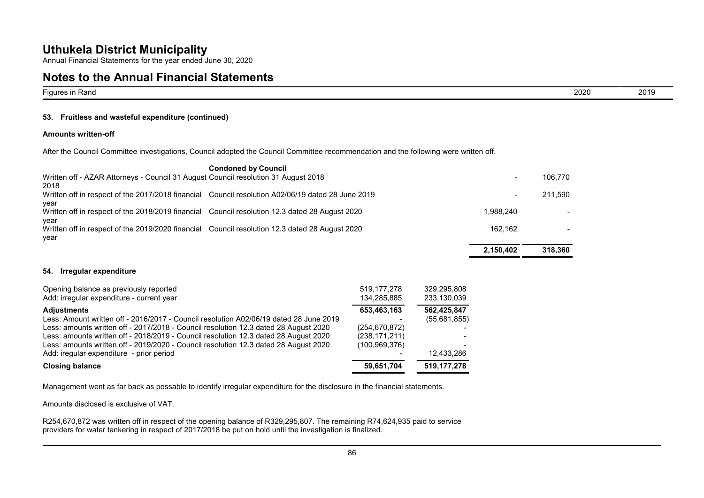Annual Financial Statements for the year ended June 30, 2020

### **Notes to the Annual Financial Statements**

| <u>.</u><br>⊦Rand<br>- Figures in | $\sim$<br><b>2020</b> | 2019 |
|-----------------------------------|-----------------------|------|

#### **53. Fruitless and wasteful expenditure (continued)**

#### **Amounts written-off**

After the Council Committee investigations, Council adopted the Council Committee recommendation and the following were written off.

|                                                                                                        | <b>Condoned by Council</b>                                                                        |                          |         |
|--------------------------------------------------------------------------------------------------------|---------------------------------------------------------------------------------------------------|--------------------------|---------|
| Written off - AZAR Attorneys - Council 31 August Council resolution 31 August 2018                     |                                                                                                   | $\overline{\phantom{a}}$ | 106.770 |
| 2018                                                                                                   | Written off in respect of the 2017/2018 financial Council resolution A02/06/19 dated 28 June 2019 | $\overline{\phantom{a}}$ | 211.590 |
| year<br>Written off in respect of the 2018/2019 financial Council resolution 12.3 dated 28 August 2020 |                                                                                                   | 1.988.240                |         |
| year                                                                                                   |                                                                                                   |                          |         |
| Written off in respect of the 2019/2020 financial Council resolution 12.3 dated 28 August 2020<br>year |                                                                                                   | 162.162                  |         |
|                                                                                                        |                                                                                                   | 2.150.402                | 318,360 |
|                                                                                                        |                                                                                                   |                          |         |

#### **54. Irregular expenditure**

| Opening balance as previously reported<br>Add: irregular expenditure - current year                                                                                                                                                                                                                                                                                                                                              | 519, 177, 278<br>134,285,885                                         | 329,295,808<br>233,130,039                |
|----------------------------------------------------------------------------------------------------------------------------------------------------------------------------------------------------------------------------------------------------------------------------------------------------------------------------------------------------------------------------------------------------------------------------------|----------------------------------------------------------------------|-------------------------------------------|
| <b>Adjustments</b><br>Less: Amount written off - 2016/2017 - Council resolution A02/06/19 dated 28 June 2019<br>Less: amounts written off - 2017/2018 - Council resolution 12.3 dated 28 August 2020<br>Less: amounts written off - 2018/2019 - Council resolution 12.3 dated 28 August 2020<br>Less: amounts written off - 2019/2020 - Council resolution 12.3 dated 28 August 2020<br>Add: iregular expenditure - prior period | 653,463,163<br>(254, 670, 872)<br>(238, 171, 211)<br>(100, 969, 376) | 562,425,847<br>(55,681,855)<br>12,433,286 |
| <b>Closing balance</b>                                                                                                                                                                                                                                                                                                                                                                                                           | 59,651,704                                                           | 519,177,278                               |

Management went as far back as possable to identify irregular expenditure for the disclosure in the financial statements.

Amounts disclosed is exclusive of VAT.

R254,670,872 was written off in respect of the opening balance of R329,295,807. The remaining R74,624,935 paid to service providers for water tankering in respect of 2017/2018 be put on hold until the investigation is finalized.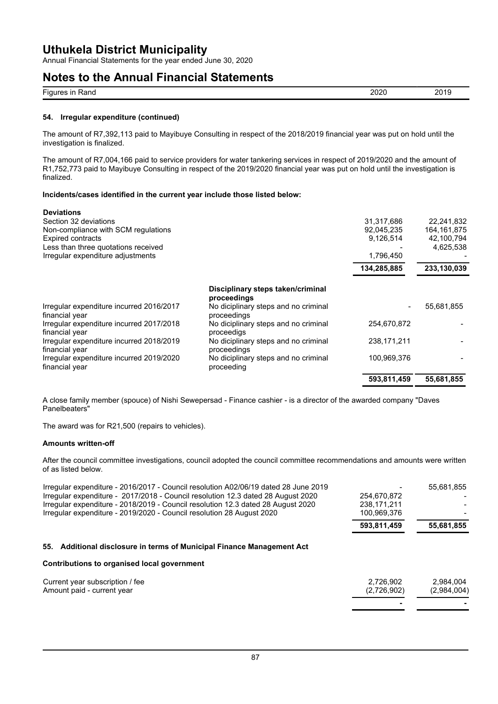Annual Financial Statements for the year ended June 30, 2020

### **Notes to the Annual Financial Statements**

| $- \cdot$<br>- --<br>⊢iar<br>≺anc<br>. . | חרחנ<br>$\sim$ | ^^<br>. . |
|------------------------------------------|----------------|-----------|
|                                          |                |           |

#### **54. Irregular expenditure (continued)**

The amount of R7,392,113 paid to Mayibuye Consulting in respect of the 2018/2019 financial year was put on hold until the investigation is finalized.

The amount of R7,004,166 paid to service providers for water tankering services in respect of 2019/2020 and the amount of R1,752,773 paid to Mayibuye Consulting in respect of the 2019/2020 financial year was put on hold until the investigation is finalized.

#### **Incidents/cases identified in the current year include those listed below:**

| <b>Deviations</b>                                          |                                                     |                |             |
|------------------------------------------------------------|-----------------------------------------------------|----------------|-------------|
| Section 32 deviations                                      |                                                     | 31.317.686     | 22,241,832  |
| Non-compliance with SCM regulations                        |                                                     | 92,045,235     | 164,161,875 |
| <b>Expired contracts</b>                                   |                                                     | 9,126,514      | 42,100,794  |
| Less than three quotations received                        |                                                     |                | 4,625,538   |
| Irregular expenditure adjustments                          |                                                     | 1,796,450      |             |
|                                                            |                                                     | 134,285,885    | 233,130,039 |
|                                                            | Disciplinary steps taken/criminal<br>proceedings    |                |             |
| Irregular expenditure incurred 2016/2017<br>financial year | No diciplinary steps and no criminal<br>proceedings | $\blacksquare$ | 55,681,855  |
| Irregular expenditure incurred 2017/2018<br>financial year | No diciplinary steps and no criminal<br>proceedigs  | 254,670,872    |             |
| Irregular expenditure incurred 2018/2019<br>financial year | No diciplinary steps and no criminal<br>proceedings | 238,171,211    |             |
| Irregular expenditure incurred 2019/2020<br>financial year | No diciplinary steps and no criminal<br>proceeding  | 100,969,376    |             |
|                                                            |                                                     | 593,811,459    | 55,681,855  |

A close family member (spouce) of Nishi Sewepersad - Finance cashier - is a director of the awarded company "Daves Panelbeaters"

The award was for R21,500 (repairs to vehicles).

#### **Amounts written-off**

After the council committee investigations, council adopted the council committee recommendations and amounts were written of as listed below.

| Irregular expenditure - 2016/2017 - Council resolution A02/06/19 dated 28 June 2019<br>Irregular expenditure - 2017/2018 - Council resolution 12.3 dated 28 August 2020<br>Irregular expenditure - 2018/2019 - Council resolution 12.3 dated 28 August 2020<br>Irregular expenditure - 2019/2020 - Council resolution 28 August 2020 | 254,670,872<br>238.171.211<br>100,969,376 | 55,681,855               |
|--------------------------------------------------------------------------------------------------------------------------------------------------------------------------------------------------------------------------------------------------------------------------------------------------------------------------------------|-------------------------------------------|--------------------------|
|                                                                                                                                                                                                                                                                                                                                      | 593,811,459                               | 55,681,855               |
| 55. Additional disclosure in terms of Municipal Finance Management Act                                                                                                                                                                                                                                                               |                                           |                          |
| Contributions to organised local government                                                                                                                                                                                                                                                                                          |                                           |                          |
| Current year subscription / fee<br>Amount paid - current year                                                                                                                                                                                                                                                                        | 2.726.902<br>(2,726,902)                  | 2,984,004<br>(2,984,004) |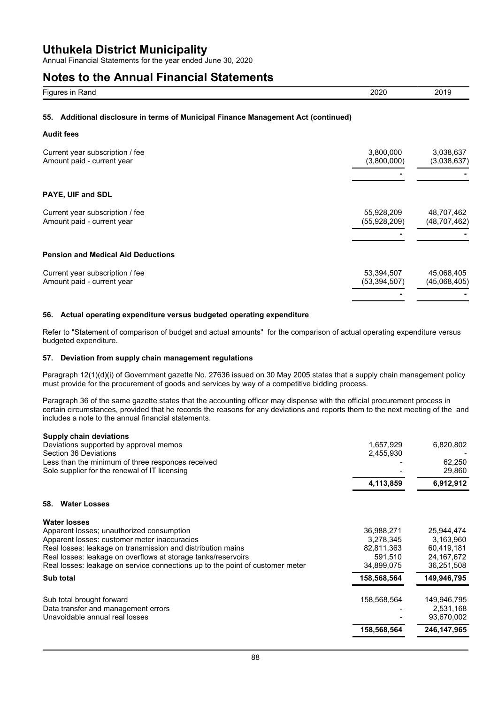Annual Financial Statements for the year ended June 30, 2020

### **Notes to the Annual Financial Statements**

| -<br>.<br>Nal IY | 2020 | 0 <sup>0</sup><br><b>SOJA</b> |
|------------------|------|-------------------------------|
|                  |      |                               |

#### **55. Additional disclosure in terms of Municipal Finance Management Act (continued)**

#### **Audit fees**

| Current year subscription / fee           | 3,800,000      | 3,038,637      |
|-------------------------------------------|----------------|----------------|
| Amount paid - current year                | (3,800,000)    | (3,038,637)    |
| PAYE, UIF and SDL                         |                |                |
| Current year subscription / fee           | 55,928,209     | 48,707,462     |
| Amount paid - current year                | (55,928,209)   | (48, 707, 462) |
| <b>Pension and Medical Aid Deductions</b> |                |                |
| Current year subscription / fee           | 53,394,507     | 45,068,405     |
| Amount paid - current year                | (53, 394, 507) | (45,068,405)   |
|                                           |                |                |

#### **56. Actual operating expenditure versus budgeted operating expenditure**

Refer to "Statement of comparison of budget and actual amounts" for the comparison of actual operating expenditure versus budgeted expenditure.

#### **57. Deviation from supply chain management regulations**

Paragraph 12(1)(d)(i) of Government gazette No. 27636 issued on 30 May 2005 states that a supply chain management policy must provide for the procurement of goods and services by way of a competitive bidding process.

Paragraph 36 of the same gazette states that the accounting officer may dispense with the official procurement process in certain circumstances, provided that he records the reasons for any deviations and reports them to the next meeting of the and includes a note to the annual financial statements.

| <b>Supply chain deviations</b>                                                |             |              |
|-------------------------------------------------------------------------------|-------------|--------------|
| Deviations supported by approval memos                                        | 1,657,929   | 6,820,802    |
| Section 36 Deviations                                                         | 2,455,930   |              |
| Less than the minimum of three responces received                             |             | 62,250       |
| Sole supplier for the renewal of IT licensing                                 |             | 29,860       |
|                                                                               | 4,113,859   | 6,912,912    |
| <b>Water Losses</b><br>58.                                                    |             |              |
| <b>Water losses</b>                                                           |             |              |
| Apparent losses; unauthorized consumption                                     | 36,988,271  | 25,944,474   |
| Apparent losses: customer meter inaccuracies                                  | 3,278,345   | 3,163,960    |
| Real losses: leakage on transmission and distribution mains                   | 82,811,363  | 60,419,181   |
| Real losses: leakage on overflows at storage tanks/reservoirs                 | 591,510     | 24, 167, 672 |
| Real losses: leakage on service connections up to the point of customer meter | 34,899,075  | 36,251,508   |
| Sub total                                                                     | 158,568,564 | 149,946,795  |
| Sub total brought forward                                                     | 158,568,564 | 149,946,795  |
| Data transfer and management errors                                           |             | 2,531,168    |
| Unavoidable annual real losses                                                |             | 93,670,002   |
|                                                                               | 158,568,564 | 246,147,965  |
|                                                                               |             |              |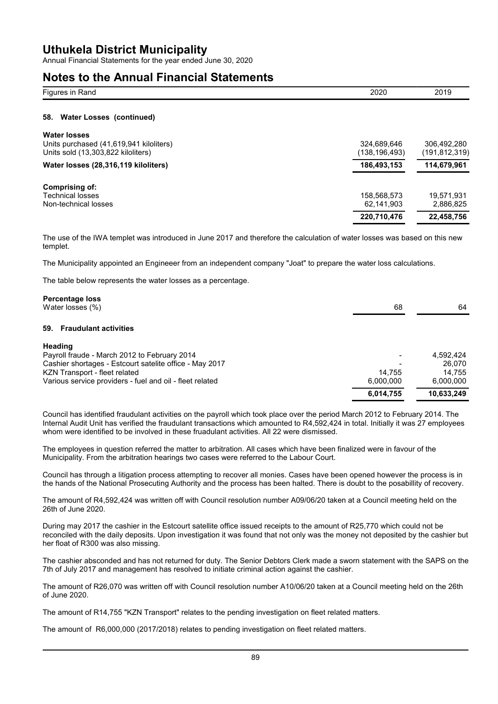Annual Financial Statements for the year ended June 30, 2020

### **Notes to the Annual Financial Statements**

| NULGS LU LIIG ANNUAN I MANUHAN ULALGINGINS                                                           |                              |                              |
|------------------------------------------------------------------------------------------------------|------------------------------|------------------------------|
| Figures in Rand                                                                                      | 2020                         | 2019                         |
| <b>Water Losses (continued)</b><br>58.                                                               |                              |                              |
| <b>Water losses</b><br>Units purchased (41,619,941 kiloliters)<br>Units sold (13,303,822 kiloliters) | 324,689,646<br>(138,196,493) | 306,492,280<br>(191,812,319) |
| Water losses (28,316,119 kiloliters)                                                                 | 186,493,153                  | 114,679,961                  |
| Comprising of:<br><b>Technical losses</b><br>Non-technical losses                                    | 158,568,573<br>62,141,903    | 19,571,931<br>2,886,825      |
|                                                                                                      | 220.710.476                  | 22.458.756                   |

The use of the IWA templet was introduced in June 2017 and therefore the calculation of water losses was based on this new templet.

The Municipality appointed an Engineeer from an independent company "Joat" to prepare the water loss calculations.

The table below represents the water losses as a percentage.

| 64         |
|------------|
|            |
|            |
| 4,592,424  |
| 26.070     |
| 14.755     |
| 6,000,000  |
| 10,633,249 |
|            |

Council has identified fraudulant activities on the payroll which took place over the period March 2012 to February 2014. The Internal Audit Unit has verified the fraudulant transactions which amounted to R4,592,424 in total. Initially it was 27 employees whom were identified to be involved in these fruadulant activities. All 22 were dismissed.

The employees in question referred the matter to arbitration. All cases which have been finalized were in favour of the Municipality. From the arbitration hearings two cases were referred to the Labour Court.

Council has through a litigation process attempting to recover all monies. Cases have been opened however the process is in the hands of the National Prosecuting Authority and the process has been halted. There is doubt to the posabillity of recovery.

The amount of R4,592,424 was written off with Council resolution number A09/06/20 taken at a Council meeting held on the 26th of June 2020.

During may 2017 the cashier in the Estcourt satellite office issued receipts to the amount of R25,770 which could not be reconciled with the daily deposits. Upon investigation it was found that not only was the money not deposited by the cashier but her float of R300 was also missing.

The cashier absconded and has not returned for duty. The Senior Debtors Clerk made a sworn statement with the SAPS on the 7th of July 2017 and management has resolved to initiate criminal action against the cashier.

The amount of R26,070 was written off with Council resolution number A10/06/20 taken at a Council meeting held on the 26th of June 2020.

The amount of R14,755 "KZN Transport" relates to the pending investigation on fleet related matters.

The amount of R6,000,000 (2017/2018) relates to pending investigation on fleet related matters.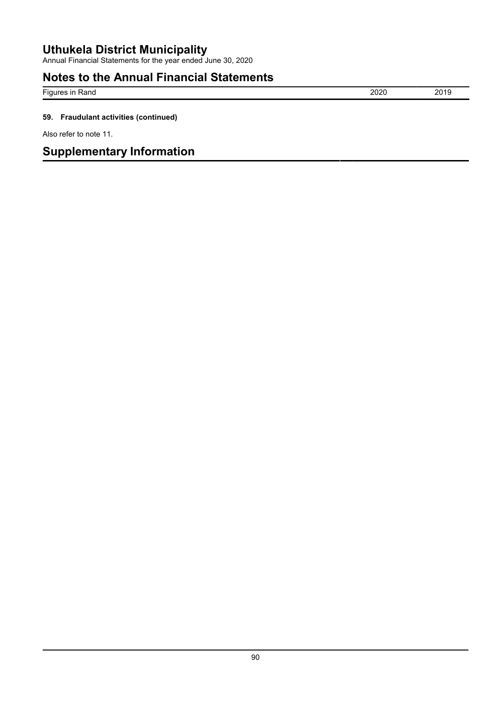Annual Financial Statements for the year ended June 30, 2020

# **Notes to the Annual Financial Statements**

Figures in Rand 2019 2019

### **59. Fraudulant activities (continued)**

Also refer to note 11.

# **Supplementary Information**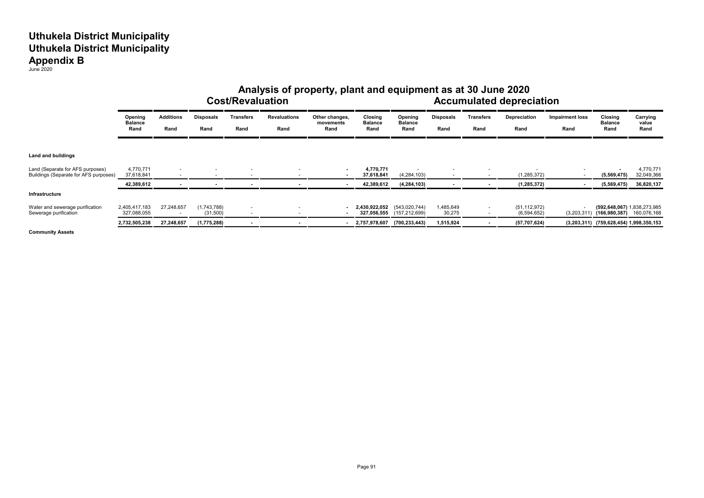|                                                                           | Analysis of property, plant and equipment as at 30 June 2020<br><b>Cost/Revaluation</b> |                          |                          |                                                      |                             |                                     |                                   |                                   |                          |                                                      | <b>Accumulated depreciation</b> |                                |                                              |                           |
|---------------------------------------------------------------------------|-----------------------------------------------------------------------------------------|--------------------------|--------------------------|------------------------------------------------------|-----------------------------|-------------------------------------|-----------------------------------|-----------------------------------|--------------------------|------------------------------------------------------|---------------------------------|--------------------------------|----------------------------------------------|---------------------------|
|                                                                           | Opening<br><b>Balance</b><br>Rand                                                       | <b>Additions</b><br>Rand | <b>Disposals</b><br>Rand | Transfers<br>Rand                                    | <b>Revaluations</b><br>Rand | Other changes,<br>movements<br>Rand | Closing<br><b>Balance</b><br>Rand | Opening<br><b>Balance</b><br>Rand | <b>Disposals</b><br>Rand | <b>Transfers</b><br>Rand                             | Depreciation<br>Rand            | <b>Impairment loss</b><br>Rand | Closing<br><b>Balance</b><br>Rand            | Carrying<br>value<br>Rand |
| Land and buildings                                                        |                                                                                         |                          |                          |                                                      |                             |                                     |                                   |                                   |                          |                                                      |                                 |                                |                                              |                           |
| Land (Separate for AFS purposes)<br>Buildings (Separate for AFS purposes) | 4,770,771<br>37,618,841                                                                 | $\sim$<br>$\sim$         | $\overline{\phantom{a}}$ | $\overline{a}$                                       |                             |                                     | 4,770,771<br>37,618,841           | (4, 284, 103)                     | $\overline{\phantom{a}}$ |                                                      | (1, 285, 372)                   |                                | (5,569,475)                                  | 4,770,771<br>32,049,366   |
|                                                                           | 42,389,612                                                                              | $\blacksquare$           |                          |                                                      |                             |                                     | 42,389,612                        | (4, 284, 103)                     | $\blacksquare$           |                                                      | (1, 285, 372)                   |                                | (5,569,475)                                  | 36,820,137                |
| Infrastructure                                                            |                                                                                         |                          |                          |                                                      |                             |                                     |                                   |                                   |                          |                                                      |                                 |                                |                                              |                           |
| Water and sewerage purification<br>Sewerage purification                  | 2,405,417,183<br>327,088,055                                                            | 27,248,657<br>$\sim$     | (1,743,788)<br>(31,500)  | $\overline{\phantom{a}}$<br>$\overline{\phantom{a}}$ |                             |                                     | 2,430,922,052<br>327,056,555      | (543,020,744)<br>(157, 212, 699)  | 1,485,649<br>30,275      | $\overline{\phantom{a}}$<br>$\overline{\phantom{a}}$ | (51, 112, 972)<br>(6, 594, 652) | (3,203,311)                    | (592,648,067) 1,838,273,985<br>(166,980,387) | 160,076,168               |
|                                                                           | 2,732,505,238                                                                           | 27,248,657               | (1,775,288)              |                                                      |                             |                                     | 2,757,978,607                     | (700, 233, 443)                   | 1,515,924                |                                                      | (57, 707, 624)                  |                                | $(3,203,311)$ $(759,628,454)$ 1,998,350,153  |                           |

**Community Assets**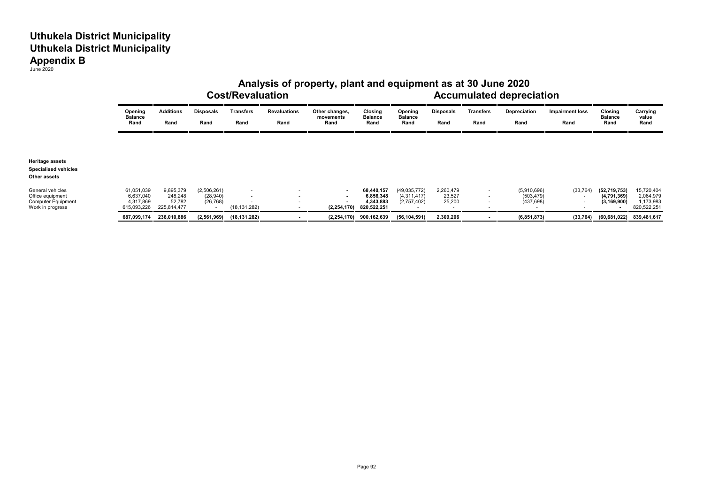|                                                                                       |                                                     | <b>Cost/Revaluation</b>                       |                                       |                                                                        |                             |                                     |                                                     |                                              |                               | Analysis of property, plant and equipment as at 30 June 2020<br><b>Accumulated depreciation</b> |                                         |                                       |                                                |                                                     |  |
|---------------------------------------------------------------------------------------|-----------------------------------------------------|-----------------------------------------------|---------------------------------------|------------------------------------------------------------------------|-----------------------------|-------------------------------------|-----------------------------------------------------|----------------------------------------------|-------------------------------|-------------------------------------------------------------------------------------------------|-----------------------------------------|---------------------------------------|------------------------------------------------|-----------------------------------------------------|--|
|                                                                                       | Opening<br><b>Balance</b><br>Rand                   | <b>Additions</b><br>Rand                      | <b>Disposals</b><br>Rand              | Transfers<br>Rand                                                      | <b>Revaluations</b><br>Rand | Other changes,<br>movements<br>Rand | Closing<br><b>Balance</b><br>Rand                   | Opening<br><b>Balance</b><br>Rand            | <b>Disposals</b><br>Rand      | Transfers<br>Rand                                                                               | Depreciation<br>Rand                    | <b>Impairment loss</b><br>Rand        | Closing<br><b>Balance</b><br>Rand              | Carrying<br>value<br>Rand                           |  |
|                                                                                       |                                                     |                                               |                                       |                                                                        |                             |                                     |                                                     |                                              |                               |                                                                                                 |                                         |                                       |                                                |                                                     |  |
| <b>Heritage assets</b><br><b>Specialised vehicles</b>                                 |                                                     |                                               |                                       |                                                                        |                             |                                     |                                                     |                                              |                               |                                                                                                 |                                         |                                       |                                                |                                                     |  |
| Other assets                                                                          |                                                     |                                               |                                       |                                                                        |                             |                                     |                                                     |                                              |                               |                                                                                                 |                                         |                                       |                                                |                                                     |  |
| General vehicles<br>Office equipment<br><b>Computer Equipment</b><br>Work in progress | 61,051,039<br>6,637,040<br>4,317,869<br>615,093,226 | 9,895,379<br>248,248<br>52,782<br>225,814,477 | (2,506,261)<br>(28, 940)<br>(26, 768) | $\overline{\phantom{a}}$<br>$\overline{\phantom{a}}$<br>(18, 131, 282) |                             | $\sim$<br>$\sim$<br>(2, 254, 170)   | 68,440,157<br>6,856,348<br>4,343,883<br>820,522,251 | (49, 035, 772)<br>(4,311,417)<br>(2,757,402) | 2,260,479<br>23,527<br>25,200 | $\sim$                                                                                          | (5,910,696)<br>(503, 479)<br>(437, 698) | (33, 764)<br>$\overline{\phantom{a}}$ | (52, 719, 753)<br>(4,791,369)<br>(3, 169, 900) | 15,720,404<br>2,064,979<br>1,173,983<br>820,522,251 |  |
|                                                                                       | 687,099,174                                         | 236,010,886                                   | (2,561,969)                           | (18,131,282)                                                           |                             |                                     | $(2,254,170)$ 900,162,639                           | (56, 104, 591)                               | 2,309,206                     |                                                                                                 | (6, 851, 873)                           | (33, 764)                             | (60,681,022)                                   | 839,481,617                                         |  |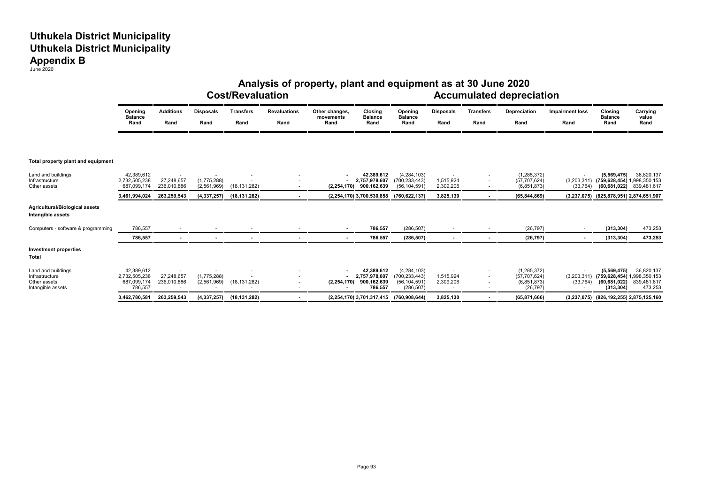|                                                                           | Analysis of property, plant and equipment as at 30 June 2020<br><b>Cost/Revaluation</b><br><b>Accumulated depreciation</b> |                           |                            |                          |                             |                                     |                                                       |                                                                  |                          |                          |                                                             |                                |                                                                                        |                                      |
|---------------------------------------------------------------------------|----------------------------------------------------------------------------------------------------------------------------|---------------------------|----------------------------|--------------------------|-----------------------------|-------------------------------------|-------------------------------------------------------|------------------------------------------------------------------|--------------------------|--------------------------|-------------------------------------------------------------|--------------------------------|----------------------------------------------------------------------------------------|--------------------------------------|
|                                                                           | Opening<br><b>Balance</b><br>Rand                                                                                          | <b>Additions</b><br>Rand  | <b>Disposals</b><br>Rand   | <b>Transfers</b><br>Rand | <b>Revaluations</b><br>Rand | Other changes,<br>movements<br>Rand | Closina<br><b>Balance</b><br>Rand                     | Opening<br><b>Balance</b><br>Rand                                | <b>Disposals</b><br>Rand | <b>Transfers</b><br>Rand | Depreciation<br>Rand                                        | <b>Impairment loss</b><br>Rand | Closing<br><b>Balance</b><br>Rand                                                      | Carrying<br>value<br>Rand            |
| Total property plant and equipment                                        |                                                                                                                            |                           |                            |                          |                             |                                     |                                                       |                                                                  |                          |                          |                                                             |                                |                                                                                        |                                      |
| Land and buildings<br>Infrastructure<br>Other assets                      | 42,389,612<br>2,732,505,238<br>687,099,174                                                                                 | 27,248,657<br>236,010,886 | (1,775,288)<br>(2,561,969) | (18, 131, 282)           |                             | (2, 254, 170)                       | 42,389,612<br>2,757,978,607<br>900,162,639            | (4, 284, 103)<br>(700, 233, 443)<br>(56, 104, 591)               | 1,515,924<br>2,309,206   | $\sim$                   | (1, 285, 372)<br>(57, 707, 624)<br>(6,851,873)              | (33, 764)                      | (5,569,475)<br>(3,203,311) (759,628,454) 1,998,350,153<br>(60, 681, 022)               | 36,820,137<br>839,481,617            |
|                                                                           | 3,461,994,024                                                                                                              | 263,259,543               | (4, 337, 257)              | (18, 131, 282)           |                             |                                     | (2,254,170) 3,700,530,858                             | (760, 622, 137)                                                  | 3,825,130                |                          | (65, 844, 869)                                              | (3, 237, 075)                  | (825, 878, 951) 2, 874, 651, 907                                                       |                                      |
| Agricultural/Biological assets<br>Intangible assets                       |                                                                                                                            |                           |                            |                          |                             |                                     |                                                       |                                                                  |                          |                          |                                                             |                                |                                                                                        |                                      |
| Computers - software & programming                                        | 786,557                                                                                                                    |                           |                            |                          |                             |                                     | 786,557                                               | (286, 507)                                                       |                          |                          | (26, 797)                                                   |                                | (313, 304)                                                                             | 473,253                              |
|                                                                           | 786,557                                                                                                                    | $\sim$                    | $\blacksquare$             |                          |                             |                                     | 786,557                                               | (286, 507)                                                       | $\sim$                   |                          | (26, 797)                                                   |                                | (313, 304)                                                                             | 473,253                              |
| <b>Investment properties</b><br>Total                                     |                                                                                                                            |                           |                            |                          |                             |                                     |                                                       |                                                                  |                          |                          |                                                             |                                |                                                                                        |                                      |
| Land and buildings<br>Infrastructure<br>Other assets<br>Intangible assets | 42,389,612<br>2,732,505,238<br>687,099,174<br>786,557                                                                      | 27.248.657<br>236,010,886 | (1,775,288)<br>(2,561,969) | (18, 131, 282)           |                             | (2, 254, 170)                       | 42,389,612<br>2.757.978.607<br>900,162,639<br>786,557 | (4, 284, 103)<br>(700, 233, 443)<br>(56, 104, 591)<br>(286, 507) | 1,515,924<br>2,309,206   |                          | (1, 285, 372)<br>(57, 707, 624)<br>(6,851,873)<br>(26, 797) | (33, 764)                      | (5,569,475)<br>(3,203,311) (759,628,454) 1,998,350,153<br>(60, 681, 022)<br>(313, 304) | 36,820,137<br>839,481,617<br>473,253 |
|                                                                           | 3,462,780,581                                                                                                              | 263,259,543               | (4,337,257)                | (18, 131, 282)           |                             |                                     | (2,254,170) 3,701,317,415                             | (760,908,644)                                                    | 3,825,130                | $\sim$                   | (65, 871, 666)                                              |                                | (3,237,075) (826,192,255) 2,875,125,160                                                |                                      |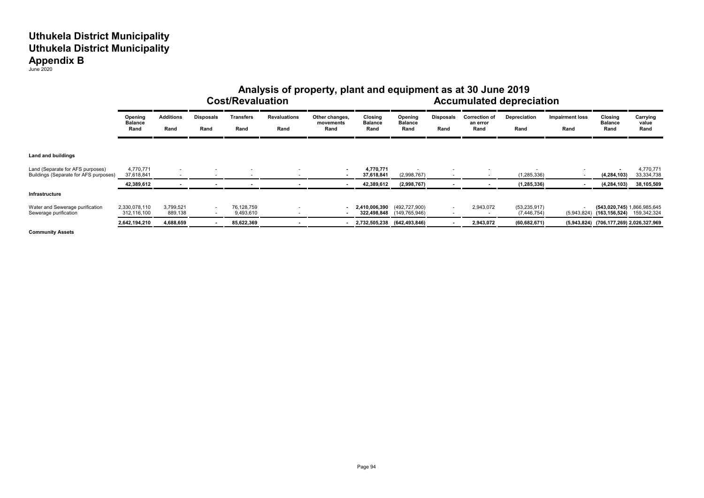|                                                                           | Analysis of property, plant and equipment as at 30 June 2019<br><b>Cost/Revaluation</b> |                          |                                                      |                         |                             |                                     |                                   |                                   | <b>Accumulated depreciation</b> |                                          |                                 |                                |                                                                  |                           |
|---------------------------------------------------------------------------|-----------------------------------------------------------------------------------------|--------------------------|------------------------------------------------------|-------------------------|-----------------------------|-------------------------------------|-----------------------------------|-----------------------------------|---------------------------------|------------------------------------------|---------------------------------|--------------------------------|------------------------------------------------------------------|---------------------------|
|                                                                           | Opening<br><b>Balance</b><br>Rand                                                       | <b>Additions</b><br>Rand | <b>Disposals</b><br>Rand                             | Transfers<br>Rand       | <b>Revaluations</b><br>Rand | Other changes,<br>movements<br>Rand | Closing<br><b>Balance</b><br>Rand | Opening<br><b>Balance</b><br>Rand | Disposals<br>Rand               | <b>Correction of</b><br>an error<br>Rand | Depreciation<br>Rand            | <b>Impairment loss</b><br>Rand | Closing<br><b>Balance</b><br>Rand                                | Carrying<br>value<br>Rand |
| Land and buildings                                                        |                                                                                         |                          |                                                      |                         |                             |                                     |                                   |                                   |                                 |                                          |                                 |                                |                                                                  |                           |
| Land (Separate for AFS purposes)<br>Buildings (Separate for AFS purposes) | 4,770,771<br>37,618,841                                                                 | $\sim$<br><b>.</b>       | . .                                                  |                         |                             |                                     | 4,770,771<br>37,618,841           | (2,998,767)                       | ۰                               | $\overline{\phantom{a}}$                 | (1, 285, 336)                   |                                | (4, 284, 103)                                                    | 4,770,771<br>33, 334, 738 |
|                                                                           | 42,389,612                                                                              |                          |                                                      |                         |                             |                                     | 42,389,612                        | (2,998,767)                       | $\blacksquare$                  | $\blacksquare$                           | (1, 285, 336)                   |                                | (4, 284, 103)                                                    | 38,105,509                |
| Infrastructure                                                            |                                                                                         |                          |                                                      |                         |                             |                                     |                                   |                                   |                                 |                                          |                                 |                                |                                                                  |                           |
| Water and Sewerage purification<br>Sewerage purification                  | 2,330,078,110<br>312,116,100                                                            | 3.799.521<br>889,138     | $\overline{\phantom{a}}$<br>$\overline{\phantom{a}}$ | 76,128,759<br>9,493,610 |                             |                                     | 2,410,006,390 (492,727,900)       | 322,498,848 (149,765,946)         | $\sim$<br>۰                     | 2,943,072                                | (53, 235, 917)<br>(7, 446, 754) | (5,943,824)                    | (543,020,745) 1,866,985,645<br>$(163, 156, 524)$ $159, 342, 324$ |                           |
|                                                                           | 2,642,194,210                                                                           | 4,688,659                |                                                      | 85,622,369              |                             |                                     | 2,732,505,238 (642,493,846)       |                                   |                                 | 2,943,072                                | (60, 682, 671)                  |                                | (5,943,824) (706,177,269) 2,026,327,969                          |                           |

**Community Assets**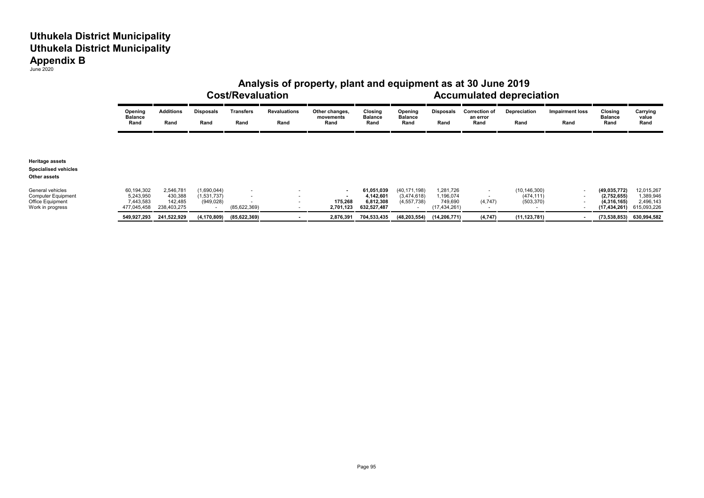|                                                                                       |                                                     | Analysis of property, plant and equipment as at 30 June 2019<br><b>Cost/Revaluation</b> |                                          |                                                              |                             |                                          |                                                     |                                              |                                                     |                                          |                                            | <b>Accumulated depreciation</b> |                                                                |                                                     |  |
|---------------------------------------------------------------------------------------|-----------------------------------------------------|-----------------------------------------------------------------------------------------|------------------------------------------|--------------------------------------------------------------|-----------------------------|------------------------------------------|-----------------------------------------------------|----------------------------------------------|-----------------------------------------------------|------------------------------------------|--------------------------------------------|---------------------------------|----------------------------------------------------------------|-----------------------------------------------------|--|
|                                                                                       | Opening<br><b>Balance</b><br>Rand                   | <b>Additions</b><br>Rand                                                                | Disposals<br>Rand                        | <b>Transfers</b><br>Rand                                     | <b>Revaluations</b><br>Rand | Other changes,<br>movements<br>Rand      | Closing<br>Balance<br>Rand                          | Opening<br><b>Balance</b><br>Rand            | Disposals<br>Rand                                   | <b>Correction of</b><br>an error<br>Rand | Depreciation<br>Rand                       | <b>Impairment loss</b><br>Rand  | Closing<br><b>Balance</b><br>Rand                              | Carrying<br>value<br>Rand                           |  |
| <b>Heritage assets</b><br><b>Specialised vehicles</b><br>Other assets                 |                                                     |                                                                                         |                                          |                                                              |                             |                                          |                                                     |                                              |                                                     |                                          |                                            |                                 |                                                                |                                                     |  |
| General vehicles<br><b>Computer Equipment</b><br>Office Equipment<br>Work in progress | 60,194,302<br>5,243,950<br>7,443,583<br>477,045,458 | 2,546,781<br>430,388<br>142,485<br>238,403,275                                          | (1,690,044)<br>(1,531,737)<br>(949, 028) | $\overline{a}$<br>$\overline{\phantom{a}}$<br>(85, 622, 369) |                             | $\sim$<br>$\sim$<br>175,268<br>2,701,123 | 61,051,039<br>4,142,601<br>6,812,308<br>632,527,487 | (40, 171, 198)<br>(3,474,618)<br>(4,557,738) | 1,281,726<br>1,196,074<br>749,690<br>(17, 434, 261) | (4,747)                                  | (10, 146, 300)<br>(474, 111)<br>(503, 370) | $\overline{\phantom{a}}$        | (49, 035, 772)<br>(2,752,655)<br>(4,316,165)<br>(17, 434, 261) | 12,015,267<br>1,389,946<br>2,496,143<br>615,093,226 |  |
|                                                                                       | 549,927,293                                         | 241,522,929                                                                             | (4, 170, 809)                            | (85,622,369)                                                 |                             | 2,876,391                                | 704,533,435                                         | (48, 203, 554)                               | (14,206,771)                                        | (4, 747)                                 | (11, 123, 781)                             |                                 |                                                                | $(73,538,853)$ 630,994,582                          |  |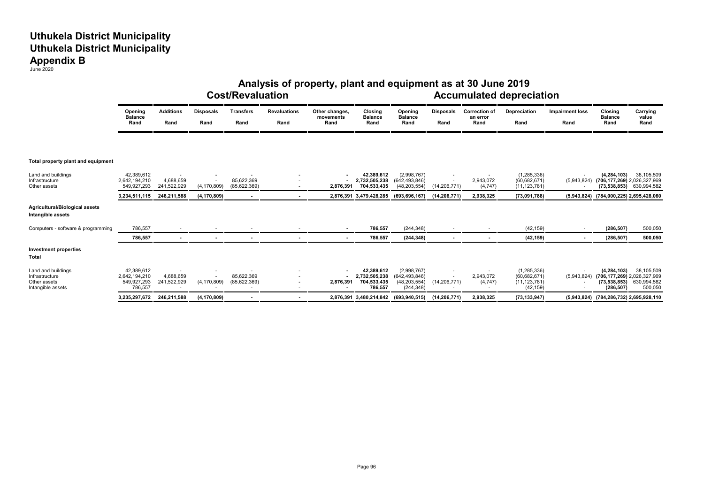|                                                                           | Analysis of property, plant and equipment as at 30 June 2019<br><b>Cost/Revaluation</b><br><b>Accumulated depreciation</b> |                          |                          |                            |                             |                                     |                                                       |                                                                |                          |                                          |                                                                |                                |                                                                              |                                      |
|---------------------------------------------------------------------------|----------------------------------------------------------------------------------------------------------------------------|--------------------------|--------------------------|----------------------------|-----------------------------|-------------------------------------|-------------------------------------------------------|----------------------------------------------------------------|--------------------------|------------------------------------------|----------------------------------------------------------------|--------------------------------|------------------------------------------------------------------------------|--------------------------------------|
|                                                                           | Opening<br><b>Balance</b><br>Rand                                                                                          | <b>Additions</b><br>Rand | <b>Disposals</b><br>Rand | <b>Transfers</b><br>Rand   | <b>Revaluations</b><br>Rand | Other changes,<br>movements<br>Rand | Closing<br><b>Balance</b><br>Rand                     | Opening<br><b>Balance</b><br>Rand                              | <b>Disposals</b><br>Rand | <b>Correction of</b><br>an error<br>Rand | Depreciation<br>Rand                                           | <b>Impairment loss</b><br>Rand | Closing<br><b>Balance</b><br>Rand                                            | Carrying<br>value<br>Rand            |
| Total property plant and equipment                                        |                                                                                                                            |                          |                          |                            |                             |                                     |                                                       |                                                                |                          |                                          |                                                                |                                |                                                                              |                                      |
| Land and buildings<br>Infrastructure<br>Other assets                      | 42,389,612<br>2,642,194,210<br>549,927,293                                                                                 | 4,688,659<br>241,522,929 | (4, 170, 809)            | 85,622,369<br>(85,622,369) |                             | 2,876,391                           | 42,389,612<br>2,732,505,238<br>704,533,435            | (2,998,767)<br>(642, 493, 846)<br>(48, 203, 554)               | (14, 206, 771)           | 2,943,072<br>(4,747)                     | (1, 285, 336)<br>(60, 682, 671)<br>(11, 123, 781)              |                                | (4, 284, 103)<br>(5,943,824) (706,177,269) 2,026,327,969<br>(73,538,853)     | 38,105,509<br>630,994,582            |
|                                                                           | 3,234,511,115                                                                                                              | 246,211,588              | (4, 170, 809)            |                            |                             |                                     | 2,876,391 3,479,428,285                               | (693, 696, 167)                                                | (14, 206, 771)           | 2,938,325                                | (73,091,788)                                                   | (5,943,824)                    | (784,000,225) 2,695,428,060                                                  |                                      |
| Agricultural/Biological assets<br>Intangible assets                       |                                                                                                                            |                          |                          |                            |                             |                                     |                                                       |                                                                |                          |                                          |                                                                |                                |                                                                              |                                      |
| Computers - software & programming                                        | 786,557                                                                                                                    |                          |                          |                            |                             |                                     | 786,557                                               | (244, 348)                                                     |                          |                                          | (42, 159)                                                      |                                | (286, 507)                                                                   | 500,050                              |
|                                                                           | 786,557                                                                                                                    | $\blacksquare$           | $\blacksquare$           |                            |                             |                                     | 786,557                                               | (244, 348)                                                     | $\blacksquare$           |                                          | (42, 159)                                                      |                                | (286, 507)                                                                   | 500,050                              |
| <b>Investment properties</b><br>Total                                     |                                                                                                                            |                          |                          |                            |                             |                                     |                                                       |                                                                |                          |                                          |                                                                |                                |                                                                              |                                      |
| Land and buildings<br>Infrastructure<br>Other assets<br>Intangible assets | 42,389,612<br>2,642,194,210<br>549,927,293<br>786,557                                                                      | 4.688.659<br>241,522,929 | (4, 170, 809)            | 85.622.369<br>(85,622,369) |                             | 2,876,391                           | 42,389,612<br>2,732,505,238<br>704,533,435<br>786,557 | (2,998,767)<br>(642, 493, 846)<br>(48, 203, 554)<br>(244, 348) | (14, 206, 771)           | 2,943,072<br>(4, 747)                    | (1, 285, 336)<br>(60, 682, 671)<br>(11, 123, 781)<br>(42, 159) | (5,943,824)                    | (4, 284, 103)<br>(706,177,269) 2,026,327,969<br>(73, 538, 853)<br>(286, 507) | 38,105,509<br>630,994,582<br>500,050 |
|                                                                           | 3,235,297,672                                                                                                              | 246,211,588              | (4, 170, 809)            |                            |                             |                                     | 2,876,391 3,480,214,842                               | (693,940,515)                                                  | (14, 206, 771)           | 2,938,325                                | (73, 133, 947)                                                 |                                | (5,943,824) (784,286,732) 2,695,928,110                                      |                                      |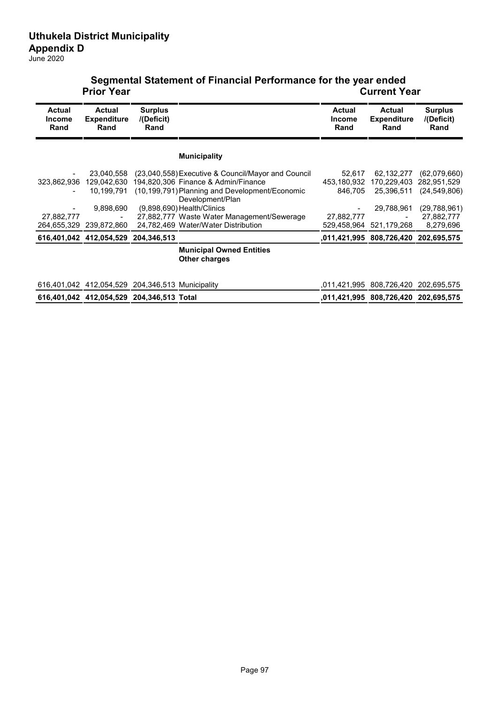|                                        | <b>Prior Year</b>                                |                                      |                                                                    | <b>Current Year</b>                    |                                             |                                      |  |  |  |  |
|----------------------------------------|--------------------------------------------------|--------------------------------------|--------------------------------------------------------------------|----------------------------------------|---------------------------------------------|--------------------------------------|--|--|--|--|
| <b>Actual</b><br><b>Income</b><br>Rand | <b>Actual</b><br><b>Expenditure</b><br>Rand      | <b>Surplus</b><br>/(Deficit)<br>Rand |                                                                    | <b>Actual</b><br><b>Income</b><br>Rand | <b>Actual</b><br><b>Expenditure</b><br>Rand | <b>Surplus</b><br>I(Deficit)<br>Rand |  |  |  |  |
|                                        |                                                  |                                      | <b>Municipality</b>                                                |                                        |                                             |                                      |  |  |  |  |
|                                        | 23,040,558                                       |                                      | (23,040,558) Executive & Council/Mayor and Council                 | 52,617                                 | 62,132,277                                  | (62,079,660)                         |  |  |  |  |
| 323,862,936                            |                                                  |                                      | 129,042,630 194,820,306 Finance & Admin/Finance                    | 453,180,932                            |                                             | 170,229,403 282,951,529              |  |  |  |  |
|                                        | 10,199,791                                       |                                      | (10,199,791) Planning and Development/Economic<br>Development/Plan | 846,705                                | 25,396,511                                  | (24, 549, 806)                       |  |  |  |  |
|                                        | 9,898,690                                        |                                      | $(9.898.690)$ Health/Clinics                                       |                                        | 29,788,961                                  | (29, 788, 961)                       |  |  |  |  |
| 27,882,777                             |                                                  |                                      | 27,882,777 Waste Water Management/Sewerage                         | 27,882,777                             |                                             | 27,882,777                           |  |  |  |  |
|                                        | 264,655,329 239,872,860                          |                                      | 24,782,469 Water/Water Distribution                                |                                        | 529,458,964 521,179,268                     | 8,279,696                            |  |  |  |  |
|                                        | 616,401,042 412,054,529 204,346,513              |                                      |                                                                    |                                        | ,011,421,995 808,726,420                    | 202,695,575                          |  |  |  |  |
|                                        |                                                  |                                      | <b>Municipal Owned Entities</b><br><b>Other charges</b>            |                                        |                                             |                                      |  |  |  |  |
|                                        | 616,401,042 412,054,529 204,346,513 Municipality |                                      |                                                                    |                                        |                                             | ,011,421,995 808,726,420 202,695,575 |  |  |  |  |
|                                        | 616,401,042 412,054,529 204,346,513 Total        |                                      |                                                                    |                                        | ,011,421,995 808,726,420 202,695,575        |                                      |  |  |  |  |

# **Segmental Statement of Financial Performance for the year ended**